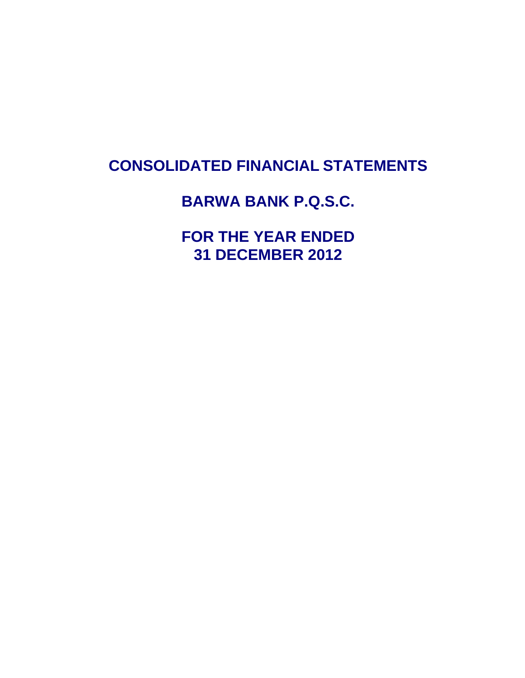# **CONSOLIDATED FINANCIAL STATEMENTS**

# **BARWA BANK P.Q.S.C.**

**FOR THE YEAR ENDED 31 DECEMBER 2012**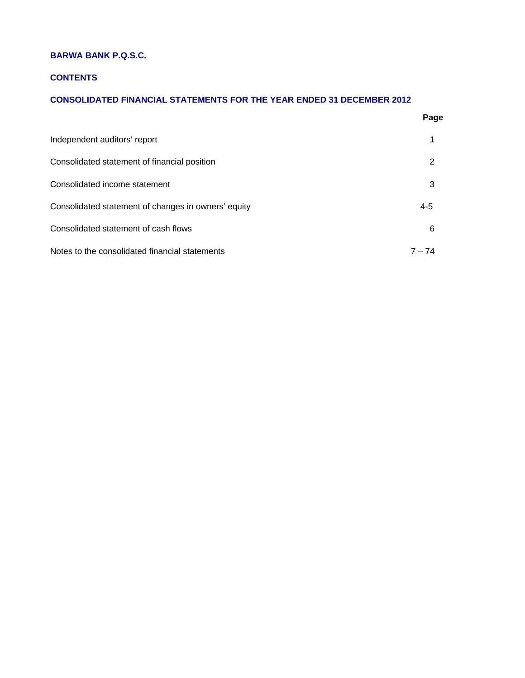# **BARWA BANK P.Q.S.C.**

# **CONTENTS**

# **CONSOLIDATED FINANCIAL STATEMENTS FOR THE YEAR ENDED 31 DECEMBER 2012**

|                                                     | Page    |
|-----------------------------------------------------|---------|
| Independent auditors' report                        | 1       |
| Consolidated statement of financial position        | 2       |
| Consolidated income statement                       | 3       |
| Consolidated statement of changes in owners' equity | $4 - 5$ |
| Consolidated statement of cash flows                | 6       |
| Notes to the consolidated financial statements      | 7 – 74  |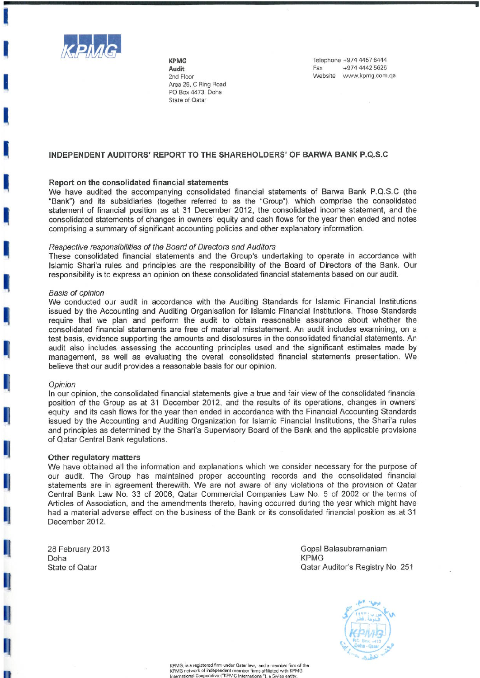

**KPMG Audit** 2nd Floor Area 25, C Ring Road PO Box 4473, Doha State of Qatar

Telephone +974 4457 6444 +974 4442 5626 Fax Website www.kpmg.com.ga

# INDEPENDENT AUDITORS' REPORT TO THE SHAREHOLDERS' OF BARWA BANK P.Q.S.C

# Report on the consolidated financial statements

We have audited the accompanying consolidated financial statements of Barwa Bank P.Q.S.C (the "Bank") and its subsidiaries (together referred to as the "Group"), which comprise the consolidated statement of financial position as at 31 December 2012, the consolidated income statement, and the consolidated statements of changes in owners' equity and cash flows for the year then ended and notes comprising a summary of significant accounting policies and other explanatory information.

#### Respective responsibilities of the Board of Directors and Auditors

These consolidated financial statements and the Group's undertaking to operate in accordance with Islamic Shari'a rules and principles are the responsibility of the Board of Directors of the Bank. Our responsibility is to express an opinion on these consolidated financial statements based on our audit.

#### **Basis of opinion**

We conducted our audit in accordance with the Auditing Standards for Islamic Financial Institutions issued by the Accounting and Auditing Organisation for Islamic Financial Institutions. Those Standards require that we plan and perform the audit to obtain reasonable assurance about whether the consolidated financial statements are free of material misstatement. An audit includes examining, on a test basis, evidence supporting the amounts and disclosures in the consolidated financial statements. An audit also includes assessing the accounting principles used and the significant estimates made by management, as well as evaluating the overall consolidated financial statements presentation. We believe that our audit provides a reasonable basis for our opinion.

# Opinion

In our opinion, the consolidated financial statements give a true and fair view of the consolidated financial position of the Group as at 31 December 2012, and the results of its operations, changes in owners' equity and its cash flows for the year then ended in accordance with the Financial Accounting Standards issued by the Accounting and Auditing Organization for Islamic Financial Institutions, the Shari'a rules and principles as determined by the Shari'a Supervisory Board of the Bank and the applicable provisions of Qatar Central Bank regulations.

### Other regulatory matters

We have obtained all the information and explanations which we consider necessary for the purpose of our audit. The Group has maintained proper accounting records and the consolidated financial statements are in agreement therewith. We are not aware of any violations of the provision of Qatar Central Bank Law No. 33 of 2006, Qatar Commercial Companies Law No. 5 of 2002 or the terms of Articles of Association, and the amendments thereto, having occurred during the year which might have had a material adverse effect on the business of the Bank or its consolidated financial position as at 31 December 2012.

28 February 2013 Doha **State of Qatar** 

Gopal Balasubramaniam **KPMG** Qatar Auditor's Registry No. 251



KPMG, is a registered firm under Qatar law, and a member firm of the<br>KPMG network of independent member firms affiliated with KPMG<br>International Cooperative ("KPMG International"), a Swiss entity.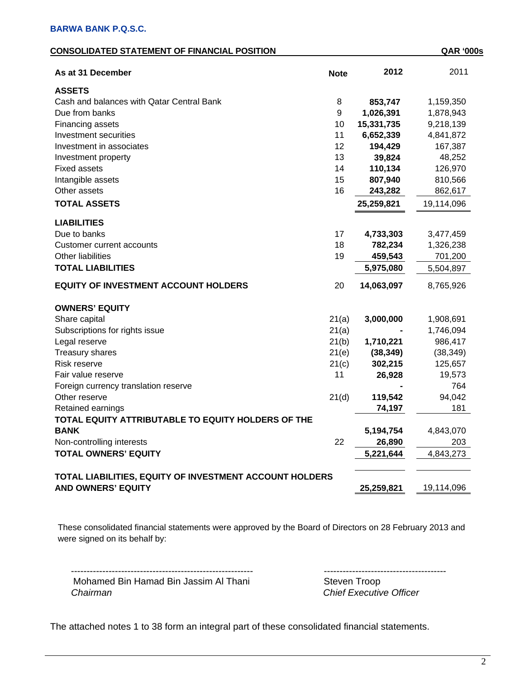| <b>CONSOLIDATED STATEMENT OF FINANCIAL POSITION</b> | <b>QAR '000s</b> |
|-----------------------------------------------------|------------------|
|-----------------------------------------------------|------------------|

| As at 31 December                                       | <b>Note</b> | 2012       | 2011       |
|---------------------------------------------------------|-------------|------------|------------|
| <b>ASSETS</b>                                           |             |            |            |
| Cash and balances with Qatar Central Bank               | 8           | 853,747    | 1,159,350  |
| Due from banks                                          | 9           | 1,026,391  | 1,878,943  |
| Financing assets                                        | 10          | 15,331,735 | 9,218,139  |
| Investment securities                                   | 11          | 6,652,339  | 4,841,872  |
| Investment in associates                                | 12          | 194,429    | 167,387    |
| Investment property                                     | 13          | 39,824     | 48,252     |
| <b>Fixed assets</b>                                     | 14          | 110,134    | 126,970    |
| Intangible assets                                       | 15          | 807,940    | 810,566    |
| Other assets                                            | 16          | 243,282    | 862,617    |
| <b>TOTAL ASSETS</b>                                     |             | 25,259,821 | 19,114,096 |
| <b>LIABILITIES</b>                                      |             |            |            |
| Due to banks                                            | 17          | 4,733,303  | 3,477,459  |
| <b>Customer current accounts</b>                        | 18          | 782,234    | 1,326,238  |
| <b>Other liabilities</b>                                | 19          | 459,543    | 701,200    |
| <b>TOTAL LIABILITIES</b>                                |             | 5,975,080  | 5,504,897  |
| <b>EQUITY OF INVESTMENT ACCOUNT HOLDERS</b>             | 20          | 14,063,097 | 8,765,926  |
| <b>OWNERS' EQUITY</b>                                   |             |            |            |
| Share capital                                           | 21(a)       | 3,000,000  | 1,908,691  |
| Subscriptions for rights issue                          | 21(a)       |            | 1,746,094  |
| Legal reserve                                           | 21(b)       | 1,710,221  | 986,417    |
| Treasury shares                                         | 21(e)       | (38, 349)  | (38, 349)  |
| <b>Risk reserve</b>                                     | 21(c)       | 302,215    | 125,657    |
| Fair value reserve                                      | 11          | 26,928     | 19,573     |
| Foreign currency translation reserve                    |             |            | 764        |
| Other reserve                                           | 21(d)       | 119,542    | 94,042     |
| Retained earnings                                       |             | 74,197     | 181        |
| TOTAL EQUITY ATTRIBUTABLE TO EQUITY HOLDERS OF THE      |             |            |            |
| <b>BANK</b>                                             |             | 5,194,754  | 4,843,070  |
| Non-controlling interests                               | 22          | 26,890     | 203        |
| <b>TOTAL OWNERS' EQUITY</b>                             |             | 5,221,644  | 4,843,273  |
| TOTAL LIABILITIES, EQUITY OF INVESTMENT ACCOUNT HOLDERS |             |            |            |
| <b>AND OWNERS' EQUITY</b>                               |             | 25,259,821 | 19,114,096 |

These consolidated financial statements were approved by the Board of Directors on 28 February 2013 and were signed on its behalf by:

Mohamed Bin Hamad Bin Jassim Al Thani Steven Troop  *Chairman Chief Executive Officer*

---------------------------------------------------------- ---------------------------------------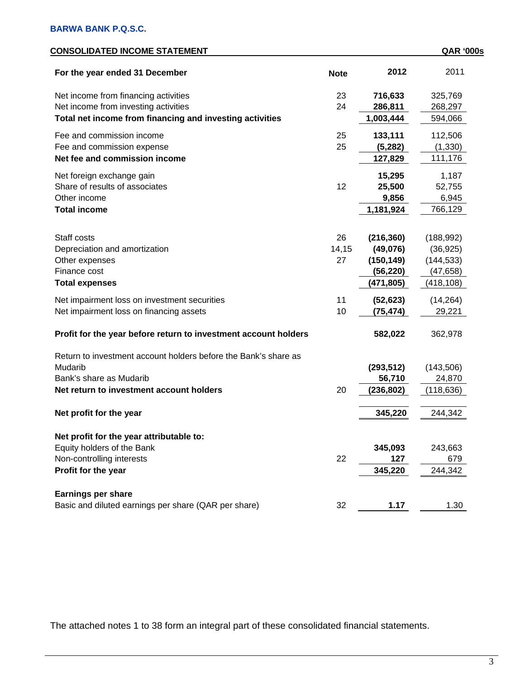| <b>CONSOLIDATED INCOME STATEMENT</b>                            |             |            | <b>QAR '000s</b> |
|-----------------------------------------------------------------|-------------|------------|------------------|
| For the year ended 31 December                                  | <b>Note</b> | 2012       | 2011             |
| Net income from financing activities                            | 23          | 716,633    | 325,769          |
| Net income from investing activities                            | 24          | 286,811    | 268,297          |
| Total net income from financing and investing activities        |             | 1,003,444  | 594,066          |
| Fee and commission income                                       | 25          | 133,111    | 112,506          |
| Fee and commission expense                                      | 25          | (5,282)    | (1, 330)         |
| Net fee and commission income                                   |             | 127,829    | 111,176          |
| Net foreign exchange gain                                       |             | 15,295     | 1,187            |
| Share of results of associates                                  | 12          | 25,500     | 52,755           |
| Other income                                                    |             | 9,856      | 6,945            |
| <b>Total income</b>                                             |             | 1,181,924  | 766,129          |
|                                                                 |             |            |                  |
| Staff costs                                                     | 26          | (216, 360) | (188, 992)       |
| Depreciation and amortization                                   | 14,15       | (49,076)   | (36, 925)        |
| Other expenses                                                  | 27          | (150, 149) | (144, 533)       |
| Finance cost                                                    |             | (56, 220)  | (47, 658)        |
| <b>Total expenses</b>                                           |             | (471, 805) | (418, 108)       |
| Net impairment loss on investment securities                    | 11          | (52, 623)  | (14, 264)        |
| Net impairment loss on financing assets                         | 10          | (75, 474)  | 29,221           |
| Profit for the year before return to investment account holders |             | 582,022    | 362,978          |
| Return to investment account holders before the Bank's share as |             |            |                  |
| Mudarib                                                         |             | (293, 512) | (143,506)        |
| Bank's share as Mudarib                                         |             | 56,710     | 24,870           |
| Net return to investment account holders                        | 20          | (236, 802) | (118, 636)       |
| Net profit for the year                                         |             | 345,220    | 244,342          |
|                                                                 |             |            |                  |
| Net profit for the year attributable to:                        |             |            |                  |
| Equity holders of the Bank                                      |             | 345,093    | 243,663          |
| Non-controlling interests                                       | 22          | 127        | 679              |
| Profit for the year                                             |             | 345,220    | 244,342          |
| <b>Earnings per share</b>                                       |             |            |                  |
| Basic and diluted earnings per share (QAR per share)            | 32          | 1.17       | 1.30             |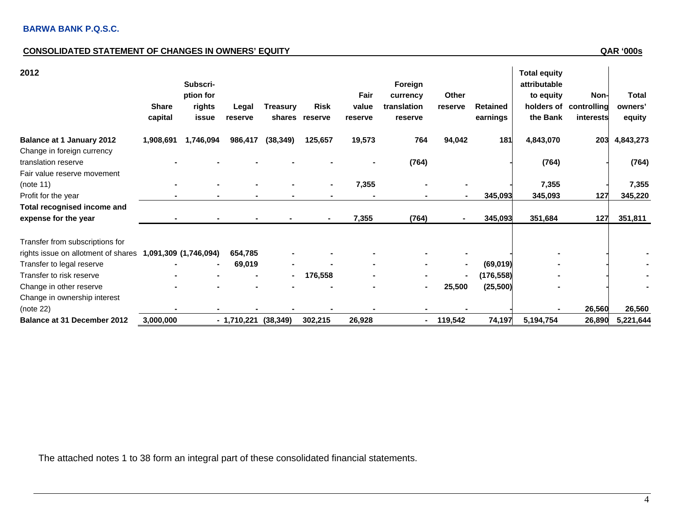# **CONSOLIDATED STATEMENT OF CHANGES IN OWNERS' EQUITY**

**QAR '000s** 

| 2012                                                      |              |           |              |                 |                |         |             |         |                 | <b>Total equity</b> |                        |              |
|-----------------------------------------------------------|--------------|-----------|--------------|-----------------|----------------|---------|-------------|---------|-----------------|---------------------|------------------------|--------------|
|                                                           |              | Subscri-  |              |                 |                |         | Foreign     |         |                 | attributable        |                        |              |
|                                                           |              | ption for |              |                 |                | Fair    | currency    | Other   |                 | to equity           | Non-                   | <b>Total</b> |
|                                                           | <b>Share</b> | rights    | Legal        | <b>Treasury</b> | Risk           | value   | translation | reserve | <b>Retained</b> |                     | holders of controlling | owners'      |
|                                                           | capital      | issue     | reserve      |                 | shares reserve | reserve | reserve     |         | earnings        | the Bank            | interests              | equity       |
| <b>Balance at 1 January 2012</b>                          | 1,908,691    | 1,746,094 | 986,417      | (38, 349)       | 125,657        | 19,573  | 764         | 94,042  | 181             | 4,843,070           | 203                    | 4,843,273    |
| Change in foreign currency                                |              |           |              |                 |                |         |             |         |                 |                     |                        |              |
| translation reserve                                       |              |           |              |                 |                |         | (764)       |         |                 | (764)               |                        | (764)        |
| Fair value reserve movement                               |              |           |              |                 |                |         |             |         |                 |                     |                        |              |
| (note 11)                                                 |              |           |              |                 |                | 7,355   |             |         |                 | 7,355               |                        | 7,355        |
| Profit for the year                                       |              |           |              |                 |                |         |             |         | 345,093         | 345,093             | 127                    | 345,220      |
| Total recognised income and                               |              |           |              |                 |                |         |             |         |                 |                     |                        |              |
| expense for the year                                      |              |           |              |                 | $\blacksquare$ | 7,355   | (764)       |         | 345,093         | 351,684             | 127                    | 351,811      |
| Transfer from subscriptions for                           |              |           |              |                 |                |         |             |         |                 |                     |                        |              |
| rights issue on allotment of shares 1,091,309 (1,746,094) |              |           | 654,785      |                 |                |         |             |         |                 |                     |                        |              |
| Transfer to legal reserve                                 |              |           | 69,019       |                 |                |         |             |         | (69, 019)       |                     |                        |              |
| Transfer to risk reserve                                  |              |           |              | $\blacksquare$  | 176,558        |         |             | ۰.      | (176, 558)      |                     |                        |              |
| Change in other reserve                                   |              |           |              |                 |                |         |             | 25,500  | (25, 500)       |                     |                        |              |
| Change in ownership interest                              |              |           |              |                 |                |         |             |         |                 |                     |                        |              |
| (note 22)                                                 |              |           |              |                 |                |         |             |         |                 |                     | 26,560                 | 26,560       |
| <b>Balance at 31 December 2012</b>                        | 3,000,000    |           | $-1,710,221$ | (38, 349)       | 302,215        | 26,928  | ۰           | 119,542 | 74,197          | 5,194,754           | 26,890                 | 5,221,644    |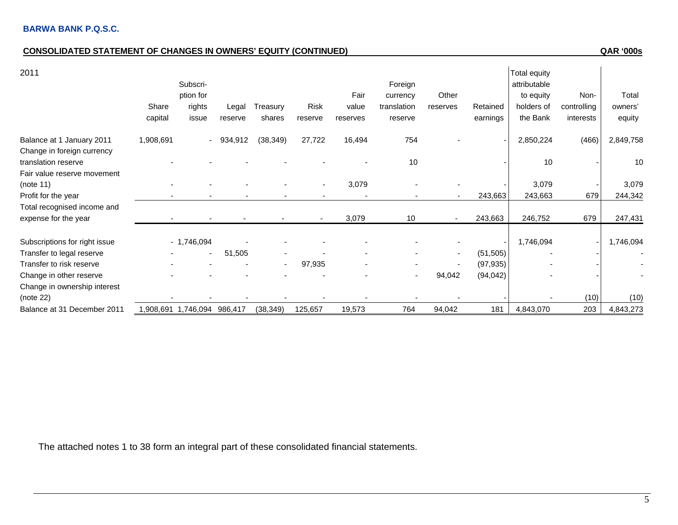# **CONSOLIDATED STATEMENT OF CHANGES IN OWNERS' EQUITY (CONTINUED) QAR '000s**

| 2011                          |           |                         |            |           |                          |          |             |                          |           | Total equity |             |           |
|-------------------------------|-----------|-------------------------|------------|-----------|--------------------------|----------|-------------|--------------------------|-----------|--------------|-------------|-----------|
|                               |           | Subscri-                |            |           |                          |          | Foreign     |                          |           | attributable |             |           |
|                               |           | ption for               |            |           |                          | Fair     | currency    | Other                    |           | to equity    | Non-        | Total     |
|                               | Share     | rights                  | Legal      | Treasury  | <b>Risk</b>              | value    | translation | reserves                 | Retained  | holders of   | controlling | owners'   |
|                               | capital   | issue                   | reserve    | shares    | reserve                  | reserves | reserve     |                          | earnings  | the Bank     | interests   | equity    |
| Balance at 1 January 2011     | 1,908,691 |                         | $-934,912$ | (38, 349) | 27,722                   | 16,494   | 754         |                          |           | 2,850,224    | (466)       | 2,849,758 |
| Change in foreign currency    |           |                         |            |           |                          |          |             |                          |           |              |             |           |
| translation reserve           |           |                         |            |           |                          |          | 10          |                          |           | 10           |             | 10        |
| Fair value reserve movement   |           |                         |            |           |                          |          |             |                          |           |              |             |           |
| (note 11)                     |           |                         |            |           |                          | 3,079    |             |                          |           | 3,079        |             | 3,079     |
| Profit for the year           |           |                         |            |           |                          |          |             |                          | 243,663   | 243,663      | 679         | 244,342   |
| Total recognised income and   |           |                         |            |           |                          |          |             |                          |           |              |             |           |
| expense for the year          |           |                         |            |           | $\overline{\phantom{a}}$ | 3,079    | 10          | $\sim$                   | 243,663   | 246,752      | 679         | 247,431   |
| Subscriptions for right issue |           | $-1,746,094$            |            |           |                          |          |             |                          |           | 1,746,094    |             | 1,746,094 |
| Transfer to legal reserve     |           |                         | 51,505     |           |                          |          |             | $\overline{\phantom{a}}$ | (51, 505) |              |             |           |
| Transfer to risk reserve      |           |                         |            |           | 97,935                   |          |             |                          | (97, 935) |              |             |           |
| Change in other reserve       |           |                         |            |           |                          |          |             | 94,042                   | (94, 042) |              |             |           |
| Change in ownership interest  |           |                         |            |           |                          |          |             |                          |           |              |             |           |
| (note 22)                     |           |                         |            |           |                          |          |             |                          |           |              | (10)        | (10)      |
| Balance at 31 December 2011   |           | 986,417,746,094 986,417 |            | (38, 349) | 125,657                  | 19,573   | 764         | 94,042                   | 181       | 4,843,070    | 203         | 4,843,273 |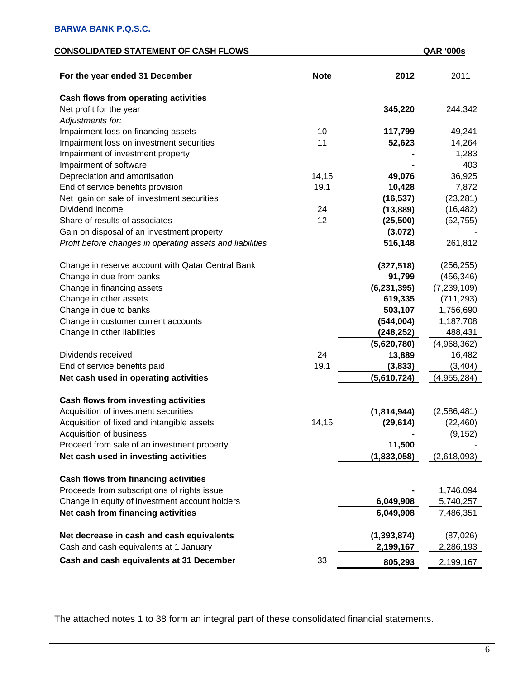# **CONSOLIDATED STATEMENT OF CASH FLOWS QAR '000s**

| For the year ended 31 December                            | <b>Note</b> | 2012          | 2011          |
|-----------------------------------------------------------|-------------|---------------|---------------|
| Cash flows from operating activities                      |             |               |               |
| Net profit for the year                                   |             | 345,220       | 244,342       |
| Adjustments for:                                          |             |               |               |
| Impairment loss on financing assets                       | 10          | 117,799       | 49,241        |
| Impairment loss on investment securities                  | 11          | 52,623        | 14,264        |
| Impairment of investment property                         |             |               | 1,283         |
| Impairment of software                                    |             |               | 403           |
| Depreciation and amortisation                             | 14,15       | 49,076        | 36,925        |
| End of service benefits provision                         | 19.1        | 10,428        | 7,872         |
| Net gain on sale of investment securities                 |             | (16, 537)     | (23, 281)     |
| Dividend income                                           | 24          | (13, 889)     | (16, 482)     |
| Share of results of associates                            | 12          | (25, 500)     | (52, 755)     |
| Gain on disposal of an investment property                |             | (3,072)       |               |
| Profit before changes in operating assets and liabilities |             | 516,148       | 261,812       |
| Change in reserve account with Qatar Central Bank         |             | (327, 518)    | (256, 255)    |
| Change in due from banks                                  |             | 91,799        | (456, 346)    |
| Change in financing assets                                |             | (6, 231, 395) | (7, 239, 109) |
| Change in other assets                                    |             | 619,335       | (711, 293)    |
| Change in due to banks                                    |             | 503,107       | 1,756,690     |
| Change in customer current accounts                       |             | (544, 004)    | 1,187,708     |
| Change in other liabilities                               |             | (248, 252)    | 488,431       |
|                                                           |             | (5,620,780)   | (4,968,362)   |
| Dividends received                                        | 24          | 13,889        | 16,482        |
| End of service benefits paid                              | 19.1        | (3,833)       | (3, 404)      |
| Net cash used in operating activities                     |             | (5,610,724)   | (4,955,284)   |
| Cash flows from investing activities                      |             |               |               |
| Acquisition of investment securities                      |             | (1,814,944)   | (2,586,481)   |
| Acquisition of fixed and intangible assets                | 14,15       | (29, 614)     | (22, 460)     |
| Acquisition of business                                   |             |               | (9, 152)      |
| Proceed from sale of an investment property               |             | 11,500        |               |
| Net cash used in investing activities                     |             | (1,833,058)   | (2,618,093)   |
| <b>Cash flows from financing activities</b>               |             |               |               |
| Proceeds from subscriptions of rights issue               |             |               | 1,746,094     |
| Change in equity of investment account holders            |             | 6,049,908     | 5,740,257     |
| Net cash from financing activities                        |             | 6,049,908     | 7,486,351     |
| Net decrease in cash and cash equivalents                 |             | (1, 393, 874) | (87,026)      |
| Cash and cash equivalents at 1 January                    |             | 2,199,167     | 2,286,193     |
| Cash and cash equivalents at 31 December                  | 33          | 805,293       | 2,199,167     |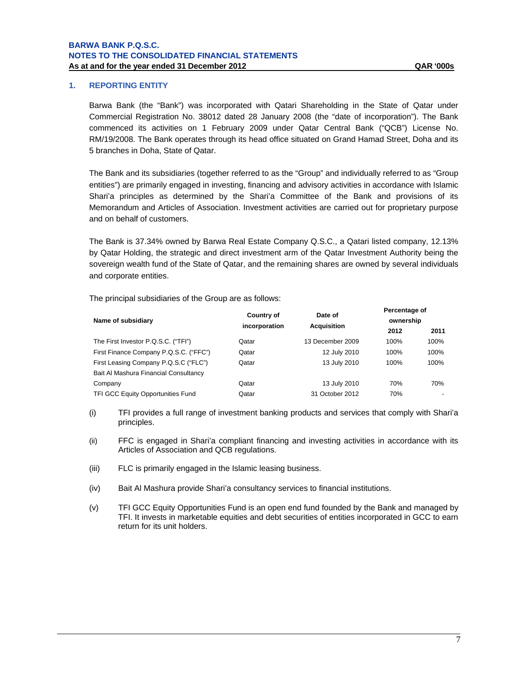# **1. REPORTING ENTITY**

Barwa Bank (the "Bank") was incorporated with Qatari Shareholding in the State of Qatar under Commercial Registration No. 38012 dated 28 January 2008 (the "date of incorporation"). The Bank commenced its activities on 1 February 2009 under Qatar Central Bank ("QCB") License No. RM/19/2008. The Bank operates through its head office situated on Grand Hamad Street, Doha and its 5 branches in Doha, State of Qatar.

The Bank and its subsidiaries (together referred to as the "Group" and individually referred to as "Group entities") are primarily engaged in investing, financing and advisory activities in accordance with Islamic Shari'a principles as determined by the Shari'a Committee of the Bank and provisions of its Memorandum and Articles of Association. Investment activities are carried out for proprietary purpose and on behalf of customers.

The Bank is 37.34% owned by Barwa Real Estate Company Q.S.C., a Qatari listed company, 12.13% by Qatar Holding, the strategic and direct investment arm of the Qatar Investment Authority being the sovereign wealth fund of the State of Qatar, and the remaining shares are owned by several individuals and corporate entities.

The principal subsidiaries of the Group are as follows:

| Name of subsidiary                       | Country of<br>incorporation | Date of<br><b>Acquisition</b> | Percentage of<br>ownership |      |  |
|------------------------------------------|-----------------------------|-------------------------------|----------------------------|------|--|
|                                          |                             |                               | 2012                       | 2011 |  |
| The First Investor P.Q.S.C. ("TFI")      | Qatar                       | 13 December 2009              | 100%                       | 100% |  |
| First Finance Company P.Q.S.C. ("FFC")   | Qatar                       | 12 July 2010                  | 100%                       | 100% |  |
| First Leasing Company P.Q.S.C ("FLC")    | Qatar                       | 13 July 2010                  | 100%                       | 100% |  |
| Bait Al Mashura Financial Consultancy    |                             |                               |                            |      |  |
| Company                                  | Qatar                       | 13 July 2010                  | 70%                        | 70%  |  |
| <b>TFI GCC Equity Opportunities Fund</b> | Qatar                       | 31 October 2012               | 70%                        | $\,$ |  |

- (i) TFI provides a full range of investment banking products and services that comply with Shari'a principles.
- (ii) FFC is engaged in Shari'a compliant financing and investing activities in accordance with its Articles of Association and QCB regulations.
- (iii) FLC is primarily engaged in the Islamic leasing business.
- (iv) Bait Al Mashura provide Shari'a consultancy services to financial institutions.
- (v) TFI GCC Equity Opportunities Fund is an open end fund founded by the Bank and managed by TFI. It invests in marketable equities and debt securities of entities incorporated in GCC to earn return for its unit holders.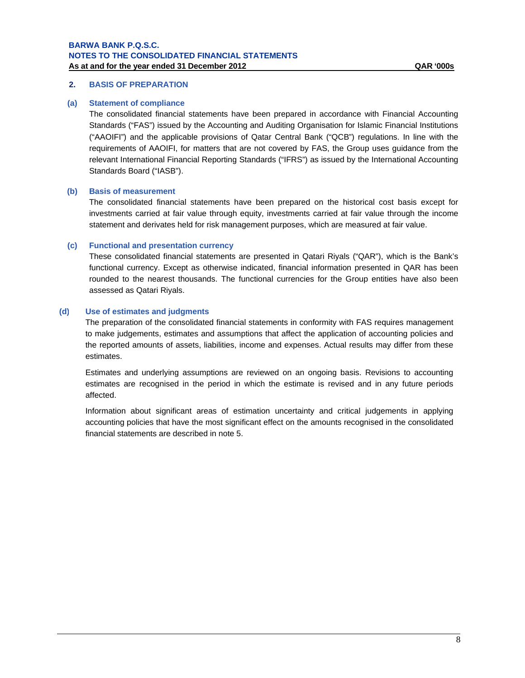# **2. BASIS OF PREPARATION**

### **(a) Statement of compliance**

The consolidated financial statements have been prepared in accordance with Financial Accounting Standards ("FAS") issued by the Accounting and Auditing Organisation for Islamic Financial Institutions ("AAOIFI") and the applicable provisions of Qatar Central Bank ("QCB") regulations. In line with the requirements of AAOIFI, for matters that are not covered by FAS, the Group uses guidance from the relevant International Financial Reporting Standards ("IFRS") as issued by the International Accounting Standards Board ("IASB").

### **(b) Basis of measurement**

The consolidated financial statements have been prepared on the historical cost basis except for investments carried at fair value through equity, investments carried at fair value through the income statement and derivates held for risk management purposes, which are measured at fair value.

### **(c) Functional and presentation currency**

These consolidated financial statements are presented in Qatari Riyals ("QAR"), which is the Bank's functional currency. Except as otherwise indicated, financial information presented in QAR has been rounded to the nearest thousands. The functional currencies for the Group entities have also been assessed as Qatari Riyals.

### **(d) Use of estimates and judgments**

The preparation of the consolidated financial statements in conformity with FAS requires management to make judgements, estimates and assumptions that affect the application of accounting policies and the reported amounts of assets, liabilities, income and expenses. Actual results may differ from these estimates.

Estimates and underlying assumptions are reviewed on an ongoing basis. Revisions to accounting estimates are recognised in the period in which the estimate is revised and in any future periods affected.

Information about significant areas of estimation uncertainty and critical judgements in applying accounting policies that have the most significant effect on the amounts recognised in the consolidated financial statements are described in note 5.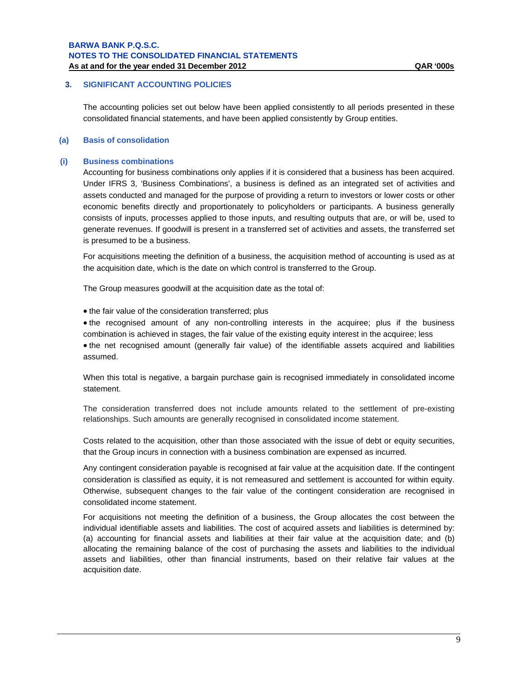# **3. SIGNIFICANT ACCOUNTING POLICIES**

The accounting policies set out below have been applied consistently to all periods presented in these consolidated financial statements, and have been applied consistently by Group entities.

### **(a) Basis of consolidation**

### **(i) Business combinations**

Accounting for business combinations only applies if it is considered that a business has been acquired. Under IFRS 3, 'Business Combinations', a business is defined as an integrated set of activities and assets conducted and managed for the purpose of providing a return to investors or lower costs or other economic benefits directly and proportionately to policyholders or participants. A business generally consists of inputs, processes applied to those inputs, and resulting outputs that are, or will be, used to generate revenues. If goodwill is present in a transferred set of activities and assets, the transferred set is presumed to be a business.

For acquisitions meeting the definition of a business, the acquisition method of accounting is used as at the acquisition date, which is the date on which control is transferred to the Group.

The Group measures goodwill at the acquisition date as the total of:

• the fair value of the consideration transferred; plus

 the recognised amount of any non-controlling interests in the acquiree; plus if the business combination is achieved in stages, the fair value of the existing equity interest in the acquiree; less the net recognised amount (generally fair value) of the identifiable assets acquired and liabilities assumed.

When this total is negative, a bargain purchase gain is recognised immediately in consolidated income statement.

The consideration transferred does not include amounts related to the settlement of pre-existing relationships. Such amounts are generally recognised in consolidated income statement.

Costs related to the acquisition, other than those associated with the issue of debt or equity securities, that the Group incurs in connection with a business combination are expensed as incurred.

Any contingent consideration payable is recognised at fair value at the acquisition date. If the contingent consideration is classified as equity, it is not remeasured and settlement is accounted for within equity. Otherwise, subsequent changes to the fair value of the contingent consideration are recognised in consolidated income statement.

For acquisitions not meeting the definition of a business, the Group allocates the cost between the individual identifiable assets and liabilities. The cost of acquired assets and liabilities is determined by: (a) accounting for financial assets and liabilities at their fair value at the acquisition date; and (b) allocating the remaining balance of the cost of purchasing the assets and liabilities to the individual assets and liabilities, other than financial instruments, based on their relative fair values at the acquisition date.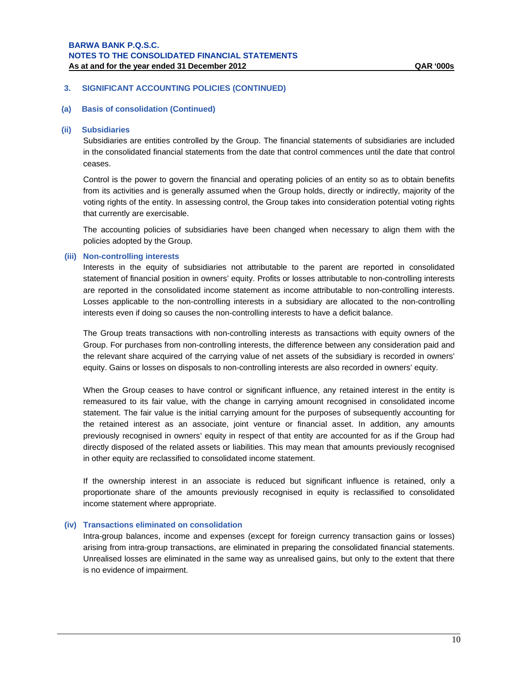# **(a) Basis of consolidation (Continued)**

### **(ii) Subsidiaries**

Subsidiaries are entities controlled by the Group. The financial statements of subsidiaries are included in the consolidated financial statements from the date that control commences until the date that control ceases.

Control is the power to govern the financial and operating policies of an entity so as to obtain benefits from its activities and is generally assumed when the Group holds, directly or indirectly, majority of the voting rights of the entity. In assessing control, the Group takes into consideration potential voting rights that currently are exercisable.

The accounting policies of subsidiaries have been changed when necessary to align them with the policies adopted by the Group.

### **(iii) Non-controlling interests**

Interests in the equity of subsidiaries not attributable to the parent are reported in consolidated statement of financial position in owners' equity. Profits or losses attributable to non-controlling interests are reported in the consolidated income statement as income attributable to non-controlling interests. Losses applicable to the non-controlling interests in a subsidiary are allocated to the non-controlling interests even if doing so causes the non-controlling interests to have a deficit balance.

The Group treats transactions with non-controlling interests as transactions with equity owners of the Group. For purchases from non-controlling interests, the difference between any consideration paid and the relevant share acquired of the carrying value of net assets of the subsidiary is recorded in owners' equity. Gains or losses on disposals to non-controlling interests are also recorded in owners' equity.

When the Group ceases to have control or significant influence, any retained interest in the entity is remeasured to its fair value, with the change in carrying amount recognised in consolidated income statement. The fair value is the initial carrying amount for the purposes of subsequently accounting for the retained interest as an associate, joint venture or financial asset. In addition, any amounts previously recognised in owners' equity in respect of that entity are accounted for as if the Group had directly disposed of the related assets or liabilities. This may mean that amounts previously recognised in other equity are reclassified to consolidated income statement.

If the ownership interest in an associate is reduced but significant influence is retained, only a proportionate share of the amounts previously recognised in equity is reclassified to consolidated income statement where appropriate.

### **(iv) Transactions eliminated on consolidation**

Intra-group balances, income and expenses (except for foreign currency transaction gains or losses) arising from intra-group transactions, are eliminated in preparing the consolidated financial statements. Unrealised losses are eliminated in the same way as unrealised gains, but only to the extent that there is no evidence of impairment.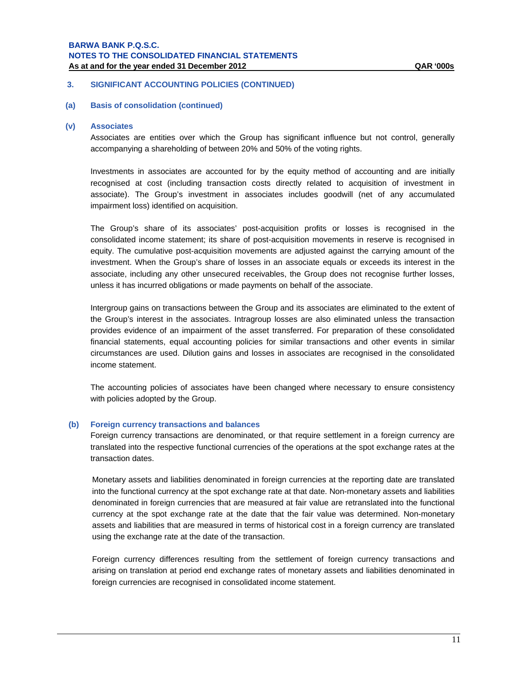### **3. SIGNIFICANT ACCOUNTING POLICIES (CONTINUED)**

# **(a) Basis of consolidation (continued)**

### **(v) Associates**

Associates are entities over which the Group has significant influence but not control, generally accompanying a shareholding of between 20% and 50% of the voting rights.

Investments in associates are accounted for by the equity method of accounting and are initially recognised at cost (including transaction costs directly related to acquisition of investment in associate). The Group's investment in associates includes goodwill (net of any accumulated impairment loss) identified on acquisition.

The Group's share of its associates' post-acquisition profits or losses is recognised in the consolidated income statement; its share of post-acquisition movements in reserve is recognised in equity. The cumulative post-acquisition movements are adjusted against the carrying amount of the investment. When the Group's share of losses in an associate equals or exceeds its interest in the associate, including any other unsecured receivables, the Group does not recognise further losses, unless it has incurred obligations or made payments on behalf of the associate.

Intergroup gains on transactions between the Group and its associates are eliminated to the extent of the Group's interest in the associates. Intragroup losses are also eliminated unless the transaction provides evidence of an impairment of the asset transferred. For preparation of these consolidated financial statements, equal accounting policies for similar transactions and other events in similar circumstances are used. Dilution gains and losses in associates are recognised in the consolidated income statement.

The accounting policies of associates have been changed where necessary to ensure consistency with policies adopted by the Group.

### **(b) Foreign currency transactions and balances**

Foreign currency transactions are denominated, or that require settlement in a foreign currency are translated into the respective functional currencies of the operations at the spot exchange rates at the transaction dates.

Monetary assets and liabilities denominated in foreign currencies at the reporting date are translated into the functional currency at the spot exchange rate at that date. Non-monetary assets and liabilities denominated in foreign currencies that are measured at fair value are retranslated into the functional currency at the spot exchange rate at the date that the fair value was determined. Non-monetary assets and liabilities that are measured in terms of historical cost in a foreign currency are translated using the exchange rate at the date of the transaction.

Foreign currency differences resulting from the settlement of foreign currency transactions and arising on translation at period end exchange rates of monetary assets and liabilities denominated in foreign currencies are recognised in consolidated income statement.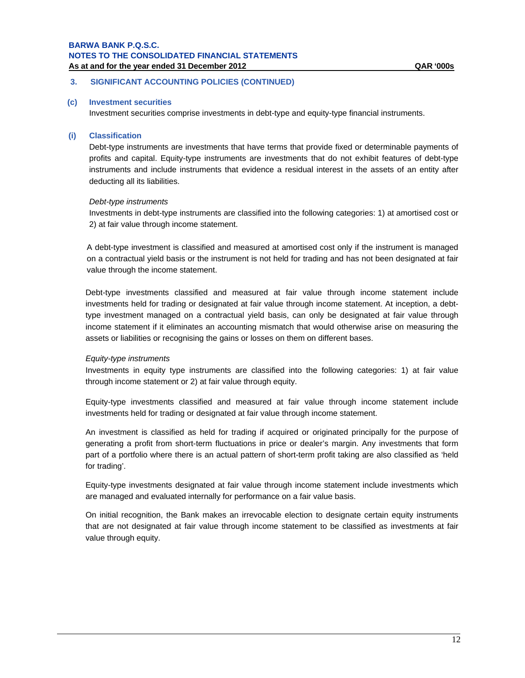# **3. SIGNIFICANT ACCOUNTING POLICIES (CONTINUED)**

### **(c) Investment securities**

Investment securities comprise investments in debt-type and equity-type financial instruments.

### **(i) Classification**

Debt-type instruments are investments that have terms that provide fixed or determinable payments of profits and capital. Equity-type instruments are investments that do not exhibit features of debt-type instruments and include instruments that evidence a residual interest in the assets of an entity after deducting all its liabilities.

### *Debt-type instruments*

Investments in debt-type instruments are classified into the following categories: 1) at amortised cost or 2) at fair value through income statement.

A debt-type investment is classified and measured at amortised cost only if the instrument is managed on a contractual yield basis or the instrument is not held for trading and has not been designated at fair value through the income statement.

Debt-type investments classified and measured at fair value through income statement include investments held for trading or designated at fair value through income statement. At inception, a debttype investment managed on a contractual yield basis, can only be designated at fair value through income statement if it eliminates an accounting mismatch that would otherwise arise on measuring the assets or liabilities or recognising the gains or losses on them on different bases.

### *Equity-type instruments*

Investments in equity type instruments are classified into the following categories: 1) at fair value through income statement or 2) at fair value through equity.

Equity-type investments classified and measured at fair value through income statement include investments held for trading or designated at fair value through income statement.

An investment is classified as held for trading if acquired or originated principally for the purpose of generating a profit from short-term fluctuations in price or dealer's margin. Any investments that form part of a portfolio where there is an actual pattern of short-term profit taking are also classified as 'held for trading'.

Equity-type investments designated at fair value through income statement include investments which are managed and evaluated internally for performance on a fair value basis.

On initial recognition, the Bank makes an irrevocable election to designate certain equity instruments that are not designated at fair value through income statement to be classified as investments at fair value through equity.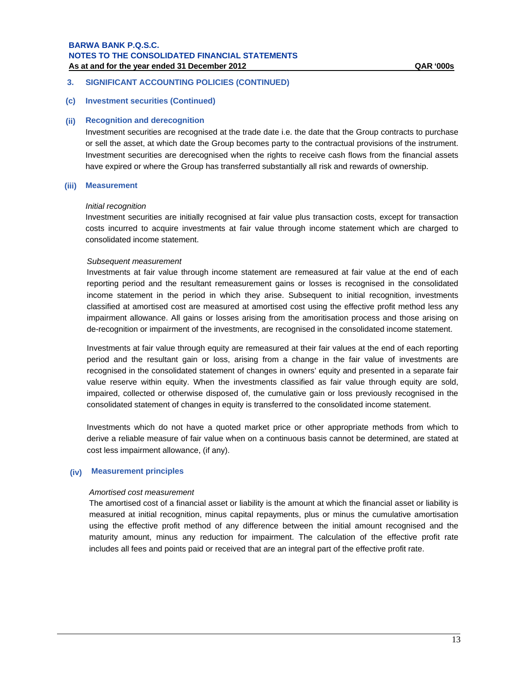# **3. SIGNIFICANT ACCOUNTING POLICIES (CONTINUED)**

### **(c) Investment securities (Continued)**

### **(ii) Recognition and derecognition**

Investment securities are recognised at the trade date i.e. the date that the Group contracts to purchase or sell the asset, at which date the Group becomes party to the contractual provisions of the instrument. Investment securities are derecognised when the rights to receive cash flows from the financial assets have expired or where the Group has transferred substantially all risk and rewards of ownership.

# **(iii) Measurement**

### *Initial recognition*

Investment securities are initially recognised at fair value plus transaction costs, except for transaction costs incurred to acquire investments at fair value through income statement which are charged to consolidated income statement.

### *Subsequent measurement*

Investments at fair value through income statement are remeasured at fair value at the end of each reporting period and the resultant remeasurement gains or losses is recognised in the consolidated income statement in the period in which they arise. Subsequent to initial recognition, investments classified at amortised cost are measured at amortised cost using the effective profit method less any impairment allowance. All gains or losses arising from the amoritisation process and those arising on de-recognition or impairment of the investments, are recognised in the consolidated income statement.

Investments at fair value through equity are remeasured at their fair values at the end of each reporting period and the resultant gain or loss, arising from a change in the fair value of investments are recognised in the consolidated statement of changes in owners' equity and presented in a separate fair value reserve within equity. When the investments classified as fair value through equity are sold, impaired, collected or otherwise disposed of, the cumulative gain or loss previously recognised in the consolidated statement of changes in equity is transferred to the consolidated income statement.

Investments which do not have a quoted market price or other appropriate methods from which to derive a reliable measure of fair value when on a continuous basis cannot be determined, are stated at cost less impairment allowance, (if any).

### **(iv) Measurement principles**

### *Amortised cost measurement*

The amortised cost of a financial asset or liability is the amount at which the financial asset or liability is measured at initial recognition, minus capital repayments, plus or minus the cumulative amortisation using the effective profit method of any difference between the initial amount recognised and the maturity amount, minus any reduction for impairment. The calculation of the effective profit rate includes all fees and points paid or received that are an integral part of the effective profit rate.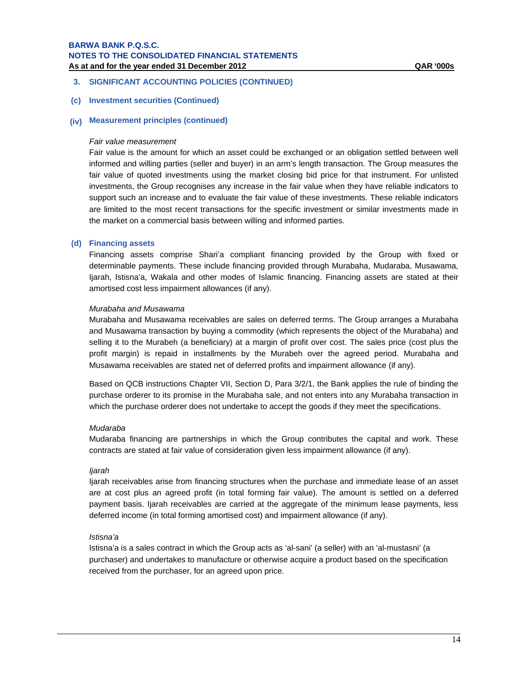# **3. SIGNIFICANT ACCOUNTING POLICIES (CONTINUED)**

### **(c) Investment securities (Continued)**

# **(iv) Measurement principles (continued)**

### *Fair value measurement*

Fair value is the amount for which an asset could be exchanged or an obligation settled between well informed and willing parties (seller and buyer) in an arm's length transaction. The Group measures the fair value of quoted investments using the market closing bid price for that instrument. For unlisted investments, the Group recognises any increase in the fair value when they have reliable indicators to support such an increase and to evaluate the fair value of these investments. These reliable indicators are limited to the most recent transactions for the specific investment or similar investments made in the market on a commercial basis between willing and informed parties.

### **(d) Financing assets**

Financing assets comprise Shari'a compliant financing provided by the Group with fixed or determinable payments. These include financing provided through Murabaha, Mudaraba, Musawama, Ijarah, Istisna'a, Wakala and other modes of Islamic financing. Financing assets are stated at their amortised cost less impairment allowances (if any).

### *Murabaha and Musawama*

Murabaha and Musawama receivables are sales on deferred terms. The Group arranges a Murabaha and Musawama transaction by buying a commodity (which represents the object of the Murabaha) and selling it to the Murabeh (a beneficiary) at a margin of profit over cost. The sales price (cost plus the profit margin) is repaid in installments by the Murabeh over the agreed period. Murabaha and Musawama receivables are stated net of deferred profits and impairment allowance (if any).

Based on QCB instructions Chapter VII, Section D, Para 3/2/1, the Bank applies the rule of binding the purchase orderer to its promise in the Murabaha sale, and not enters into any Murabaha transaction in which the purchase orderer does not undertake to accept the goods if they meet the specifications.

### *Mudaraba*

Mudaraba financing are partnerships in which the Group contributes the capital and work. These contracts are stated at fair value of consideration given less impairment allowance (if any).

### *Ijarah*

Ijarah receivables arise from financing structures when the purchase and immediate lease of an asset are at cost plus an agreed profit (in total forming fair value). The amount is settled on a deferred payment basis. Ijarah receivables are carried at the aggregate of the minimum lease payments, less deferred income (in total forming amortised cost) and impairment allowance (if any).

### *Istisna'a*

Istisna'a is a sales contract in which the Group acts as 'al-sani' (a seller) with an 'al-mustasni' (a purchaser) and undertakes to manufacture or otherwise acquire a product based on the specification received from the purchaser, for an agreed upon price.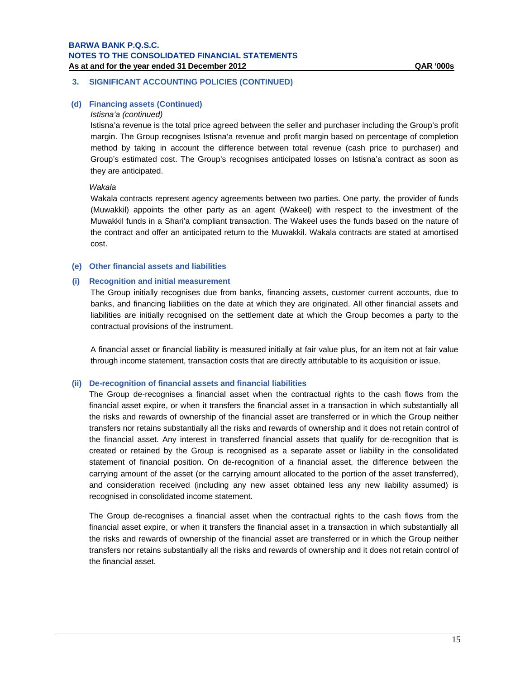# **3. SIGNIFICANT ACCOUNTING POLICIES (CONTINUED)**

# **(d) Financing assets (Continued)**

### *Istisna'a (continued)*

Istisna'a revenue is the total price agreed between the seller and purchaser including the Group's profit margin. The Group recognises Istisna'a revenue and profit margin based on percentage of completion method by taking in account the difference between total revenue (cash price to purchaser) and Group's estimated cost. The Group's recognises anticipated losses on Istisna'a contract as soon as they are anticipated.

### *Wakala*

Wakala contracts represent agency agreements between two parties. One party, the provider of funds (Muwakkil) appoints the other party as an agent (Wakeel) with respect to the investment of the Muwakkil funds in a Shari'a compliant transaction. The Wakeel uses the funds based on the nature of the contract and offer an anticipated return to the Muwakkil. Wakala contracts are stated at amortised cost.

# **(e) Other financial assets and liabilities**

### **(i) Recognition and initial measurement**

The Group initially recognises due from banks, financing assets, customer current accounts, due to banks, and financing liabilities on the date at which they are originated. All other financial assets and liabilities are initially recognised on the settlement date at which the Group becomes a party to the contractual provisions of the instrument.

A financial asset or financial liability is measured initially at fair value plus, for an item not at fair value through income statement, transaction costs that are directly attributable to its acquisition or issue.

### **(ii) De-recognition of financial assets and financial liabilities**

The Group de-recognises a financial asset when the contractual rights to the cash flows from the financial asset expire, or when it transfers the financial asset in a transaction in which substantially all the risks and rewards of ownership of the financial asset are transferred or in which the Group neither transfers nor retains substantially all the risks and rewards of ownership and it does not retain control of the financial asset. Any interest in transferred financial assets that qualify for de-recognition that is created or retained by the Group is recognised as a separate asset or liability in the consolidated statement of financial position. On de-recognition of a financial asset, the difference between the carrying amount of the asset (or the carrying amount allocated to the portion of the asset transferred), and consideration received (including any new asset obtained less any new liability assumed) is recognised in consolidated income statement.

The Group de-recognises a financial asset when the contractual rights to the cash flows from the financial asset expire, or when it transfers the financial asset in a transaction in which substantially all the risks and rewards of ownership of the financial asset are transferred or in which the Group neither transfers nor retains substantially all the risks and rewards of ownership and it does not retain control of the financial asset.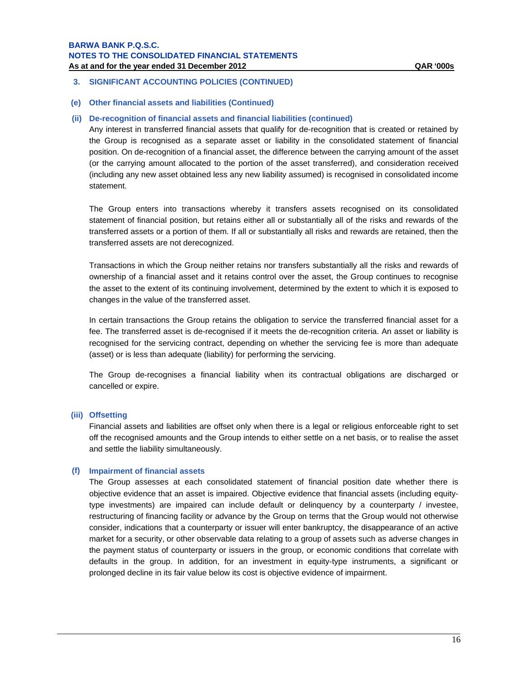# **3. SIGNIFICANT ACCOUNTING POLICIES (CONTINUED)**

# **(e) Other financial assets and liabilities (Continued)**

# **(ii) De-recognition of financial assets and financial liabilities (continued)**

Any interest in transferred financial assets that qualify for de-recognition that is created or retained by the Group is recognised as a separate asset or liability in the consolidated statement of financial position. On de-recognition of a financial asset, the difference between the carrying amount of the asset (or the carrying amount allocated to the portion of the asset transferred), and consideration received (including any new asset obtained less any new liability assumed) is recognised in consolidated income statement.

The Group enters into transactions whereby it transfers assets recognised on its consolidated statement of financial position, but retains either all or substantially all of the risks and rewards of the transferred assets or a portion of them. If all or substantially all risks and rewards are retained, then the transferred assets are not derecognized.

Transactions in which the Group neither retains nor transfers substantially all the risks and rewards of ownership of a financial asset and it retains control over the asset, the Group continues to recognise the asset to the extent of its continuing involvement, determined by the extent to which it is exposed to changes in the value of the transferred asset.

In certain transactions the Group retains the obligation to service the transferred financial asset for a fee. The transferred asset is de-recognised if it meets the de-recognition criteria. An asset or liability is recognised for the servicing contract, depending on whether the servicing fee is more than adequate (asset) or is less than adequate (liability) for performing the servicing.

The Group de-recognises a financial liability when its contractual obligations are discharged or cancelled or expire.

### **(iii) Offsetting**

Financial assets and liabilities are offset only when there is a legal or religious enforceable right to set off the recognised amounts and the Group intends to either settle on a net basis, or to realise the asset and settle the liability simultaneously.

### **(f) Impairment of financial assets**

The Group assesses at each consolidated statement of financial position date whether there is objective evidence that an asset is impaired. Objective evidence that financial assets (including equitytype investments) are impaired can include default or delinquency by a counterparty / investee, restructuring of financing facility or advance by the Group on terms that the Group would not otherwise consider, indications that a counterparty or issuer will enter bankruptcy, the disappearance of an active market for a security, or other observable data relating to a group of assets such as adverse changes in the payment status of counterparty or issuers in the group, or economic conditions that correlate with defaults in the group. In addition, for an investment in equity-type instruments, a significant or prolonged decline in its fair value below its cost is objective evidence of impairment.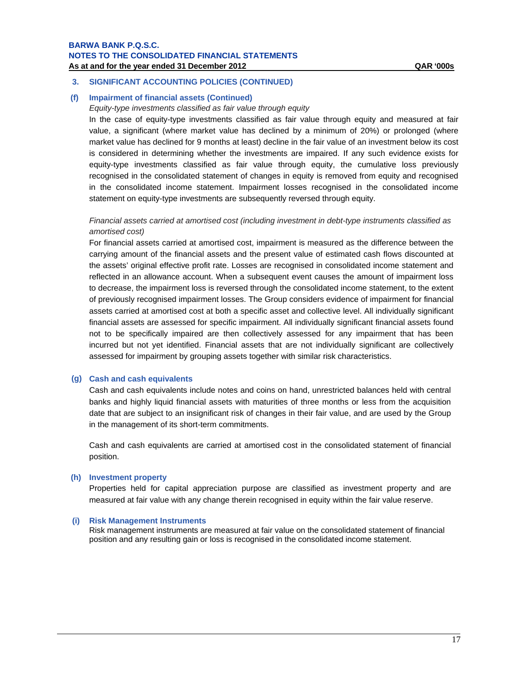# **3. SIGNIFICANT ACCOUNTING POLICIES (CONTINUED)**

# **(f) Impairment of financial assets (Continued)**

# *Equity-type investments classified as fair value through equity*

In the case of equity-type investments classified as fair value through equity and measured at fair value, a significant (where market value has declined by a minimum of 20%) or prolonged (where market value has declined for 9 months at least) decline in the fair value of an investment below its cost is considered in determining whether the investments are impaired. If any such evidence exists for equity-type investments classified as fair value through equity, the cumulative loss previously recognised in the consolidated statement of changes in equity is removed from equity and recognised in the consolidated income statement. Impairment losses recognised in the consolidated income statement on equity-type investments are subsequently reversed through equity.

# *Financial assets carried at amortised cost (including investment in debt-type instruments classified as amortised cost)*

For financial assets carried at amortised cost, impairment is measured as the difference between the carrying amount of the financial assets and the present value of estimated cash flows discounted at the assets' original effective profit rate. Losses are recognised in consolidated income statement and reflected in an allowance account. When a subsequent event causes the amount of impairment loss to decrease, the impairment loss is reversed through the consolidated income statement, to the extent of previously recognised impairment losses. The Group considers evidence of impairment for financial assets carried at amortised cost at both a specific asset and collective level. All individually significant financial assets are assessed for specific impairment. All individually significant financial assets found not to be specifically impaired are then collectively assessed for any impairment that has been incurred but not yet identified. Financial assets that are not individually significant are collectively assessed for impairment by grouping assets together with similar risk characteristics.

### **(g) Cash and cash equivalents**

Cash and cash equivalents include notes and coins on hand, unrestricted balances held with central banks and highly liquid financial assets with maturities of three months or less from the acquisition date that are subject to an insignificant risk of changes in their fair value, and are used by the Group in the management of its short-term commitments.

Cash and cash equivalents are carried at amortised cost in the consolidated statement of financial position.

### **(h) Investment property**

Properties held for capital appreciation purpose are classified as investment property and are measured at fair value with any change therein recognised in equity within the fair value reserve.

### **(i) Risk Management Instruments**

Risk management instruments are measured at fair value on the consolidated statement of financial position and any resulting gain or loss is recognised in the consolidated income statement.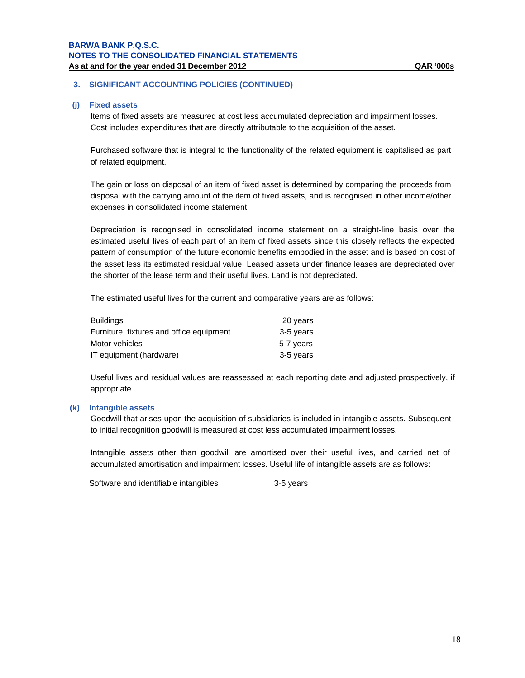# **3. SIGNIFICANT ACCOUNTING POLICIES (CONTINUED)**

### **(j) Fixed assets**

Items of fixed assets are measured at cost less accumulated depreciation and impairment losses. Cost includes expenditures that are directly attributable to the acquisition of the asset.

Purchased software that is integral to the functionality of the related equipment is capitalised as part of related equipment.

The gain or loss on disposal of an item of fixed asset is determined by comparing the proceeds from disposal with the carrying amount of the item of fixed assets, and is recognised in other income/other expenses in consolidated income statement.

Depreciation is recognised in consolidated income statement on a straight-line basis over the estimated useful lives of each part of an item of fixed assets since this closely reflects the expected pattern of consumption of the future economic benefits embodied in the asset and is based on cost of the asset less its estimated residual value. Leased assets under finance leases are depreciated over the shorter of the lease term and their useful lives. Land is not depreciated.

The estimated useful lives for the current and comparative years are as follows:

| <b>Buildings</b>                         | 20 years  |
|------------------------------------------|-----------|
| Furniture, fixtures and office equipment | 3-5 years |
| Motor vehicles                           | 5-7 years |
| IT equipment (hardware)                  | 3-5 years |

Useful lives and residual values are reassessed at each reporting date and adjusted prospectively, if appropriate.

### **(k) Intangible assets**

Goodwill that arises upon the acquisition of subsidiaries is included in intangible assets. Subsequent to initial recognition goodwill is measured at cost less accumulated impairment losses.

Intangible assets other than goodwill are amortised over their useful lives, and carried net of accumulated amortisation and impairment losses. Useful life of intangible assets are as follows:

Software and identifiable intangibles 3-5 years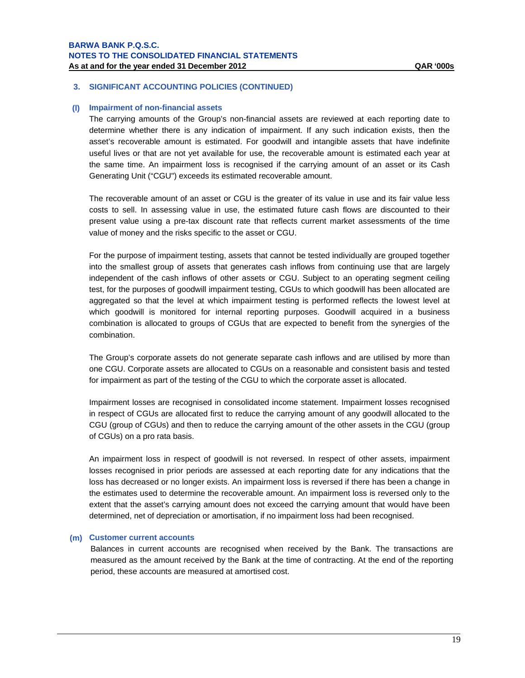### **(l) Impairment of non-financial assets**

The carrying amounts of the Group's non-financial assets are reviewed at each reporting date to determine whether there is any indication of impairment. If any such indication exists, then the asset's recoverable amount is estimated. For goodwill and intangible assets that have indefinite useful lives or that are not yet available for use, the recoverable amount is estimated each year at the same time. An impairment loss is recognised if the carrying amount of an asset or its Cash Generating Unit ("CGU") exceeds its estimated recoverable amount.

The recoverable amount of an asset or CGU is the greater of its value in use and its fair value less costs to sell. In assessing value in use, the estimated future cash flows are discounted to their present value using a pre-tax discount rate that reflects current market assessments of the time value of money and the risks specific to the asset or CGU.

For the purpose of impairment testing, assets that cannot be tested individually are grouped together into the smallest group of assets that generates cash inflows from continuing use that are largely independent of the cash inflows of other assets or CGU. Subject to an operating segment ceiling test, for the purposes of goodwill impairment testing, CGUs to which goodwill has been allocated are aggregated so that the level at which impairment testing is performed reflects the lowest level at which goodwill is monitored for internal reporting purposes. Goodwill acquired in a business combination is allocated to groups of CGUs that are expected to benefit from the synergies of the combination.

The Group's corporate assets do not generate separate cash inflows and are utilised by more than one CGU. Corporate assets are allocated to CGUs on a reasonable and consistent basis and tested for impairment as part of the testing of the CGU to which the corporate asset is allocated.

Impairment losses are recognised in consolidated income statement. Impairment losses recognised in respect of CGUs are allocated first to reduce the carrying amount of any goodwill allocated to the CGU (group of CGUs) and then to reduce the carrying amount of the other assets in the CGU (group of CGUs) on a pro rata basis.

An impairment loss in respect of goodwill is not reversed. In respect of other assets, impairment losses recognised in prior periods are assessed at each reporting date for any indications that the loss has decreased or no longer exists. An impairment loss is reversed if there has been a change in the estimates used to determine the recoverable amount. An impairment loss is reversed only to the extent that the asset's carrying amount does not exceed the carrying amount that would have been determined, net of depreciation or amortisation, if no impairment loss had been recognised.

### **(m) Customer current accounts**

Balances in current accounts are recognised when received by the Bank. The transactions are measured as the amount received by the Bank at the time of contracting. At the end of the reporting period, these accounts are measured at amortised cost.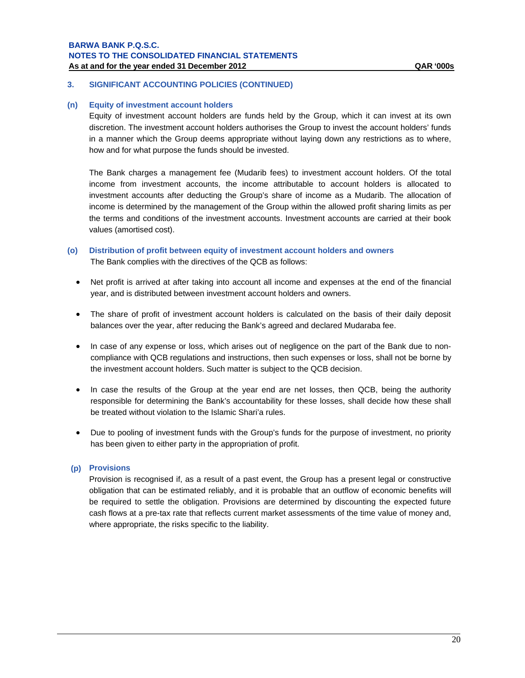# **3. SIGNIFICANT ACCOUNTING POLICIES (CONTINUED)**

### **(n) Equity of investment account holders**

Equity of investment account holders are funds held by the Group, which it can invest at its own discretion. The investment account holders authorises the Group to invest the account holders' funds in a manner which the Group deems appropriate without laying down any restrictions as to where, how and for what purpose the funds should be invested.

The Bank charges a management fee (Mudarib fees) to investment account holders. Of the total income from investment accounts, the income attributable to account holders is allocated to investment accounts after deducting the Group's share of income as a Mudarib. The allocation of income is determined by the management of the Group within the allowed profit sharing limits as per the terms and conditions of the investment accounts. Investment accounts are carried at their book values (amortised cost).

- **(o) Distribution of profit between equity of investment account holders and owners**  The Bank complies with the directives of the QCB as follows:
	- Net profit is arrived at after taking into account all income and expenses at the end of the financial year, and is distributed between investment account holders and owners.
	- The share of profit of investment account holders is calculated on the basis of their daily deposit balances over the year, after reducing the Bank's agreed and declared Mudaraba fee.
	- In case of any expense or loss, which arises out of negligence on the part of the Bank due to noncompliance with QCB regulations and instructions, then such expenses or loss, shall not be borne by the investment account holders. Such matter is subject to the QCB decision.
	- In case the results of the Group at the year end are net losses, then QCB, being the authority responsible for determining the Bank's accountability for these losses, shall decide how these shall be treated without violation to the Islamic Shari'a rules.
	- Due to pooling of investment funds with the Group's funds for the purpose of investment, no priority has been given to either party in the appropriation of profit.

# **(p) Provisions**

Provision is recognised if, as a result of a past event, the Group has a present legal or constructive obligation that can be estimated reliably, and it is probable that an outflow of economic benefits will be required to settle the obligation. Provisions are determined by discounting the expected future cash flows at a pre-tax rate that reflects current market assessments of the time value of money and, where appropriate, the risks specific to the liability.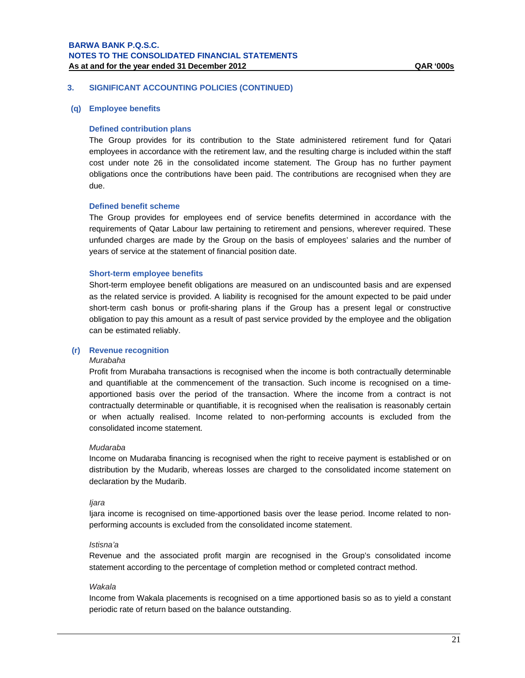### **(q) Employee benefits**

### **Defined contribution plans**

The Group provides for its contribution to the State administered retirement fund for Qatari employees in accordance with the retirement law, and the resulting charge is included within the staff cost under note 26 in the consolidated income statement. The Group has no further payment obligations once the contributions have been paid. The contributions are recognised when they are due.

# **Defined benefit scheme**

The Group provides for employees end of service benefits determined in accordance with the requirements of Qatar Labour law pertaining to retirement and pensions, wherever required. These unfunded charges are made by the Group on the basis of employees' salaries and the number of years of service at the statement of financial position date.

### **Short-term employee benefits**

Short-term employee benefit obligations are measured on an undiscounted basis and are expensed as the related service is provided. A liability is recognised for the amount expected to be paid under short-term cash bonus or profit-sharing plans if the Group has a present legal or constructive obligation to pay this amount as a result of past service provided by the employee and the obligation can be estimated reliably.

### **(r) Revenue recognition**

### *Murabaha*

Profit from Murabaha transactions is recognised when the income is both contractually determinable and quantifiable at the commencement of the transaction. Such income is recognised on a timeapportioned basis over the period of the transaction. Where the income from a contract is not contractually determinable or quantifiable, it is recognised when the realisation is reasonably certain or when actually realised. Income related to non-performing accounts is excluded from the consolidated income statement.

### *Mudaraba*

Income on Mudaraba financing is recognised when the right to receive payment is established or on distribution by the Mudarib, whereas losses are charged to the consolidated income statement on declaration by the Mudarib.

### *Ijara*

Ijara income is recognised on time-apportioned basis over the lease period. Income related to nonperforming accounts is excluded from the consolidated income statement.

### *Istisna'a*

Revenue and the associated profit margin are recognised in the Group's consolidated income statement according to the percentage of completion method or completed contract method.

# *Wakala*

Income from Wakala placements is recognised on a time apportioned basis so as to yield a constant periodic rate of return based on the balance outstanding.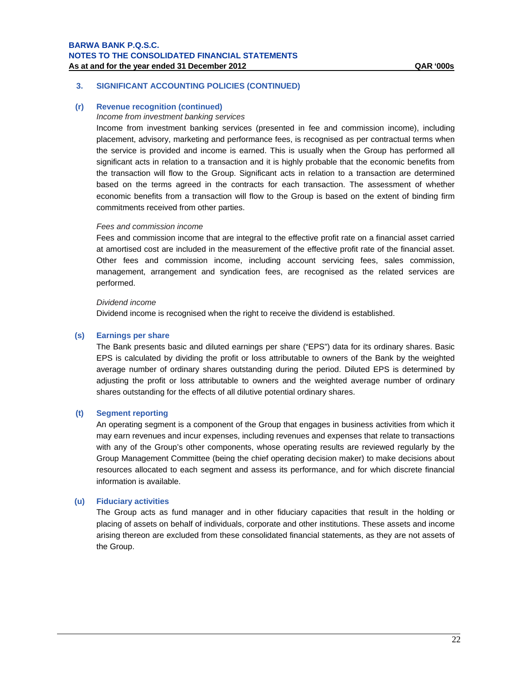### **(r) Revenue recognition (continued)**

### *Income from investment banking services*

Income from investment banking services (presented in fee and commission income), including placement, advisory, marketing and performance fees, is recognised as per contractual terms when the service is provided and income is earned. This is usually when the Group has performed all significant acts in relation to a transaction and it is highly probable that the economic benefits from the transaction will flow to the Group. Significant acts in relation to a transaction are determined based on the terms agreed in the contracts for each transaction. The assessment of whether economic benefits from a transaction will flow to the Group is based on the extent of binding firm commitments received from other parties.

## *Fees and commission income*

Fees and commission income that are integral to the effective profit rate on a financial asset carried at amortised cost are included in the measurement of the effective profit rate of the financial asset. Other fees and commission income, including account servicing fees, sales commission, management, arrangement and syndication fees, are recognised as the related services are performed.

### *Dividend income*

Dividend income is recognised when the right to receive the dividend is established.

### **(s) Earnings per share**

The Bank presents basic and diluted earnings per share ("EPS") data for its ordinary shares. Basic EPS is calculated by dividing the profit or loss attributable to owners of the Bank by the weighted average number of ordinary shares outstanding during the period. Diluted EPS is determined by adjusting the profit or loss attributable to owners and the weighted average number of ordinary shares outstanding for the effects of all dilutive potential ordinary shares.

### **(t) Segment reporting**

An operating segment is a component of the Group that engages in business activities from which it may earn revenues and incur expenses, including revenues and expenses that relate to transactions with any of the Group's other components, whose operating results are reviewed regularly by the Group Management Committee (being the chief operating decision maker) to make decisions about resources allocated to each segment and assess its performance, and for which discrete financial information is available.

### **(u) Fiduciary activities**

The Group acts as fund manager and in other fiduciary capacities that result in the holding or placing of assets on behalf of individuals, corporate and other institutions. These assets and income arising thereon are excluded from these consolidated financial statements, as they are not assets of the Group.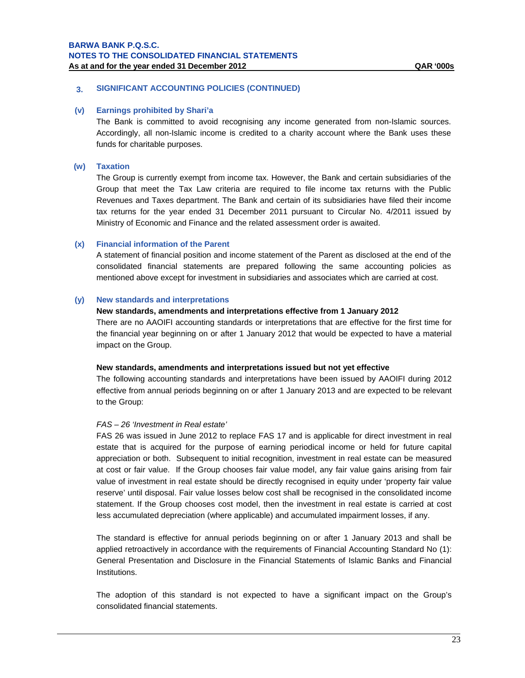### **(v) Earnings prohibited by Shari'a**

The Bank is committed to avoid recognising any income generated from non-Islamic sources. Accordingly, all non-Islamic income is credited to a charity account where the Bank uses these funds for charitable purposes.

# **(w) Taxation**

The Group is currently exempt from income tax. However, the Bank and certain subsidiaries of the Group that meet the Tax Law criteria are required to file income tax returns with the Public Revenues and Taxes department. The Bank and certain of its subsidiaries have filed their income tax returns for the year ended 31 December 2011 pursuant to Circular No. 4/2011 issued by Ministry of Economic and Finance and the related assessment order is awaited.

# **(x) Financial information of the Parent**

A statement of financial position and income statement of the Parent as disclosed at the end of the consolidated financial statements are prepared following the same accounting policies as mentioned above except for investment in subsidiaries and associates which are carried at cost.

# **(y) New standards and interpretations**

### **New standards, amendments and interpretations effective from 1 January 2012**

There are no AAOIFI accounting standards or interpretations that are effective for the first time for the financial year beginning on or after 1 January 2012 that would be expected to have a material impact on the Group.

### **New standards, amendments and interpretations issued but not yet effective**

The following accounting standards and interpretations have been issued by AAOIFI during 2012 effective from annual periods beginning on or after 1 January 2013 and are expected to be relevant to the Group:

### *FAS – 26 'Investment in Real estate'*

FAS 26 was issued in June 2012 to replace FAS 17 and is applicable for direct investment in real estate that is acquired for the purpose of earning periodical income or held for future capital appreciation or both. Subsequent to initial recognition, investment in real estate can be measured at cost or fair value. If the Group chooses fair value model, any fair value gains arising from fair value of investment in real estate should be directly recognised in equity under 'property fair value reserve' until disposal. Fair value losses below cost shall be recognised in the consolidated income statement. If the Group chooses cost model, then the investment in real estate is carried at cost less accumulated depreciation (where applicable) and accumulated impairment losses, if any.

The standard is effective for annual periods beginning on or after 1 January 2013 and shall be applied retroactively in accordance with the requirements of Financial Accounting Standard No (1): General Presentation and Disclosure in the Financial Statements of Islamic Banks and Financial Institutions.

The adoption of this standard is not expected to have a significant impact on the Group's consolidated financial statements.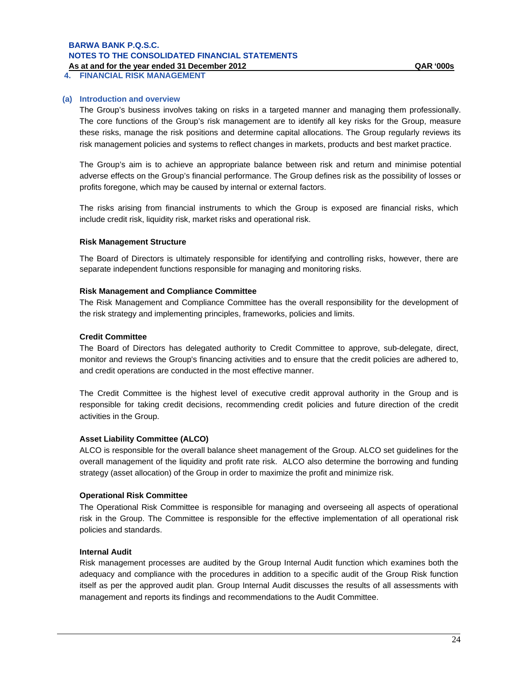**4. FINANCIAL RISK MANAGEMENT** 

# **(a) Introduction and overview**

The Group's business involves taking on risks in a targeted manner and managing them professionally. The core functions of the Group's risk management are to identify all key risks for the Group, measure these risks, manage the risk positions and determine capital allocations. The Group regularly reviews its risk management policies and systems to reflect changes in markets, products and best market practice.

The Group's aim is to achieve an appropriate balance between risk and return and minimise potential adverse effects on the Group's financial performance. The Group defines risk as the possibility of losses or profits foregone, which may be caused by internal or external factors.

The risks arising from financial instruments to which the Group is exposed are financial risks, which include credit risk, liquidity risk, market risks and operational risk.

### **Risk Management Structure**

The Board of Directors is ultimately responsible for identifying and controlling risks, however, there are separate independent functions responsible for managing and monitoring risks.

### **Risk Management and Compliance Committee**

The Risk Management and Compliance Committee has the overall responsibility for the development of the risk strategy and implementing principles, frameworks, policies and limits.

# **Credit Committee**

The Board of Directors has delegated authority to Credit Committee to approve, sub-delegate, direct, monitor and reviews the Group's financing activities and to ensure that the credit policies are adhered to, and credit operations are conducted in the most effective manner.

The Credit Committee is the highest level of executive credit approval authority in the Group and is responsible for taking credit decisions, recommending credit policies and future direction of the credit activities in the Group.

### **Asset Liability Committee (ALCO)**

ALCO is responsible for the overall balance sheet management of the Group. ALCO set guidelines for the overall management of the liquidity and profit rate risk. ALCO also determine the borrowing and funding strategy (asset allocation) of the Group in order to maximize the profit and minimize risk.

### **Operational Risk Committee**

The Operational Risk Committee is responsible for managing and overseeing all aspects of operational risk in the Group. The Committee is responsible for the effective implementation of all operational risk policies and standards.

# **Internal Audit**

Risk management processes are audited by the Group Internal Audit function which examines both the adequacy and compliance with the procedures in addition to a specific audit of the Group Risk function itself as per the approved audit plan. Group Internal Audit discusses the results of all assessments with management and reports its findings and recommendations to the Audit Committee.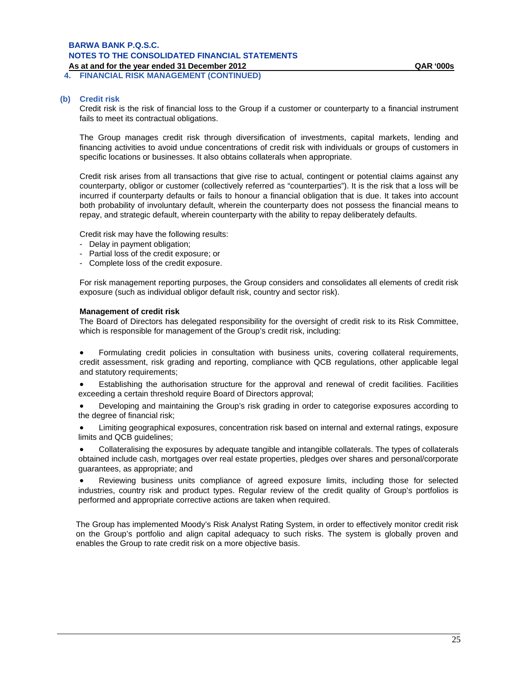**4. FINANCIAL RISK MANAGEMENT (CONTINUED)** 

### **(b) Credit risk**

Credit risk is the risk of financial loss to the Group if a customer or counterparty to a financial instrument fails to meet its contractual obligations.

The Group manages credit risk through diversification of investments, capital markets, lending and financing activities to avoid undue concentrations of credit risk with individuals or groups of customers in specific locations or businesses. It also obtains collaterals when appropriate.

Credit risk arises from all transactions that give rise to actual, contingent or potential claims against any counterparty, obligor or customer (collectively referred as "counterparties"). It is the risk that a loss will be incurred if counterparty defaults or fails to honour a financial obligation that is due. It takes into account both probability of involuntary default, wherein the counterparty does not possess the financial means to repay, and strategic default, wherein counterparty with the ability to repay deliberately defaults.

Credit risk may have the following results:

- Delay in payment obligation;
- Partial loss of the credit exposure; or
- Complete loss of the credit exposure.

For risk management reporting purposes, the Group considers and consolidates all elements of credit risk exposure (such as individual obligor default risk, country and sector risk).

#### **Management of credit risk**

The Board of Directors has delegated responsibility for the oversight of credit risk to its Risk Committee, which is responsible for management of the Group's credit risk, including:

 Formulating credit policies in consultation with business units, covering collateral requirements, credit assessment, risk grading and reporting, compliance with QCB regulations, other applicable legal and statutory requirements;

 Establishing the authorisation structure for the approval and renewal of credit facilities. Facilities exceeding a certain threshold require Board of Directors approval;

 Developing and maintaining the Group's risk grading in order to categorise exposures according to the degree of financial risk;

 Limiting geographical exposures, concentration risk based on internal and external ratings, exposure limits and QCB guidelines;

 Collateralising the exposures by adequate tangible and intangible collaterals. The types of collaterals obtained include cash, mortgages over real estate properties, pledges over shares and personal/corporate guarantees, as appropriate; and

 Reviewing business units compliance of agreed exposure limits, including those for selected industries, country risk and product types. Regular review of the credit quality of Group's portfolios is performed and appropriate corrective actions are taken when required.

The Group has implemented Moody's Risk Analyst Rating System, in order to effectively monitor credit risk on the Group's portfolio and align capital adequacy to such risks. The system is globally proven and enables the Group to rate credit risk on a more objective basis.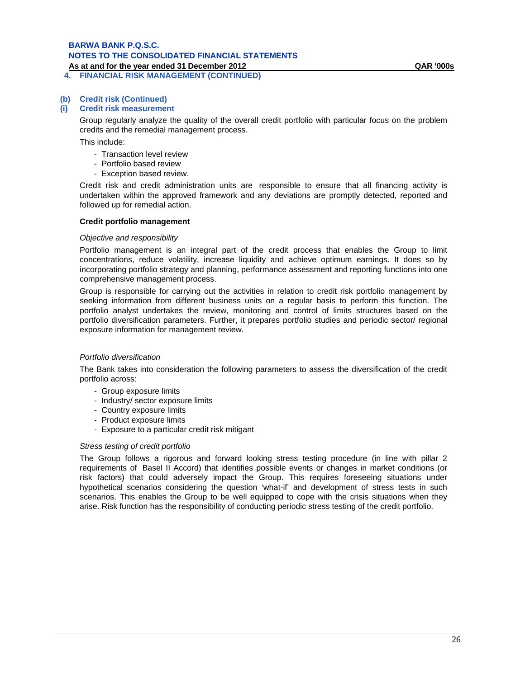### **As at and for the year ended 31 December 2012 QAR '000s 4. FINANCIAL RISK MANAGEMENT (CONTINUED)**

# **(b) Credit risk (Continued)**

### **(i) Credit risk measurement**

Group regularly analyze the quality of the overall credit portfolio with particular focus on the problem credits and the remedial management process.

This include:

- Transaction level review
- Portfolio based review
- Exception based review.

Credit risk and credit administration units are responsible to ensure that all financing activity is undertaken within the approved framework and any deviations are promptly detected, reported and followed up for remedial action.

### **Credit portfolio management**

### *Objective and responsibility*

Portfolio management is an integral part of the credit process that enables the Group to limit concentrations, reduce volatility, increase liquidity and achieve optimum earnings. It does so by incorporating portfolio strategy and planning, performance assessment and reporting functions into one comprehensive management process.

Group is responsible for carrying out the activities in relation to credit risk portfolio management by seeking information from different business units on a regular basis to perform this function. The portfolio analyst undertakes the review, monitoring and control of limits structures based on the portfolio diversification parameters. Further, it prepares portfolio studies and periodic sector/ regional exposure information for management review.

### *Portfolio diversification*

The Bank takes into consideration the following parameters to assess the diversification of the credit portfolio across:

- Group exposure limits
- Industry/ sector exposure limits
- Country exposure limits
- Product exposure limits
- Exposure to a particular credit risk mitigant

### *Stress testing of credit portfolio*

The Group follows a rigorous and forward looking stress testing procedure (in line with pillar 2 requirements of Basel II Accord) that identifies possible events or changes in market conditions (or risk factors) that could adversely impact the Group. This requires foreseeing situations under hypothetical scenarios considering the question 'what-if' and development of stress tests in such scenarios. This enables the Group to be well equipped to cope with the crisis situations when they arise. Risk function has the responsibility of conducting periodic stress testing of the credit portfolio.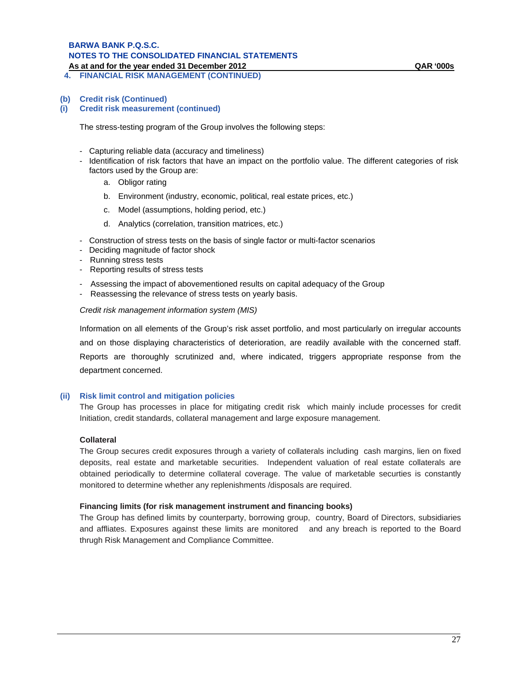# **BARWA BANK P.Q.S.C. NOTES TO THE CONSOLIDATED FINANCIAL STATEMENTS**

**As at and for the year ended 31 December 2012 QAR '000s**

**4. FINANCIAL RISK MANAGEMENT (CONTINUED)** 

**(i) Credit risk measurement (continued)**

The stress-testing program of the Group involves the following steps:

- Capturing reliable data (accuracy and timeliness)
- Identification of risk factors that have an impact on the portfolio value. The different categories of risk factors used by the Group are:
	- a. Obligor rating
	- b. Environment (industry, economic, political, real estate prices, etc.)
	- c. Model (assumptions, holding period, etc.)
	- d. Analytics (correlation, transition matrices, etc.)
- Construction of stress tests on the basis of single factor or multi-factor scenarios
- Deciding magnitude of factor shock
- Running stress tests
- Reporting results of stress tests
- Assessing the impact of abovementioned results on capital adequacy of the Group
- Reassessing the relevance of stress tests on yearly basis.

*Credit risk management information system (MIS)*

Information on all elements of the Group's risk asset portfolio, and most particularly on irregular accounts and on those displaying characteristics of deterioration, are readily available with the concerned staff. Reports are thoroughly scrutinized and, where indicated, triggers appropriate response from the department concerned.

# **(ii) Risk limit control and mitigation policies**

The Group has processes in place for mitigating credit risk which mainly include processes for credit Initiation, credit standards, collateral management and large exposure management.

# **Collateral**

The Group secures credit exposures through a variety of collaterals including cash margins, lien on fixed deposits, real estate and marketable securities. Independent valuation of real estate collaterals are obtained periodically to determine collateral coverage. The value of marketable securties is constantly monitored to determine whether any replenishments /disposals are required.

### **Financing limits (for risk management instrument and financing books)**

The Group has defined limits by counterparty, borrowing group, country, Board of Directors, subsidiaries and affliates. Exposures against these limits are monitored and any breach is reported to the Board thrugh Risk Management and Compliance Committee.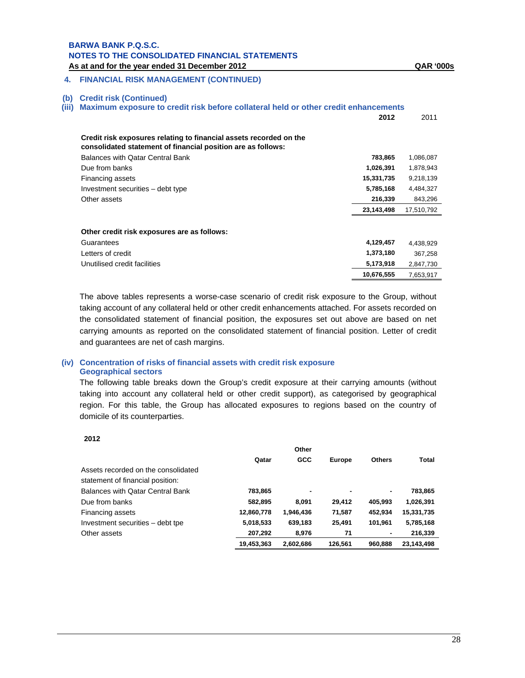# **4. FINANCIAL RISK MANAGEMENT (CONTINUED)**

### **(b) Credit risk (Continued)**

**(iii) Maximum exposure to credit risk before collateral held or other credit enhancements** 

|                                                                                                                                    | 2012       | 2011       |
|------------------------------------------------------------------------------------------------------------------------------------|------------|------------|
| Credit risk exposures relating to financial assets recorded on the<br>consolidated statement of financial position are as follows: |            |            |
| Balances with Qatar Central Bank                                                                                                   | 783,865    | 1,086,087  |
| Due from banks                                                                                                                     | 1,026,391  | 1,878,943  |
| Financing assets                                                                                                                   | 15,331,735 | 9,218,139  |
| Investment securities – debt type                                                                                                  | 5,785,168  | 4,484,327  |
| Other assets                                                                                                                       | 216,339    | 843,296    |
|                                                                                                                                    | 23,143,498 | 17,510,792 |
|                                                                                                                                    |            |            |
| Other credit risk exposures are as follows:                                                                                        |            |            |
| Guarantees                                                                                                                         | 4,129,457  | 4,438,929  |
| Letters of credit                                                                                                                  | 1,373,180  | 367,258    |
| Unutilised credit facilities                                                                                                       | 5,173,918  | 2,847,730  |
|                                                                                                                                    | 10,676,555 | 7,653,917  |

The above tables represents a worse-case scenario of credit risk exposure to the Group, without taking account of any collateral held or other credit enhancements attached. For assets recorded on the consolidated statement of financial position, the exposures set out above are based on net carrying amounts as reported on the consolidated statement of financial position. Letter of credit and guarantees are net of cash margins.

# **(iv) Concentration of risks of financial assets with credit risk exposure Geographical sectors**

The following table breaks down the Group's credit exposure at their carrying amounts (without taking into account any collateral held or other credit support), as categorised by geographical region. For this table, the Group has allocated exposures to regions based on the country of domicile of its counterparties.

**2012** 

|                                     |            | Other      |                |               |            |
|-------------------------------------|------------|------------|----------------|---------------|------------|
|                                     | Qatar      | <b>GCC</b> | Europe         | <b>Others</b> | Total      |
| Assets recorded on the consolidated |            |            |                |               |            |
| statement of financial position:    |            |            |                |               |            |
| Balances with Qatar Central Bank    | 783,865    |            | $\blacksquare$ | ۰.            | 783,865    |
| Due from banks                      | 582,895    | 8.091      | 29.412         | 405.993       | 1,026,391  |
| Financing assets                    | 12,860,778 | 1,946,436  | 71,587         | 452.934       | 15,331,735 |
| Investment securities - debt tpe    | 5,018,533  | 639,183    | 25.491         | 101.961       | 5,785,168  |
| Other assets                        | 207,292    | 8,976      | 71             | ٠             | 216,339    |
|                                     | 19,453,363 | 2.602.686  | 126.561        | 960.888       | 23.143.498 |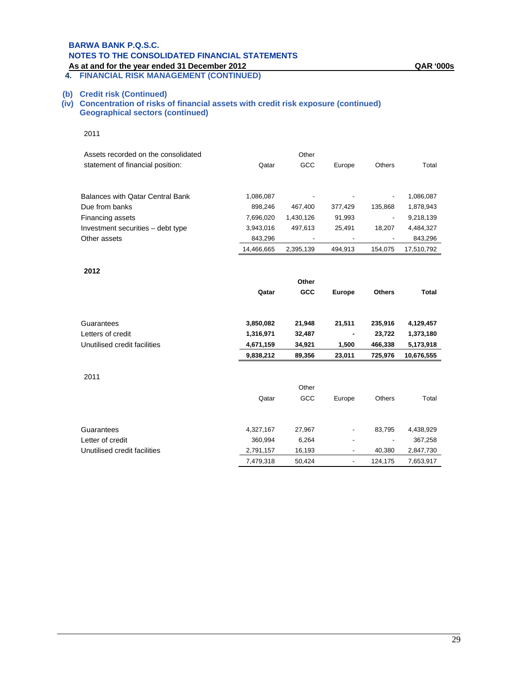# **BARWA BANK P.Q.S.C. NOTES TO THE CONSOLIDATED FINANCIAL STATEMENTS**

### **As at and for the year ended 31 December 2012 QAR '000s 4. FINANCIAL RISK MANAGEMENT (CONTINUED)**

# **(b) Credit risk (Continued)**

**(iv) Concentration of risks of financial assets with credit risk exposure (continued) Geographical sectors (continued)**

| Assets recorded on the consolidated |            | Other     |         |         |            |
|-------------------------------------|------------|-----------|---------|---------|------------|
| statement of financial position:    | Qatar      | GCC       | Europe  | Others  | Total      |
|                                     |            |           |         |         |            |
| Balances with Qatar Central Bank    | 1,086,087  | -         | ٠       |         | 1,086,087  |
| Due from banks                      | 898.246    | 467.400   | 377.429 | 135.868 | 1,878,943  |
| Financing assets                    | 7.696.020  | 1.430.126 | 91,993  | ۰       | 9,218,139  |
| Investment securities – debt type   | 3,943,016  | 497.613   | 25.491  | 18.207  | 4,484,327  |
| Other assets                        | 843.296    |           |         |         | 843,296    |
|                                     | 14.466.665 | 2.395.139 | 494.913 | 154.075 | 17.510.792 |

#### **2012**

|                                | Qatar                | Other<br>GCC    | <b>Europe</b> | <b>Others</b> | <b>Total</b>         |
|--------------------------------|----------------------|-----------------|---------------|---------------|----------------------|
| Guarantees                     |                      |                 |               |               |                      |
|                                | 3,850,082            | 21,948          | 21,511        | 235,916       | 4,129,457            |
| Letters of credit              | 1,316,971            | 32,487          | ٠             | 23,722        | 1,373,180            |
| Unutilised credit facilities   | 4,671,159            | 34,921          | 1,500         | 466,338       | 5,173,918            |
|                                | 9,838,212            | 89,356          | 23,011        | 725,976       | 10,676,555           |
| 2011                           | Qatar                | Other<br>GCC    | Europe        | Others        | Total                |
| Guarantees<br>Letter of credit | 4,327,167<br>360,994 | 27,967<br>6,264 |               | 83,795        | 4,438,929<br>367,258 |
| Unutilised credit facilities   | 2,791,157            | 16,193          | ٠             | 40,380        | 2,847,730            |

7,479,318 50,424 - 124,175 7,653,917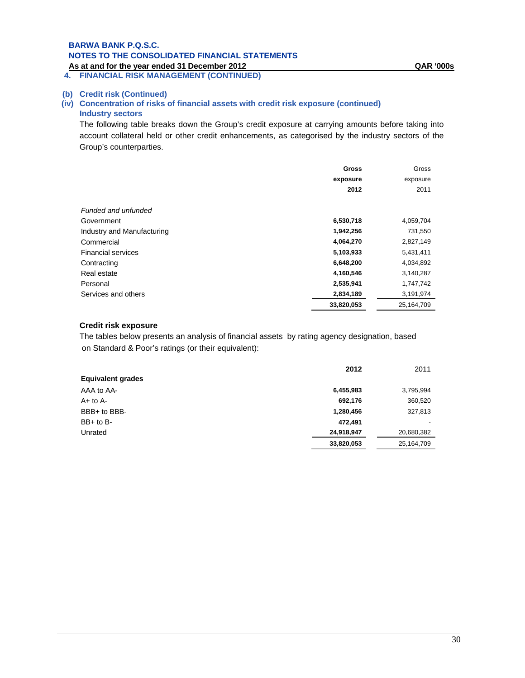**4. FINANCIAL RISK MANAGEMENT (CONTINUED)**

# **(b) Credit risk (Continued)**

# **(iv) Concentration of risks of financial assets with credit risk exposure (continued) Industry sectors**

The following table breaks down the Group's credit exposure at carrying amounts before taking into account collateral held or other credit enhancements, as categorised by the industry sectors of the Group's counterparties.

|                            | Gross      | Gross      |
|----------------------------|------------|------------|
|                            | exposure   | exposure   |
|                            | 2012       | 2011       |
| Funded and unfunded        |            |            |
| Government                 | 6,530,718  | 4,059,704  |
| Industry and Manufacturing | 1,942,256  | 731,550    |
| Commercial                 | 4,064,270  | 2,827,149  |
| <b>Financial services</b>  | 5,103,933  | 5,431,411  |
| Contracting                | 6,648,200  | 4,034,892  |
| Real estate                | 4,160,546  | 3,140,287  |
| Personal                   | 2,535,941  | 1,747,742  |
| Services and others        | 2,834,189  | 3,191,974  |
|                            | 33,820,053 | 25,164,709 |

# **Credit risk exposure**

The tables below presents an analysis of financial assets by rating agency designation, based on Standard & Poor's ratings (or their equivalent):

|                          | 2012       | 2011       |
|--------------------------|------------|------------|
| <b>Equivalent grades</b> |            |            |
| AAA to AA-               | 6,455,983  | 3,795,994  |
| $A+$ to $A-$             | 692,176    | 360,520    |
| BBB+ to BBB-             | 1,280,456  | 327,813    |
| $BB+$ to $B-$            | 472.491    |            |
| Unrated                  | 24,918,947 | 20,680,382 |
|                          | 33,820,053 | 25,164,709 |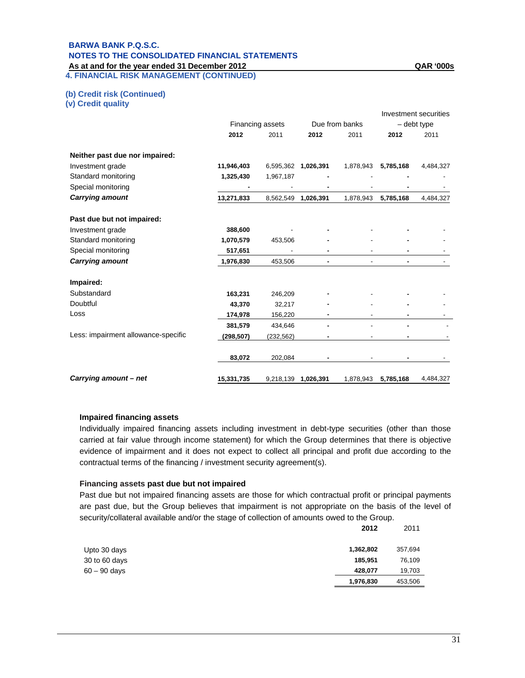# **BARWA BANK P.Q.S.C. NOTES TO THE CONSOLIDATED FINANCIAL STATEMENTS**

**As at and for the year ended 31 December 2012 QAR '000s 4. FINANCIAL RISK MANAGEMENT (CONTINUED)** 

**(b) Credit risk (Continued)** 

**(v) Credit quality** 

|                                     |                  |            |                     |           |             | Investment securities |
|-------------------------------------|------------------|------------|---------------------|-----------|-------------|-----------------------|
|                                     | Financing assets |            | Due from banks      |           | - debt type |                       |
|                                     | 2012             | 2011       | 2012                | 2011      | 2012        | 2011                  |
| Neither past due nor impaired:      |                  |            |                     |           |             |                       |
| Investment grade                    | 11,946,403       |            | 6,595,362 1,026,391 | 1,878,943 | 5,785,168   | 4,484,327             |
| Standard monitoring                 | 1,325,430        | 1,967,187  |                     |           |             |                       |
| Special monitoring                  |                  |            |                     |           |             |                       |
| <b>Carrying amount</b>              | 13,271,833       |            | 8,562,549 1,026,391 | 1,878,943 | 5,785,168   | 4,484,327             |
| Past due but not impaired:          |                  |            |                     |           |             |                       |
| Investment grade                    | 388,600          |            |                     |           |             |                       |
| Standard monitoring                 | 1,070,579        | 453,506    |                     |           |             |                       |
| Special monitoring                  | 517,651          |            |                     |           |             |                       |
| <b>Carrying amount</b>              | 1,976,830        | 453,506    |                     |           |             |                       |
| Impaired:                           |                  |            |                     |           |             |                       |
| Substandard                         | 163,231          | 246,209    |                     |           |             |                       |
| Doubtful                            | 43,370           | 32,217     |                     |           |             |                       |
| Loss                                | 174,978          | 156,220    |                     |           |             |                       |
|                                     | 381,579          | 434,646    |                     |           |             |                       |
| Less: impairment allowance-specific | (298, 507)       | (232, 562) |                     |           |             |                       |
|                                     | 83,072           | 202,084    |                     |           |             |                       |
| Carrying amount – net               | 15,331,735       |            | 9,218,139 1,026,391 | 1,878,943 | 5,785,168   | 4,484,327             |

### **Impaired financing assets**

Individually impaired financing assets including investment in debt-type securities (other than those carried at fair value through income statement) for which the Group determines that there is objective evidence of impairment and it does not expect to collect all principal and profit due according to the contractual terms of the financing / investment security agreement(s).

### **Financing assets past due but not impaired**

Past due but not impaired financing assets are those for which contractual profit or principal payments are past due, but the Group believes that impairment is not appropriate on the basis of the level of security/collateral available and/or the stage of collection of amounts owed to the Group.

|                | 2012      | 2011    |
|----------------|-----------|---------|
| Upto 30 days   | 1,362,802 | 357,694 |
| 30 to 60 days  | 185,951   | 76,109  |
| $60 - 90$ days | 428.077   | 19,703  |
|                | 1,976,830 | 453,506 |

31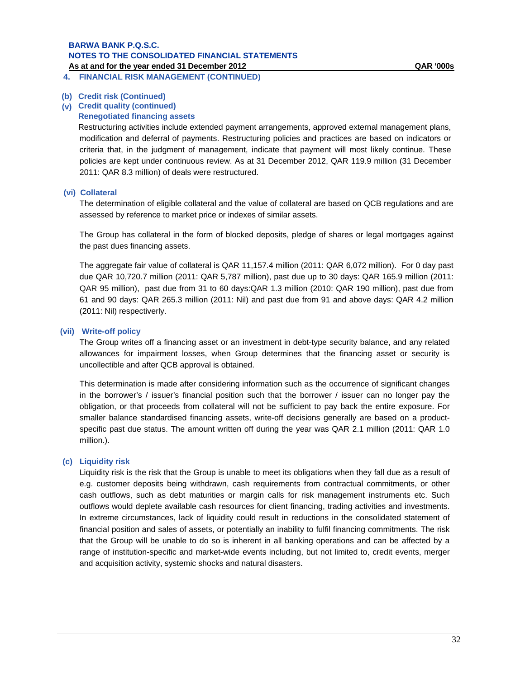**4. FINANCIAL RISK MANAGEMENT (CONTINUED)** 

### **(b) Credit risk (Continued)**

# **(v) Credit quality (continued)**

# **Renegotiated financing assets**

Restructuring activities include extended payment arrangements, approved external management plans, modification and deferral of payments. Restructuring policies and practices are based on indicators or criteria that, in the judgment of management, indicate that payment will most likely continue. These policies are kept under continuous review. As at 31 December 2012, QAR 119.9 million (31 December 2011: QAR 8.3 million) of deals were restructured.

# **(vi) Collateral**

The determination of eligible collateral and the value of collateral are based on QCB regulations and are assessed by reference to market price or indexes of similar assets.

The Group has collateral in the form of blocked deposits, pledge of shares or legal mortgages against the past dues financing assets.

The aggregate fair value of collateral is QAR 11,157.4 million (2011: QAR 6,072 million). For 0 day past due QAR 10,720.7 million (2011: QAR 5,787 million), past due up to 30 days: QAR 165.9 million (2011: QAR 95 million), past due from 31 to 60 days:QAR 1.3 million (2010: QAR 190 million), past due from 61 and 90 days: QAR 265.3 million (2011: Nil) and past due from 91 and above days: QAR 4.2 million (2011: Nil) respectiverly.

### **(vii) Write-off policy**

The Group writes off a financing asset or an investment in debt-type security balance, and any related allowances for impairment losses, when Group determines that the financing asset or security is uncollectible and after QCB approval is obtained.

This determination is made after considering information such as the occurrence of significant changes in the borrower's / issuer's financial position such that the borrower / issuer can no longer pay the obligation, or that proceeds from collateral will not be sufficient to pay back the entire exposure. For smaller balance standardised financing assets, write-off decisions generally are based on a productspecific past due status. The amount written off during the year was QAR 2.1 million (2011: QAR 1.0 million.).

# **(c) Liquidity risk**

Liquidity risk is the risk that the Group is unable to meet its obligations when they fall due as a result of e.g. customer deposits being withdrawn, cash requirements from contractual commitments, or other cash outflows, such as debt maturities or margin calls for risk management instruments etc. Such outflows would deplete available cash resources for client financing, trading activities and investments. In extreme circumstances, lack of liquidity could result in reductions in the consolidated statement of financial position and sales of assets, or potentially an inability to fulfil financing commitments. The risk that the Group will be unable to do so is inherent in all banking operations and can be affected by a range of institution-specific and market-wide events including, but not limited to, credit events, merger and acquisition activity, systemic shocks and natural disasters.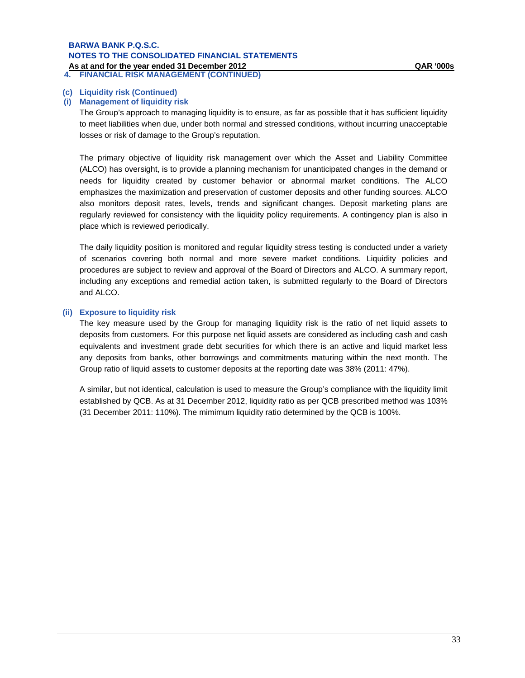# **BARWA BANK P.Q.S.C. NOTES TO THE CONSOLIDATED FINANCIAL STATEMENTS**

**As at and for the year ended 31 December 2012**<br>4. FINANCIAL RISK MANAGEMENT (CONTINUED) **4. FINANCIAL RISK MANAGEMENT (CONTINUED)**

### **(c) Liquidity risk (Continued)**

### **(i) Management of liquidity risk**

The Group's approach to managing liquidity is to ensure, as far as possible that it has sufficient liquidity to meet liabilities when due, under both normal and stressed conditions, without incurring unacceptable losses or risk of damage to the Group's reputation.

The primary objective of liquidity risk management over which the Asset and Liability Committee (ALCO) has oversight, is to provide a planning mechanism for unanticipated changes in the demand or needs for liquidity created by customer behavior or abnormal market conditions. The ALCO emphasizes the maximization and preservation of customer deposits and other funding sources. ALCO also monitors deposit rates, levels, trends and significant changes. Deposit marketing plans are regularly reviewed for consistency with the liquidity policy requirements. A contingency plan is also in place which is reviewed periodically.

The daily liquidity position is monitored and regular liquidity stress testing is conducted under a variety of scenarios covering both normal and more severe market conditions. Liquidity policies and procedures are subject to review and approval of the Board of Directors and ALCO. A summary report, including any exceptions and remedial action taken, is submitted regularly to the Board of Directors and ALCO.

### **(ii) Exposure to liquidity risk**

The key measure used by the Group for managing liquidity risk is the ratio of net liquid assets to deposits from customers. For this purpose net liquid assets are considered as including cash and cash equivalents and investment grade debt securities for which there is an active and liquid market less any deposits from banks, other borrowings and commitments maturing within the next month. The Group ratio of liquid assets to customer deposits at the reporting date was 38% (2011: 47%).

A similar, but not identical, calculation is used to measure the Group's compliance with the liquidity limit established by QCB. As at 31 December 2012, liquidity ratio as per QCB prescribed method was 103% (31 December 2011: 110%). The mimimum liquidity ratio determined by the QCB is 100%.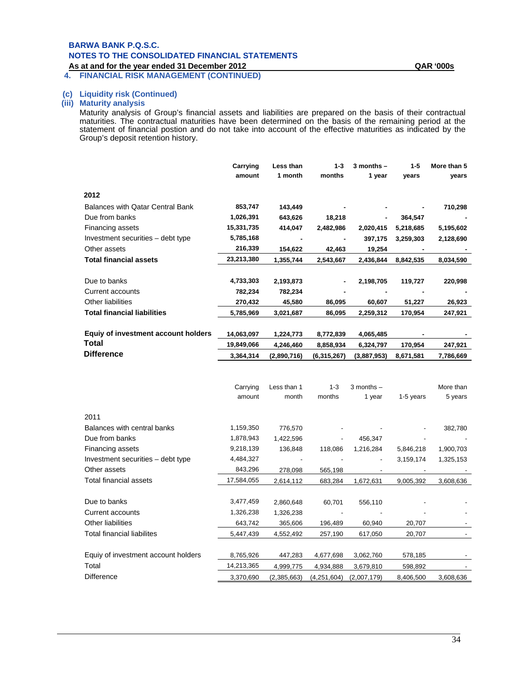# **BARWA BANK P.Q.S.C. NOTES TO THE CONSOLIDATED FINANCIAL STATEMENTS**

**As at and for the year ended 31 December 2012 QAR '000s**

**4. FINANCIAL RISK MANAGEMENT (CONTINUED)**

### **(c) Liquidity risk (Continued)**

#### **(iii) Maturity analysis**

Maturity analysis of Group's financial assets and liabilities are prepared on the basis of their contractual maturities. The contractual maturities have been determined on the basis of the remaining period at the statement of financial postion and do not take into account of the effective maturities as indicated by the Group's deposit retention history.

|                                         | Carrying<br>amount | Less than<br>1 month | $1 - 3$<br>months | $3$ months $-$<br>1 year | $1 - 5$<br>years | More than 5<br>years |
|-----------------------------------------|--------------------|----------------------|-------------------|--------------------------|------------------|----------------------|
| 2012                                    |                    |                      |                   |                          |                  |                      |
| <b>Balances with Qatar Central Bank</b> | 853,747            | 143,449              |                   |                          |                  | 710,298              |
| Due from banks                          | 1,026,391          | 643,626              | 18,218            | ٠                        | 364,547          |                      |
| Financing assets                        | 15,331,735         | 414,047              | 2,482,986         | 2,020,415                | 5,218,685        | 5,195,602            |
| Investment securities – debt type       | 5,785,168          |                      |                   | 397,175                  | 3,259,303        | 2,128,690            |
| Other assets                            | 216,339            | 154,622              | 42,463            | 19,254                   |                  |                      |
| <b>Total financial assets</b>           | 23,213,380         | 1,355,744            | 2,543,667         | 2,436,844                | 8,842,535        | 8,034,590            |
|                                         |                    |                      |                   |                          |                  |                      |
| Due to banks                            | 4,733,303          | 2,193,873            |                   | 2,198,705                | 119,727          | 220,998              |
| Current accounts                        | 782,234            | 782,234              |                   |                          |                  |                      |
| Other liabilities                       | 270,432            | 45,580               | 86,095            | 60,607                   | 51,227           | 26,923               |
| <b>Total financial liabilities</b>      | 5,785,969          | 3,021,687            | 86,095            | 2,259,312                | 170,954          | 247,921              |
|                                         |                    |                      |                   |                          |                  |                      |
| Equiy of investment account holders     | 14,063,097         | 1,224,773            | 8,772,839         | 4,065,485                |                  |                      |
| Total                                   | 19,849,066         | 4,246,460            | 8,858,934         | 6,324,797                | 170,954          | 247,921              |
| <b>Difference</b>                       | 3,364,314          | (2,890,716)          | (6,315,267)       | (3,887,953)              | 8,671,581        | 7,786,669            |
|                                         |                    |                      |                   |                          |                  |                      |
|                                         | Carrying<br>amount | Less than 1<br>month | $1 - 3$<br>months | $3$ months $-$<br>1 year | 1-5 years        | More than<br>5 years |
|                                         |                    |                      |                   |                          |                  |                      |

| 2011                                |            |             |             |                |           |           |
|-------------------------------------|------------|-------------|-------------|----------------|-----------|-----------|
| Balances with central banks         | 1,159,350  | 776,570     |             |                | -         | 382,780   |
| Due from banks                      | 1,878,943  | 1,422,596   |             | 456,347        |           |           |
| Financing assets                    | 9,218,139  | 136,848     | 118,086     | 1,216,284      | 5,846,218 | 1,900,703 |
| Investment securities - debt type   | 4,484,327  |             |             | $\blacksquare$ | 3,159,174 | 1,325,153 |
| Other assets                        | 843,296    | 278,098     | 565,198     |                |           |           |
| Total financial assets              | 17,584,055 | 2,614,112   | 683,284     | 1,672,631      | 9,005,392 | 3,608,636 |
|                                     |            |             |             |                |           |           |
| Due to banks                        | 3,477,459  | 2,860,648   | 60,701      | 556,110        |           |           |
| Current accounts                    | 1,326,238  | 1,326,238   |             |                |           |           |
| Other liabilities                   | 643,742    | 365,606     | 196,489     | 60,940         | 20,707    |           |
| Total financial liabilites          | 5,447,439  | 4,552,492   | 257,190     | 617,050        | 20,707    |           |
|                                     |            |             |             |                |           |           |
| Equiy of investment account holders | 8,765,926  | 447,283     | 4,677,698   | 3,062,760      | 578,185   |           |
| Total                               | 14,213,365 | 4,999,775   | 4,934,888   | 3,679,810      | 598,892   |           |
| <b>Difference</b>                   | 3,370,690  | (2,385,663) | (4,251,604) | (2,007,179)    | 8,406,500 | 3,608,636 |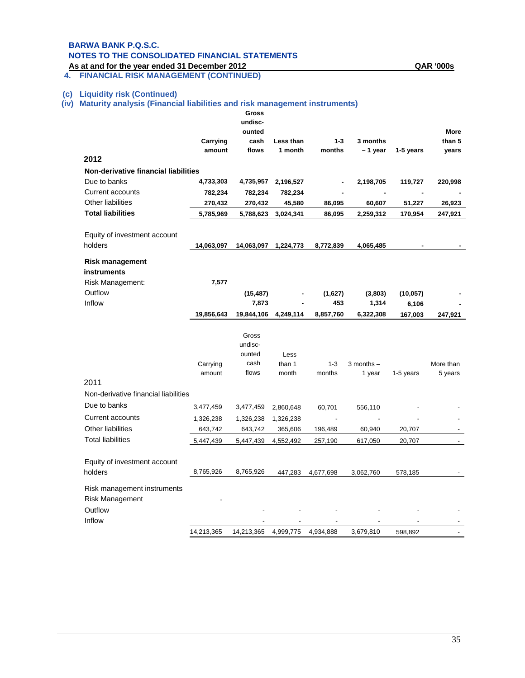### **BARWA BANK P.Q.S.C. NOTES TO THE CONSOLIDATED FINANCIAL STATEMENTS**

**As at and for the year ended 31 December 2012 QAR '000s 4. FINANCIAL RISK MANAGEMENT (CONTINUED)**

#### **(c) Liquidity risk (Continued)**

#### **(iv) Maturity analysis (Financial liabilities and risk management instruments)**

|                                      |            | Gross<br>undisc- |           |           |                |           |             |
|--------------------------------------|------------|------------------|-----------|-----------|----------------|-----------|-------------|
|                                      |            | ounted           |           |           |                |           | <b>More</b> |
|                                      | Carrying   | cash             | Less than | $1 - 3$   | 3 months       |           | than 5      |
|                                      | amount     | flows            | 1 month   | months    | -1 year        | 1-5 years | years       |
| 2012                                 |            |                  |           |           |                |           |             |
| Non-derivative financial liabilities |            |                  |           |           |                |           |             |
| Due to banks                         | 4,733,303  | 4,735,957        | 2,196,527 |           | 2,198,705      | 119,727   | 220,998     |
| Current accounts                     | 782,234    | 782,234          | 782,234   |           | ä,             |           |             |
| Other liabilities                    | 270,432    | 270,432          | 45,580    | 86,095    | 60,607         | 51,227    | 26,923      |
| <b>Total liabilities</b>             | 5,785,969  | 5,788,623        | 3,024,341 | 86,095    | 2,259,312      | 170,954   | 247,921     |
|                                      |            |                  |           |           |                |           |             |
| Equity of investment account         |            |                  |           |           |                |           |             |
| holders                              | 14,063,097 | 14,063,097       | 1,224,773 | 8,772,839 | 4,065,485      |           |             |
| <b>Risk management</b>               |            |                  |           |           |                |           |             |
| instruments                          |            |                  |           |           |                |           |             |
| Risk Management:                     | 7,577      |                  |           |           |                |           |             |
| Outflow                              |            | (15, 487)        |           | (1,627)   | (3,803)        | (10, 057) |             |
| Inflow                               |            | 7,873            |           | 453       | 1,314          | 6,106     |             |
|                                      | 19,856,643 | 19,844,106       | 4,249,114 | 8,857,760 | 6,322,308      | 167,003   | 247,921     |
|                                      |            | Gross            |           |           |                |           |             |
|                                      |            | undisc-          |           |           |                |           |             |
|                                      |            | ounted           | Less      |           |                |           |             |
|                                      | Carrying   | cash             | than 1    | $1 - 3$   | $3$ months $-$ |           | More than   |
|                                      | amount     | flows            | month     | months    | 1 year         | 1-5 years | 5 years     |
| 2011                                 |            |                  |           |           |                |           |             |
| Non-derivative financial liabilities |            |                  |           |           |                |           |             |
| Due to banks                         | 3,477,459  | 3,477,459        | 2,860,648 | 60,701    | 556,110        |           |             |
| Current accounts                     | 1,326,238  | 1,326,238        | 1,326,238 |           |                |           |             |
| Other liabilities                    | 643,742    | 643,742          | 365,606   | 196,489   | 60,940         | 20,707    |             |
| <b>Total liabilities</b>             | 5,447,439  | 5,447,439        | 4,552,492 | 257,190   | 617,050        | 20,707    |             |
|                                      |            |                  |           |           |                |           |             |
| Equity of investment account         |            |                  |           |           |                |           |             |
| holders                              | 8,765,926  | 8,765,926        | 447,283   | 4,677,698 | 3,062,760      | 578,185   |             |
| Risk management instruments          |            |                  |           |           |                |           |             |
| Risk Management                      |            |                  |           |           |                |           |             |
| Outflow                              |            |                  |           |           |                |           |             |
| Inflow                               |            |                  |           |           |                |           |             |
|                                      | 14,213,365 | 14,213,365       | 4,999,775 | 4,934,888 | 3,679,810      | 598,892   |             |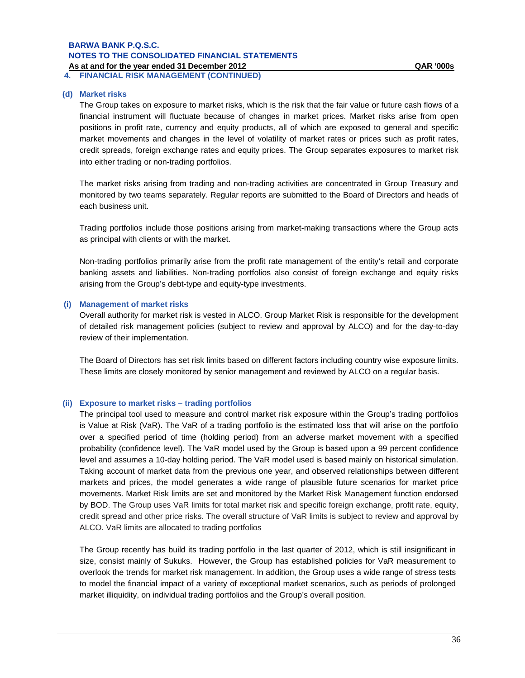**4. FINANCIAL RISK MANAGEMENT (CONTINUED)**

#### **(d) Market risks**

The Group takes on exposure to market risks, which is the risk that the fair value or future cash flows of a financial instrument will fluctuate because of changes in market prices. Market risks arise from open positions in profit rate, currency and equity products, all of which are exposed to general and specific market movements and changes in the level of volatility of market rates or prices such as profit rates, credit spreads, foreign exchange rates and equity prices. The Group separates exposures to market risk into either trading or non-trading portfolios.

The market risks arising from trading and non-trading activities are concentrated in Group Treasury and monitored by two teams separately. Regular reports are submitted to the Board of Directors and heads of each business unit.

Trading portfolios include those positions arising from market-making transactions where the Group acts as principal with clients or with the market.

Non-trading portfolios primarily arise from the profit rate management of the entity's retail and corporate banking assets and liabilities. Non-trading portfolios also consist of foreign exchange and equity risks arising from the Group's debt-type and equity-type investments.

#### **(i) Management of market risks**

Overall authority for market risk is vested in ALCO. Group Market Risk is responsible for the development of detailed risk management policies (subject to review and approval by ALCO) and for the day-to-day review of their implementation.

The Board of Directors has set risk limits based on different factors including country wise exposure limits. These limits are closely monitored by senior management and reviewed by ALCO on a regular basis.

#### **(ii) Exposure to market risks – trading portfolios**

The principal tool used to measure and control market risk exposure within the Group's trading portfolios is Value at Risk (VaR). The VaR of a trading portfolio is the estimated loss that will arise on the portfolio over a specified period of time (holding period) from an adverse market movement with a specified probability (confidence level). The VaR model used by the Group is based upon a 99 percent confidence level and assumes a 10-day holding period. The VaR model used is based mainly on historical simulation. Taking account of market data from the previous one year, and observed relationships between different markets and prices, the model generates a wide range of plausible future scenarios for market price movements. Market Risk limits are set and monitored by the Market Risk Management function endorsed by BOD. The Group uses VaR limits for total market risk and specific foreign exchange, profit rate, equity, credit spread and other price risks. The overall structure of VaR limits is subject to review and approval by ALCO. VaR limits are allocated to trading portfolios

The Group recently has build its trading portfolio in the last quarter of 2012, which is still insignificant in size, consist mainly of Sukuks. However, the Group has established policies for VaR measurement to overlook the trends for market risk management. In addition, the Group uses a wide range of stress tests to model the financial impact of a variety of exceptional market scenarios, such as periods of prolonged market illiquidity, on individual trading portfolios and the Group's overall position.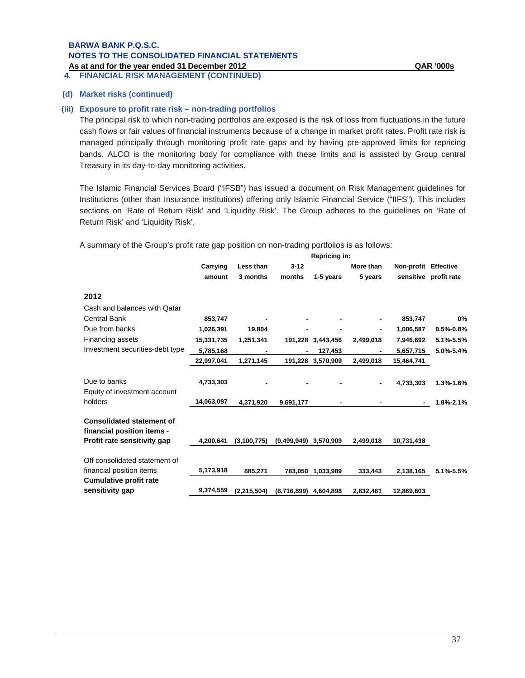**4. FINANCIAL RISK MANAGEMENT (CONTINUED)**

#### **(d) Market risks (continued)**

#### **(iii) Exposure to profit rate risk – non-trading portfolios**

The principal risk to which non-trading portfolios are exposed is the risk of loss from fluctuations in the future cash flows or fair values of financial instruments because of a change in market profit rates. Profit rate risk is managed principally through monitoring profit rate gaps and by having pre-approved limits for repricing bands. ALCO is the monitoring body for compliance with these limits and is assisted by Group central Treasury in its day-to-day monitoring activities.

The Islamic Financial Services Board ("IFSB") has issued a document on Risk Management guidelines for Institutions (other than Insurance Institutions) offering only Islamic Financial Service ("IIFS"). This includes sections on 'Rate of Return Risk' and 'Liquidity Risk'. The Group adheres to the guidelines on 'Rate of Return Risk' and 'Liquidity Risk'.

A summary of the Group's profit rate gap position on non-trading portfolios is as follows:

|                                                                | Repricing in: |               |                         |                   |           |                      |                       |  |
|----------------------------------------------------------------|---------------|---------------|-------------------------|-------------------|-----------|----------------------|-----------------------|--|
|                                                                | Carrying      | Less than     | $3 - 12$                |                   | More than | Non-profit Effective |                       |  |
|                                                                | amount        | 3 months      | months                  | 1-5 years         | 5 years   |                      | sensitive profit rate |  |
| 2012                                                           |               |               |                         |                   |           |                      |                       |  |
| Cash and balances with Qatar                                   |               |               |                         |                   |           |                      |                       |  |
| <b>Central Bank</b>                                            | 853,747       |               |                         |                   |           | 853,747              | 0%                    |  |
| Due from banks                                                 | 1,026,391     | 19,804        |                         |                   |           | 1,006,587            | $0.5% -0.8%$          |  |
| Financing assets                                               | 15,331,735    | 1,251,341     |                         | 191,228 3,443,456 | 2,499,018 | 7,946,692            | 5.1%-5.5%             |  |
| Investment securities-debt type                                | 5,785,168     |               |                         | 127,453           |           | 5,657,715            | 5.0%-5.4%             |  |
|                                                                | 22,997,041    | 1,271,145     |                         | 191,228 3,570,909 | 2,499,018 | 15,464,741           |                       |  |
| Due to banks<br>Equity of investment account                   | 4,733,303     |               |                         |                   |           | 4,733,303            | 1.3%-1.6%             |  |
| holders                                                        | 14,063,097    | 4,371,920     | 9,691,177               |                   |           |                      | 1.8%-2.1%             |  |
| <b>Consolidated statement of</b><br>financial position items - |               |               |                         |                   |           |                      |                       |  |
| Profit rate sensitivity gap                                    | 4,200,641     | (3,100,775)   | (9,499,949)             | 3,570,909         | 2,499,018 | 10,731,438           |                       |  |
| Off consolidated statement of                                  |               |               |                         |                   |           |                      |                       |  |
| financial position items                                       | 5,173,918     | 885,271       | 783,050                 | 1,033,989         | 333,443   | 2,138,165            | 5.1%-5.5%             |  |
| <b>Cumulative profit rate</b>                                  |               |               |                         |                   |           |                      |                       |  |
| sensitivity gap                                                | 9,374,559     | (2, 215, 504) | $(8,716,899)$ 4,604,898 |                   | 2,832,461 | 12,869,603           |                       |  |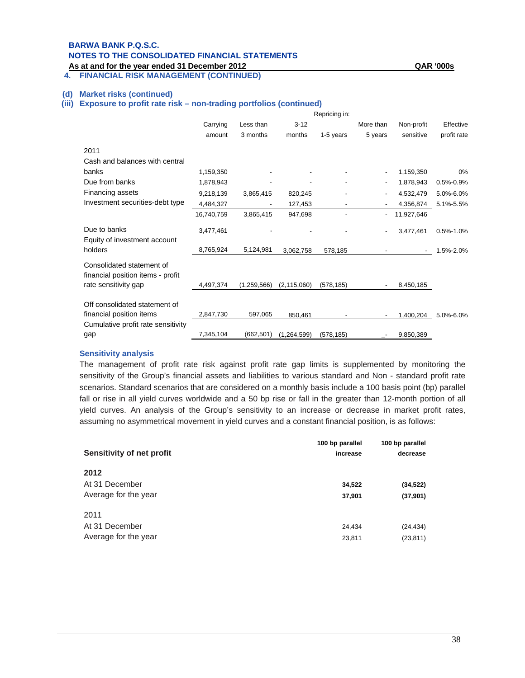# **BARWA BANK P.Q.S.C. NOTES TO THE CONSOLIDATED FINANCIAL STATEMENTS**

**As at and for the year ended 31 December 2012 QAR '000s**

### **4. FINANCIAL RISK MANAGEMENT (CONTINUED)**

#### **(d) Market risks (continued)**

#### **(iii) Exposure to profit rate risk – non-trading portfolios (continued)**

|                                                                | Repricing in: |             |               |            |           |                          |               |
|----------------------------------------------------------------|---------------|-------------|---------------|------------|-----------|--------------------------|---------------|
|                                                                | Carrying      | Less than   | $3 - 12$      |            | More than | Non-profit               | Effective     |
|                                                                | amount        | 3 months    | months        | 1-5 years  | 5 years   | sensitive                | profit rate   |
| 2011                                                           |               |             |               |            |           |                          |               |
| Cash and balances with central                                 |               |             |               |            |           |                          |               |
| banks                                                          | 1,159,350     |             |               |            |           | 1,159,350                | 0%            |
| Due from banks                                                 | 1,878,943     |             |               |            |           | 1,878,943                | $0.5% - 0.9%$ |
| Financing assets                                               | 9,218,139     | 3,865,415   | 820,245       |            |           | 4,532,479                | 5.0%-6.0%     |
| Investment securities-debt type                                | 4,484,327     | ٠           | 127,453       |            |           | 4,356,874                | 5.1%-5.5%     |
|                                                                | 16,740,759    | 3,865,415   | 947,698       |            |           | 11,927,646               |               |
| Due to banks                                                   | 3,477,461     |             |               |            |           | 3,477,461                | $0.5% - 1.0%$ |
| Equity of investment account<br>holders                        | 8,765,924     | 5,124,981   | 3,062,758     | 578,185    |           | $\overline{\phantom{a}}$ | 1.5%-2.0%     |
| Consolidated statement of<br>financial position items - profit |               |             |               |            |           |                          |               |
| rate sensitivity gap                                           | 4,497,374     | (1,259,566) | (2, 115, 060) | (578, 185) |           | 8,450,185                |               |
| Off consolidated statement of                                  |               |             |               |            |           |                          |               |
| financial position items                                       | 2,847,730     | 597,065     | 850.461       |            |           | 1,400,204                | 5.0%-6.0%     |
| Cumulative profit rate sensitivity                             |               |             |               |            |           |                          |               |
| gap                                                            | 7,345,104     | (662, 501)  | (1,264,599)   | (578, 185) |           | 9,850,389                |               |

### **Sensitivity analysis**

The management of profit rate risk against profit rate gap limits is supplemented by monitoring the sensitivity of the Group's financial assets and liabilities to various standard and Non - standard profit rate scenarios. Standard scenarios that are considered on a monthly basis include a 100 basis point (bp) parallel fall or rise in all yield curves worldwide and a 50 bp rise or fall in the greater than 12-month portion of all yield curves. An analysis of the Group's sensitivity to an increase or decrease in market profit rates, assuming no asymmetrical movement in yield curves and a constant financial position, is as follows:

| Sensitivity of net profit | 100 bp parallel<br>increase | 100 bp parallel<br>decrease |  |
|---------------------------|-----------------------------|-----------------------------|--|
| 2012                      |                             |                             |  |
| At 31 December            | 34,522                      | (34, 522)                   |  |
| Average for the year      | 37,901                      | (37, 901)                   |  |
| 2011                      |                             |                             |  |
| At 31 December            | 24,434                      | (24, 434)                   |  |
| Average for the year      | 23,811                      | (23, 811)                   |  |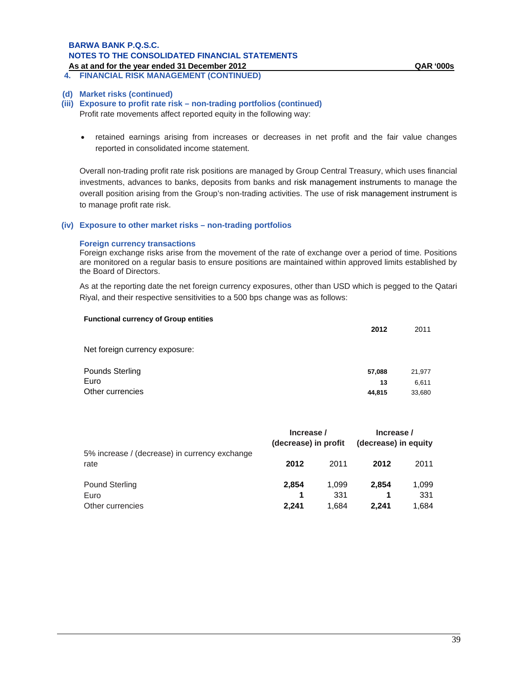# **BARWA BANK P.Q.S.C. NOTES TO THE CONSOLIDATED FINANCIAL STATEMENTS**

**As at and for the year ended 31 December 2012 QAR '000s 4. FINANCIAL RISK MANAGEMENT (CONTINUED)**

#### **(d) Market risks (continued)**

### **(iii) Exposure to profit rate risk – non-trading portfolios (continued)**

Profit rate movements affect reported equity in the following way:

 retained earnings arising from increases or decreases in net profit and the fair value changes reported in consolidated income statement.

Overall non-trading profit rate risk positions are managed by Group Central Treasury, which uses financial investments, advances to banks, deposits from banks and risk management instruments to manage the overall position arising from the Group's non-trading activities. The use of risk management instrument is to manage profit rate risk.

#### **(iv) Exposure to other market risks – non-trading portfolios**

#### **Foreign currency transactions**

Foreign exchange risks arise from the movement of the rate of exchange over a period of time. Positions are monitored on a regular basis to ensure positions are maintained within approved limits established by the Board of Directors.

As at the reporting date the net foreign currency exposures, other than USD which is pegged to the Qatari Riyal, and their respective sensitivities to a 500 bps change was as follows:

| <b>Functional currency of Group entities</b> | 2012         | 2011            |
|----------------------------------------------|--------------|-----------------|
| Net foreign currency exposure:               |              |                 |
| Pounds Sterling<br>Euro                      | 57,088       | 21,977          |
| Other currencies                             | 13<br>44,815 | 6,611<br>33,680 |

|                                                       | Increase /<br>(decrease) in profit |       | Increase /<br>(decrease) in equity |       |
|-------------------------------------------------------|------------------------------------|-------|------------------------------------|-------|
| 5% increase / (decrease) in currency exchange<br>rate | 2012                               | 2011  | 2012                               | 2011  |
| <b>Pound Sterling</b>                                 | 2,854                              | 1.099 | 2.854                              | 1,099 |
| Euro                                                  | 1                                  | 331   |                                    | 331   |
| Other currencies                                      | 2.241                              | 1.684 | 2.241                              | 1,684 |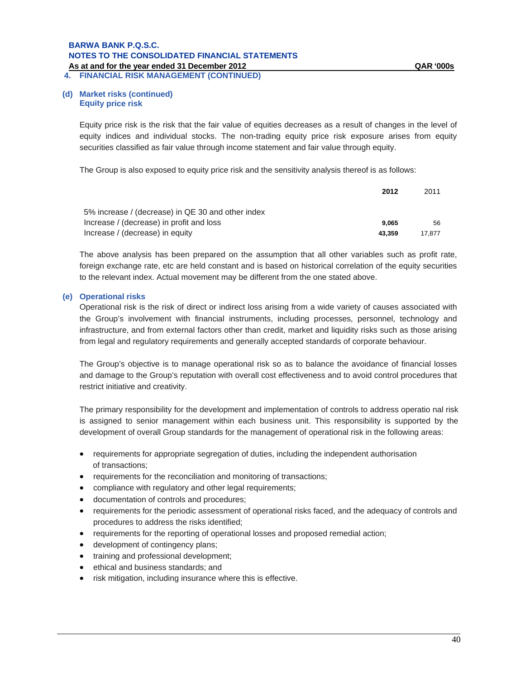**4. FINANCIAL RISK MANAGEMENT (CONTINUED)**

#### **(d) Market risks (continued) Equity price risk**

Equity price risk is the risk that the fair value of equities decreases as a result of changes in the level of equity indices and individual stocks. The non-trading equity price risk exposure arises from equity securities classified as fair value through income statement and fair value through equity.

The Group is also exposed to equity price risk and the sensitivity analysis thereof is as follows:

|                                                   | 2012   | 2011   |
|---------------------------------------------------|--------|--------|
| 5% increase / (decrease) in QE 30 and other index |        |        |
| Increase / (decrease) in profit and loss          | 9.065  | 56     |
| Increase / (decrease) in equity                   | 43.359 | 17.877 |

The above analysis has been prepared on the assumption that all other variables such as profit rate, foreign exchange rate, etc are held constant and is based on historical correlation of the equity securities to the relevant index. Actual movement may be different from the one stated above.

#### **(e) Operational risks**

Operational risk is the risk of direct or indirect loss arising from a wide variety of causes associated with the Group's involvement with financial instruments, including processes, personnel, technology and infrastructure, and from external factors other than credit, market and liquidity risks such as those arising from legal and regulatory requirements and generally accepted standards of corporate behaviour.

The Group's objective is to manage operational risk so as to balance the avoidance of financial losses and damage to the Group's reputation with overall cost effectiveness and to avoid control procedures that restrict initiative and creativity.

The primary responsibility for the development and implementation of controls to address operatio nal risk is assigned to senior management within each business unit. This responsibility is supported by the development of overall Group standards for the management of operational risk in the following areas:

- requirements for appropriate segregation of duties, including the independent authorisation of transactions;
- requirements for the reconciliation and monitoring of transactions;
- compliance with regulatory and other legal requirements;
- documentation of controls and procedures;
- requirements for the periodic assessment of operational risks faced, and the adequacy of controls and procedures to address the risks identified;
- requirements for the reporting of operational losses and proposed remedial action;
- development of contingency plans;
- training and professional development;
- ethical and business standards; and
- risk mitigation, including insurance where this is effective.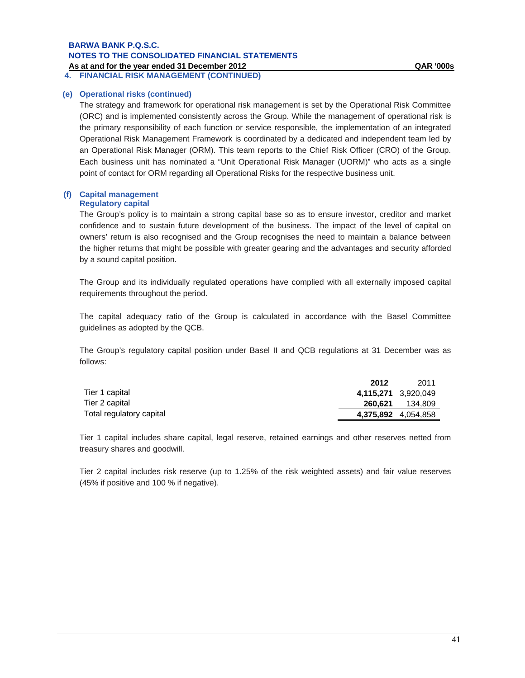**4. FINANCIAL RISK MANAGEMENT (CONTINUED)**

#### **(e) Operational risks (continued)**

The strategy and framework for operational risk management is set by the Operational Risk Committee (ORC) and is implemented consistently across the Group. While the management of operational risk is the primary responsibility of each function or service responsible, the implementation of an integrated Operational Risk Management Framework is coordinated by a dedicated and independent team led by an Operational Risk Manager (ORM). This team reports to the Chief Risk Officer (CRO) of the Group. Each business unit has nominated a "Unit Operational Risk Manager (UORM)" who acts as a single point of contact for ORM regarding all Operational Risks for the respective business unit.

#### **(f) Capital management Regulatory capital**

The Group's policy is to maintain a strong capital base so as to ensure investor, creditor and market confidence and to sustain future development of the business. The impact of the level of capital on owners' return is also recognised and the Group recognises the need to maintain a balance between the higher returns that might be possible with greater gearing and the advantages and security afforded by a sound capital position.

The Group and its individually regulated operations have complied with all externally imposed capital requirements throughout the period.

The capital adequacy ratio of the Group is calculated in accordance with the Basel Committee guidelines as adopted by the QCB.

The Group's regulatory capital position under Basel II and QCB regulations at 31 December was as follows:

|                          | 2012                | 2011    |
|--------------------------|---------------------|---------|
| Tier 1 capital           | 4,115,271 3,920,049 |         |
| Tier 2 capital           | 260.621             | 134.809 |
| Total regulatory capital | 4,375,892 4,054,858 |         |

Tier 1 capital includes share capital, legal reserve, retained earnings and other reserves netted from treasury shares and goodwill.

Tier 2 capital includes risk reserve (up to 1.25% of the risk weighted assets) and fair value reserves (45% if positive and 100 % if negative).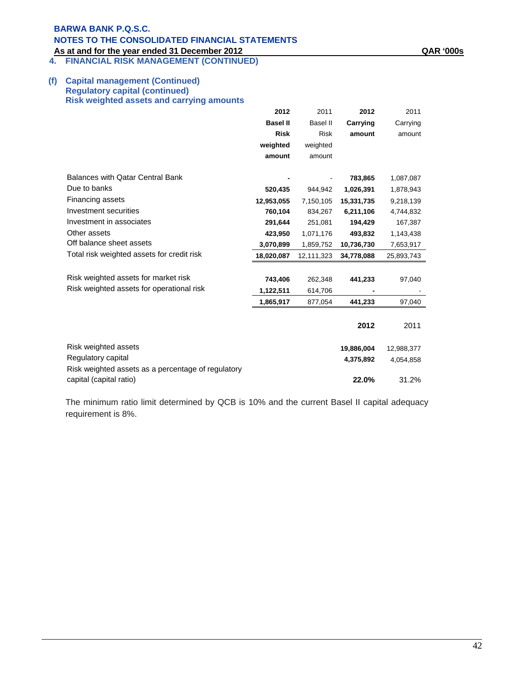**4. FINANCIAL RISK MANAGEMENT (CONTINUED)**

#### **(f) Capital management (Continued) Regulatory capital (continued) Risk weighted assets and carrying amounts**

|                                                    | 2012            | 2011            | 2012       | 2011       |
|----------------------------------------------------|-----------------|-----------------|------------|------------|
|                                                    | <b>Basel II</b> | <b>Basel II</b> | Carrying   | Carrying   |
|                                                    | <b>Risk</b>     | <b>Risk</b>     | amount     | amount     |
|                                                    | weighted        | weighted        |            |            |
|                                                    | amount          | amount          |            |            |
| <b>Balances with Qatar Central Bank</b>            |                 |                 | 783,865    | 1,087,087  |
| Due to banks                                       | 520,435         | 944,942         | 1,026,391  | 1,878,943  |
| Financing assets                                   | 12,953,055      | 7,150,105       | 15,331,735 | 9,218,139  |
| Investment securities                              | 760,104         | 834,267         | 6,211,106  | 4,744,832  |
| Investment in associates                           | 291,644         | 251,081         | 194,429    | 167,387    |
| Other assets                                       | 423,950         | 1,071,176       | 493,832    | 1,143,438  |
| Off balance sheet assets                           | 3,070,899       | 1,859,752       | 10,736,730 | 7,653,917  |
| Total risk weighted assets for credit risk         | 18,020,087      | 12,111,323      | 34,778,088 | 25,893,743 |
|                                                    |                 |                 |            |            |
| Risk weighted assets for market risk               | 743,406         | 262,348         | 441,233    | 97,040     |
| Risk weighted assets for operational risk          | 1,122,511       | 614,706         |            |            |
|                                                    | 1,865,917       | 877,054         | 441,233    | 97,040     |
|                                                    |                 |                 |            |            |
|                                                    |                 |                 | 2012       | 2011       |
| Risk weighted assets                               |                 |                 | 19,886,004 | 12,988,377 |
| Regulatory capital                                 |                 |                 | 4,375,892  | 4,054,858  |
| Risk weighted assets as a percentage of regulatory |                 |                 |            |            |
| capital (capital ratio)                            |                 |                 | 22.0%      | 31.2%      |

The minimum ratio limit determined by QCB is 10% and the current Basel II capital adequacy requirement is 8%.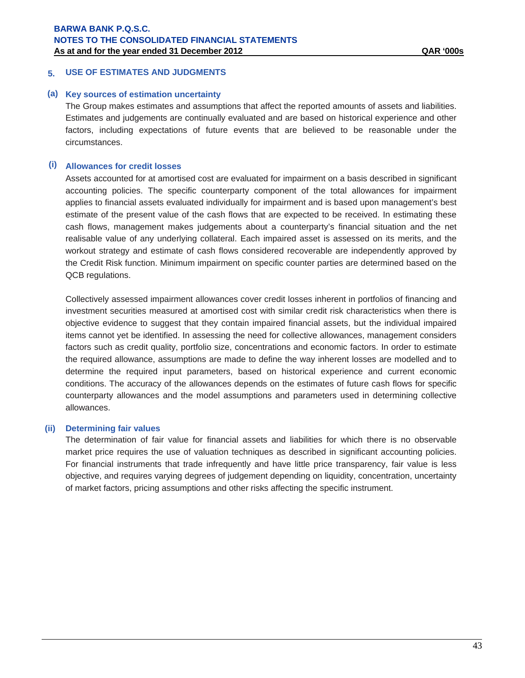#### **5. USE OF ESTIMATES AND JUDGMENTS**

#### **(a) Key sources of estimation uncertainty**

The Group makes estimates and assumptions that affect the reported amounts of assets and liabilities. Estimates and judgements are continually evaluated and are based on historical experience and other factors, including expectations of future events that are believed to be reasonable under the circumstances.

#### **(i) Allowances for credit losses**

Assets accounted for at amortised cost are evaluated for impairment on a basis described in significant accounting policies. The specific counterparty component of the total allowances for impairment applies to financial assets evaluated individually for impairment and is based upon management's best estimate of the present value of the cash flows that are expected to be received. In estimating these cash flows, management makes judgements about a counterparty's financial situation and the net realisable value of any underlying collateral. Each impaired asset is assessed on its merits, and the workout strategy and estimate of cash flows considered recoverable are independently approved by the Credit Risk function. Minimum impairment on specific counter parties are determined based on the QCB regulations.

Collectively assessed impairment allowances cover credit losses inherent in portfolios of financing and investment securities measured at amortised cost with similar credit risk characteristics when there is objective evidence to suggest that they contain impaired financial assets, but the individual impaired items cannot yet be identified. In assessing the need for collective allowances, management considers factors such as credit quality, portfolio size, concentrations and economic factors. In order to estimate the required allowance, assumptions are made to define the way inherent losses are modelled and to determine the required input parameters, based on historical experience and current economic conditions. The accuracy of the allowances depends on the estimates of future cash flows for specific counterparty allowances and the model assumptions and parameters used in determining collective allowances.

#### **(ii) Determining fair values**

The determination of fair value for financial assets and liabilities for which there is no observable market price requires the use of valuation techniques as described in significant accounting policies. For financial instruments that trade infrequently and have little price transparency, fair value is less objective, and requires varying degrees of judgement depending on liquidity, concentration, uncertainty of market factors, pricing assumptions and other risks affecting the specific instrument.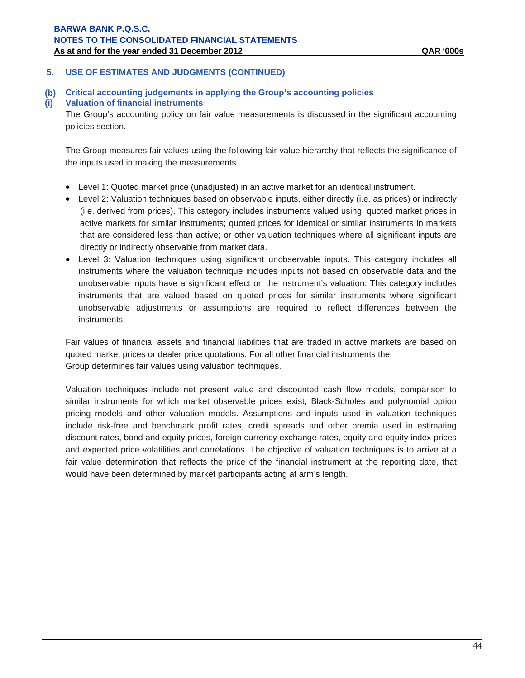# **5. USE OF ESTIMATES AND JUDGMENTS (CONTINUED)**

**(b) Critical accounting judgements in applying the Group's accounting policies** 

### **(i) Valuation of financial instruments**

The Group's accounting policy on fair value measurements is discussed in the significant accounting policies section.

The Group measures fair values using the following fair value hierarchy that reflects the significance of the inputs used in making the measurements.

- Level 1: Quoted market price (unadjusted) in an active market for an identical instrument.
- Level 2: Valuation techniques based on observable inputs, either directly (i.e. as prices) or indirectly (i.e. derived from prices). This category includes instruments valued using: quoted market prices in active markets for similar instruments; quoted prices for identical or similar instruments in markets that are considered less than active; or other valuation techniques where all significant inputs are directly or indirectly observable from market data.
- Level 3: Valuation techniques using significant unobservable inputs. This category includes all instruments where the valuation technique includes inputs not based on observable data and the unobservable inputs have a significant effect on the instrument's valuation. This category includes instruments that are valued based on quoted prices for similar instruments where significant unobservable adjustments or assumptions are required to reflect differences between the instruments.

Fair values of financial assets and financial liabilities that are traded in active markets are based on quoted market prices or dealer price quotations. For all other financial instruments the Group determines fair values using valuation techniques.

Valuation techniques include net present value and discounted cash flow models, comparison to similar instruments for which market observable prices exist, Black-Scholes and polynomial option pricing models and other valuation models. Assumptions and inputs used in valuation techniques include risk-free and benchmark profit rates, credit spreads and other premia used in estimating discount rates, bond and equity prices, foreign currency exchange rates, equity and equity index prices and expected price volatilities and correlations. The objective of valuation techniques is to arrive at a fair value determination that reflects the price of the financial instrument at the reporting date, that would have been determined by market participants acting at arm's length.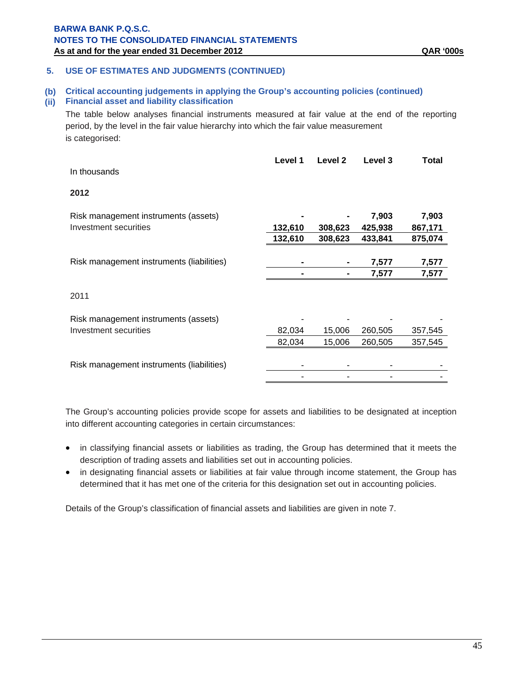### **5. USE OF ESTIMATES AND JUDGMENTS (CONTINUED)**

# **(b) Critical accounting judgements in applying the Group's accounting policies (continued)**

# **(ii) Financial asset and liability classification**

The table below analyses financial instruments measured at fair value at the end of the reporting period, by the level in the fair value hierarchy into which the fair value measurement is categorised:

| In thousands                              | Level 1 | Level 2 | Level 3 | <b>Total</b> |
|-------------------------------------------|---------|---------|---------|--------------|
| 2012                                      |         |         |         |              |
| Risk management instruments (assets)      |         |         | 7,903   | 7,903        |
| Investment securities                     | 132,610 | 308,623 | 425,938 | 867,171      |
|                                           | 132,610 | 308,623 | 433,841 | 875,074      |
|                                           |         |         |         |              |
| Risk management instruments (liabilities) |         |         | 7,577   | 7,577        |
|                                           |         |         | 7,577   | 7,577        |
| 2011                                      |         |         |         |              |
| Risk management instruments (assets)      |         |         |         |              |
| Investment securities                     | 82,034  | 15,006  | 260,505 | 357,545      |
|                                           | 82,034  | 15,006  | 260,505 | 357,545      |
| Risk management instruments (liabilities) |         |         |         |              |
|                                           |         |         |         |              |

The Group's accounting policies provide scope for assets and liabilities to be designated at inception into different accounting categories in certain circumstances:

- in classifying financial assets or liabilities as trading, the Group has determined that it meets the description of trading assets and liabilities set out in accounting policies.
- in designating financial assets or liabilities at fair value through income statement, the Group has determined that it has met one of the criteria for this designation set out in accounting policies.

Details of the Group's classification of financial assets and liabilities are given in note 7.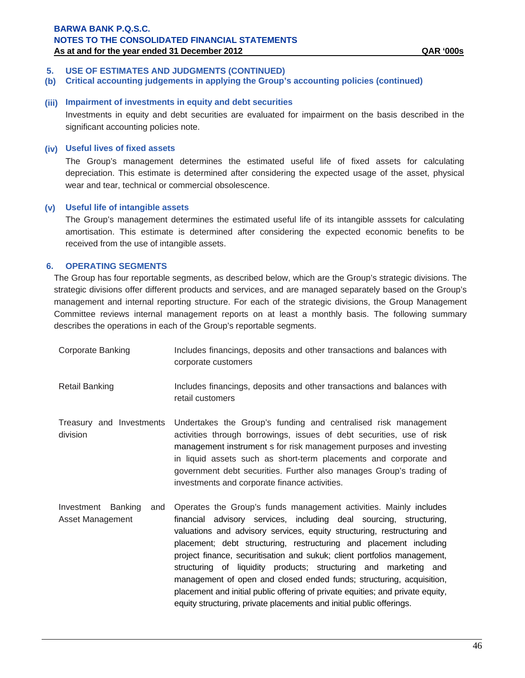# **5. USE OF ESTIMATES AND JUDGMENTS (CONTINUED)**

**(b) Critical accounting judgements in applying the Group's accounting policies (continued)**

# **(iii) Impairment of investments in equity and debt securities**

Investments in equity and debt securities are evaluated for impairment on the basis described in the significant accounting policies note.

### **(iv) Useful lives of fixed assets**

The Group's management determines the estimated useful life of fixed assets for calculating depreciation. This estimate is determined after considering the expected usage of the asset, physical wear and tear, technical or commercial obsolescence.

### **(v) Useful life of intangible assets**

 The Group's management determines the estimated useful life of its intangible asssets for calculating amortisation. This estimate is determined after considering the expected economic benefits to be received from the use of intangible assets.

# **6. OPERATING SEGMENTS**

The Group has four reportable segments, as described below, which are the Group's strategic divisions. The strategic divisions offer different products and services, and are managed separately based on the Group's management and internal reporting structure. For each of the strategic divisions, the Group Management Committee reviews internal management reports on at least a monthly basis. The following summary describes the operations in each of the Group's reportable segments.

| Corporate Banking | Includes financings, deposits and other transactions and balances with                                           |
|-------------------|------------------------------------------------------------------------------------------------------------------|
|                   | corporate customers                                                                                              |
| Detail Dealthan   | المائيين والمستواط والمستور والمتحافظ والمستروح والتواط والمستوطن والمستور والمستور والمتالي والمتناورة والمستور |

- Retail Banking **Includes financings, deposits and other transactions and balances with** retail customers
- Treasury and Investments division Undertakes the Group's funding and centralised risk management activities through borrowings, issues of debt securities, use of risk management instrument s for risk management purposes and investing in liquid assets such as short-term placements and corporate and government debt securities. Further also manages Group's trading of investments and corporate finance activities.
- Investment Banking and Asset Management Operates the Group's funds management activities. Mainly includes financial advisory services, including deal sourcing, structuring, valuations and advisory services, equity structuring, restructuring and placement; debt structuring, restructuring and placement including project finance, securitisation and sukuk; client portfolios management, structuring of liquidity products; structuring and marketing and management of open and closed ended funds; structuring, acquisition, placement and initial public offering of private equities; and private equity, equity structuring, private placements and initial public offerings.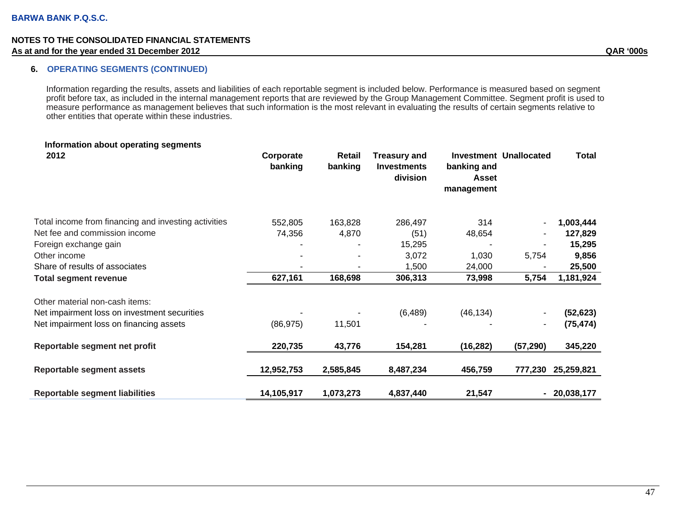### **6. OPERATING SEGMENTS (CONTINUED)**

Information regarding the results, assets and liabilities of each reportable segment is included below. Performance is measured based on segment profit before tax, as included in the internal management reports that are reviewed by the Group Management Committee. Segment profit is used to measure performance as management believes that such information is the most relevant in evaluating the results of certain segments relative to other entities that operate within these industries.

| Information about operating segments<br>2012         | Corporate<br>banking | Retail<br>banking | <b>Treasury and</b><br><b>Investments</b><br>division | banking and<br><b>Asset</b><br>management | <b>Investment Unallocated</b> | <b>Total</b> |
|------------------------------------------------------|----------------------|-------------------|-------------------------------------------------------|-------------------------------------------|-------------------------------|--------------|
| Total income from financing and investing activities | 552,805              | 163,828           | 286,497                                               | 314                                       |                               | 1,003,444    |
| Net fee and commission income                        | 74,356               | 4,870             | (51)                                                  | 48,654                                    |                               | 127,829      |
| Foreign exchange gain                                |                      |                   | 15,295                                                |                                           |                               | 15,295       |
| Other income                                         |                      |                   | 3,072                                                 | 1,030                                     | 5,754                         | 9,856        |
| Share of results of associates                       |                      |                   | 1,500                                                 | 24,000                                    |                               | 25,500       |
| <b>Total segment revenue</b>                         | 627,161              | 168,698           | 306,313                                               | 73,998                                    | 5,754                         | 1,181,924    |
| Other material non-cash items:                       |                      |                   |                                                       |                                           |                               |              |
| Net impairment loss on investment securities         |                      |                   | (6, 489)                                              | (46, 134)                                 |                               | (52, 623)    |
| Net impairment loss on financing assets              | (86, 975)            | 11,501            |                                                       |                                           | ۰                             | (75, 474)    |
| Reportable segment net profit                        | 220,735              | 43,776            | 154,281                                               | (16, 282)                                 | (57, 290)                     | 345,220      |
| <b>Reportable segment assets</b>                     | 12,952,753           | 2,585,845         | 8,487,234                                             | 456,759                                   | 777,230                       | 25,259,821   |
| <b>Reportable segment liabilities</b>                | 14,105,917           | 1,073,273         | 4,837,440                                             | 21,547                                    | $\blacksquare$                | 20,038,177   |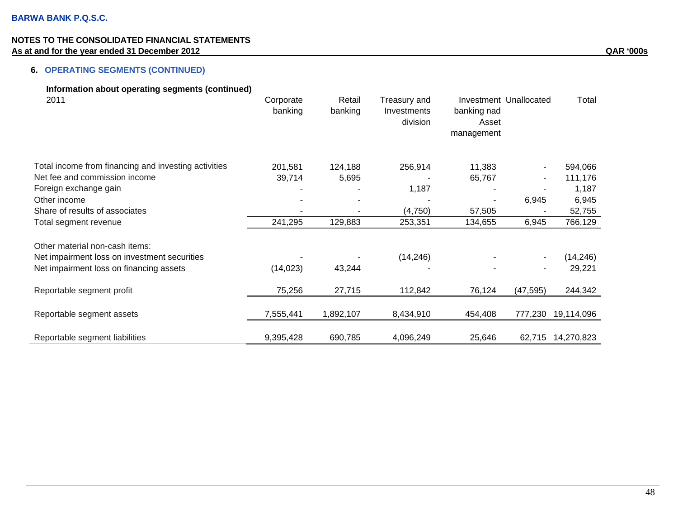# **6. OPERATING SEGMENTS (CONTINUED)**

| Information about operating segments (continued)     |           |           |              |                        |           |                   |
|------------------------------------------------------|-----------|-----------|--------------|------------------------|-----------|-------------------|
| 2011                                                 | Corporate | Retail    | Treasury and | Investment Unallocated |           | Total             |
|                                                      | banking   | banking   | Investments  | banking nad            |           |                   |
|                                                      |           |           | division     | Asset                  |           |                   |
|                                                      |           |           |              | management             |           |                   |
| Total income from financing and investing activities | 201,581   | 124,188   | 256,914      | 11,383                 |           | 594,066           |
| Net fee and commission income                        | 39,714    | 5,695     |              | 65,767                 |           | 111,176           |
| Foreign exchange gain                                |           |           | 1,187        |                        |           | 1,187             |
| Other income                                         |           |           |              | $\blacksquare$         | 6,945     | 6,945             |
| Share of results of associates                       |           |           | (4,750)      | 57,505                 |           | 52,755            |
| Total segment revenue                                | 241,295   | 129,883   | 253,351      | 134,655                | 6,945     | 766,129           |
| Other material non-cash items:                       |           |           |              |                        |           |                   |
| Net impairment loss on investment securities         |           |           | (14, 246)    |                        |           | (14, 246)         |
|                                                      | (14, 023) | 43,244    |              |                        |           | 29,221            |
| Net impairment loss on financing assets              |           |           |              |                        |           |                   |
| Reportable segment profit                            | 75,256    | 27,715    | 112,842      | 76,124                 | (47, 595) | 244,342           |
| Reportable segment assets                            | 7,555,441 | 1,892,107 | 8,434,910    | 454,408                | 777,230   | 19,114,096        |
| Reportable segment liabilities                       | 9,395,428 | 690,785   | 4,096,249    | 25,646                 |           | 62,715 14,270,823 |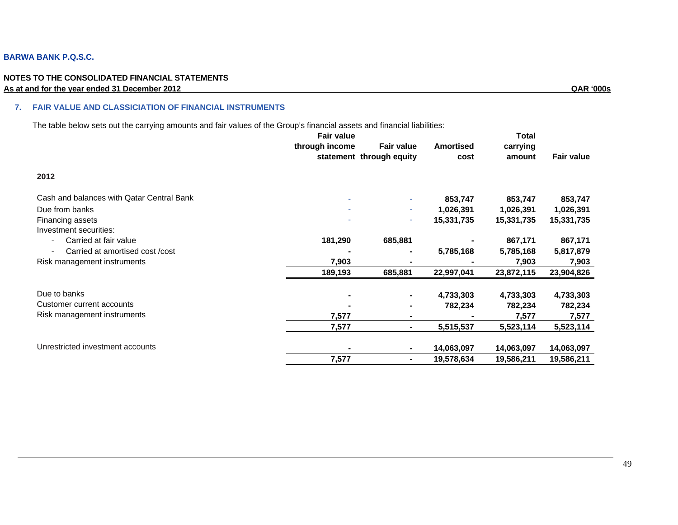### **BARWA BANK P.Q.S.C.**

#### **NOTES TO THE CONSOLIDATED FINANCIAL STATEMENTS As at and for the year ended 31 December 2012 QAR '000s**

#### **7. FAIR VALUE AND CLASSICIATION OF FINANCIAL INSTRUMENTS**

The table below sets out the carrying amounts and fair values of the Group's financial assets and financial liabilities:

|                                           | <b>Fair value</b> |                          |                  | <b>Total</b> |                   |
|-------------------------------------------|-------------------|--------------------------|------------------|--------------|-------------------|
|                                           | through income    | <b>Fair value</b>        | <b>Amortised</b> | carrying     |                   |
|                                           |                   | statement through equity | cost             | amount       | <b>Fair value</b> |
| 2012                                      |                   |                          |                  |              |                   |
| Cash and balances with Qatar Central Bank |                   | $\sim$                   | 853,747          | 853,747      | 853,747           |
| Due from banks                            |                   | ٠                        | 1,026,391        | 1,026,391    | 1,026,391         |
| Financing assets                          |                   | ٠                        | 15,331,735       | 15,331,735   | 15,331,735        |
| Investment securities:                    |                   |                          |                  |              |                   |
| Carried at fair value                     | 181,290           | 685,881                  |                  | 867,171      | 867,171           |
| Carried at amortised cost /cost           |                   | ۰                        | 5,785,168        | 5,785,168    | 5,817,879         |
| Risk management instruments               | 7,903             |                          |                  | 7,903        | 7,903             |
|                                           | 189,193           | 685,881                  | 22,997,041       | 23,872,115   | 23,904,826        |
| Due to banks                              |                   | ۰                        | 4,733,303        | 4,733,303    | 4,733,303         |
| Customer current accounts                 |                   | ۰                        | 782,234          | 782,234      | 782,234           |
| Risk management instruments               | 7,577             | ۰                        |                  | 7,577        | 7,577             |
|                                           | 7,577             | ۰.                       | 5,515,537        | 5,523,114    | 5,523,114         |
| Unrestricted investment accounts          | ٠                 |                          | 14,063,097       | 14,063,097   | 14,063,097        |
|                                           | 7,577             | ۰.                       | 19,578,634       | 19,586,211   | 19,586,211        |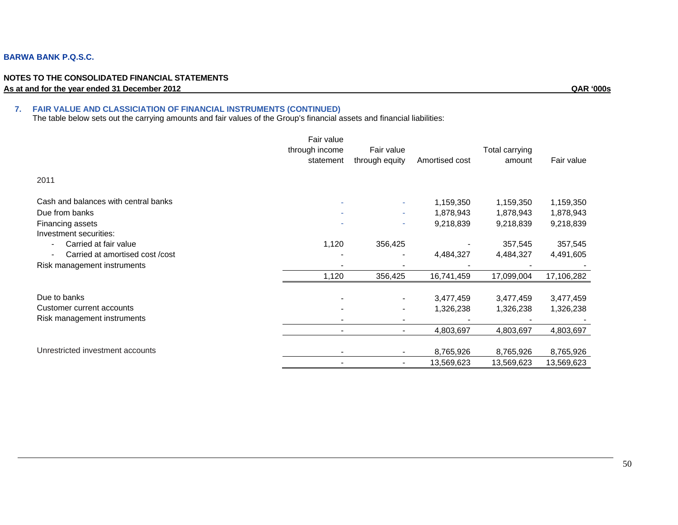### **BARWA BANK P.Q.S.C.**

#### **NOTES TO THE CONSOLIDATED FINANCIAL STATEMENTS As at and for the year ended 31 December 2012 QAR '000s**

#### **7. FAIR VALUE AND CLASSICIATION OF FINANCIAL INSTRUMENTS (CONTINUED)**

The table below sets out the carrying amounts and fair values of the Group's financial assets and financial liabilities:

|                                                              | Fair value<br>through income<br>statement | Fair value<br>through equity | Amortised cost         | Total carrying<br>amount | Fair value             |
|--------------------------------------------------------------|-------------------------------------------|------------------------------|------------------------|--------------------------|------------------------|
| 2011                                                         |                                           |                              |                        |                          |                        |
| Cash and balances with central banks                         |                                           |                              | 1,159,350              | 1,159,350                | 1,159,350              |
| Due from banks<br>Financing assets<br>Investment securities: |                                           | $\sim$                       | 1,878,943<br>9,218,839 | 1,878,943<br>9,218,839   | 1,878,943<br>9,218,839 |
| Carried at fair value<br>Carried at amortised cost /cost     | 1,120                                     | 356,425                      | 4,484,327              | 357,545<br>4,484,327     | 357,545<br>4,491,605   |
| Risk management instruments                                  |                                           |                              |                        |                          |                        |
|                                                              | 1,120                                     | 356,425                      | 16,741,459             | 17,099,004               | 17,106,282             |
| Due to banks                                                 |                                           |                              | 3,477,459              | 3,477,459                | 3,477,459              |
| Customer current accounts                                    |                                           |                              | 1,326,238              | 1,326,238                | 1,326,238              |
| Risk management instruments                                  |                                           |                              |                        |                          |                        |
|                                                              |                                           |                              | 4,803,697              | 4,803,697                | 4,803,697              |
| Unrestricted investment accounts                             |                                           |                              | 8,765,926              | 8,765,926                | 8,765,926              |
|                                                              |                                           |                              | 13,569,623             | 13,569,623               | 13,569,623             |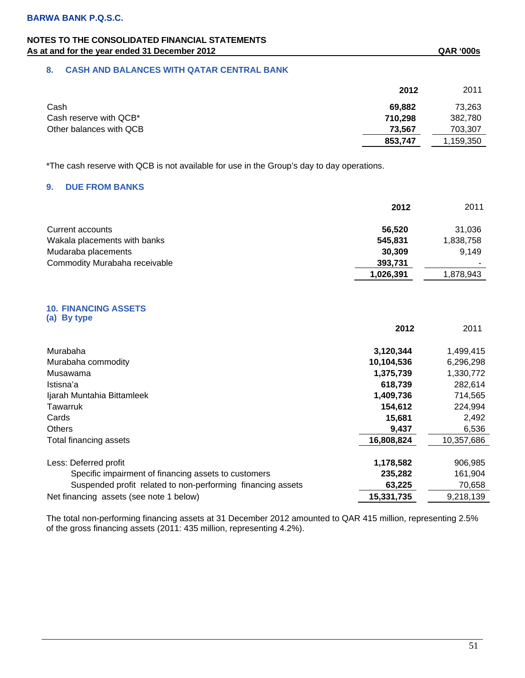# **NOTES TO THE CONSOLIDATED FINANCIAL STATEMENTS**  As at and for the year ended 31 December 2012 **As a state of the SAS COS QAR** '000s

# **8. CASH AND BALANCES WITH QATAR CENTRAL BANK**

|                         | 2012    | 2011      |
|-------------------------|---------|-----------|
| Cash                    | 69.882  | 73.263    |
| Cash reserve with QCB*  | 710,298 | 382,780   |
| Other balances with QCB | 73,567  | 703,307   |
|                         | 853,747 | 1,159,350 |

\*The cash reserve with QCB is not available for use in the Group's day to day operations.

# **9. DUE FROM BANKS**

|                               | 2012      | 2011      |
|-------------------------------|-----------|-----------|
| Current accounts              | 56.520    | 31.036    |
| Wakala placements with banks  | 545.831   | 1,838,758 |
| Mudaraba placements           | 30.309    | 9.149     |
| Commodity Murabaha receivable | 393,731   |           |
|                               | 1,026,391 | 1,878,943 |

#### **10. FINANCING ASSETS (a) By type**

|                                                             | 2012       | 2011       |
|-------------------------------------------------------------|------------|------------|
| Murabaha                                                    | 3,120,344  | 1,499,415  |
| Murabaha commodity                                          | 10,104,536 | 6,296,298  |
| Musawama                                                    | 1,375,739  | 1,330,772  |
| Istisna'a                                                   | 618,739    | 282,614    |
| Ijarah Muntahia Bittamleek                                  | 1,409,736  | 714,565    |
| Tawarruk                                                    | 154,612    | 224,994    |
| Cards                                                       | 15,681     | 2,492      |
| <b>Others</b>                                               | 9,437      | 6,536      |
| Total financing assets                                      | 16,808,824 | 10,357,686 |
| Less: Deferred profit                                       | 1,178,582  | 906,985    |
| Specific impairment of financing assets to customers        | 235,282    | 161,904    |
| Suspended profit related to non-performing financing assets | 63,225     | 70,658     |
| Net financing assets (see note 1 below)                     | 15,331,735 | 9,218,139  |

The total non-performing financing assets at 31 December 2012 amounted to QAR 415 million, representing 2.5% of the gross financing assets (2011: 435 million, representing 4.2%).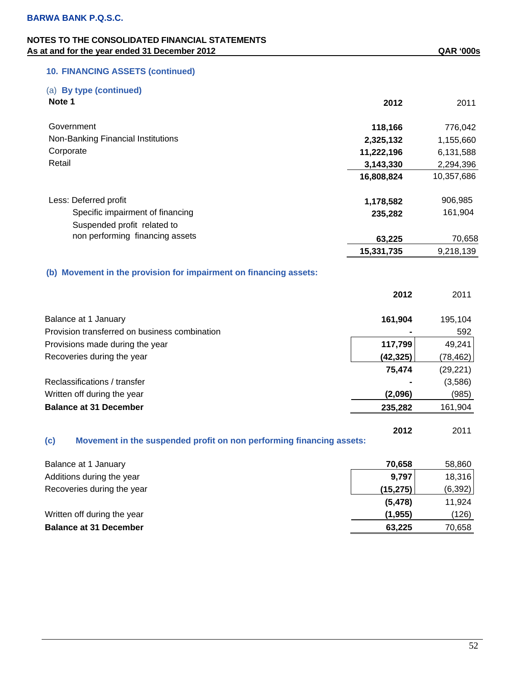# **NOTES TO THE CONSOLIDATED FINANCIAL STATEMENTS**  As at and for the year ended 31 December 2012 **As at and for the year ended 31 December 2012 QAR '000s**

# **10. FINANCING ASSETS (continued)**

# (a) **By type (continued)**

| Note 1                             | 2012       | 2011       |
|------------------------------------|------------|------------|
| Government                         | 118,166    | 776,042    |
| Non-Banking Financial Institutions | 2,325,132  | 1,155,660  |
| Corporate                          | 11,222,196 | 6,131,588  |
| Retail                             | 3,143,330  | 2,294,396  |
|                                    | 16,808,824 | 10,357,686 |
| Less: Deferred profit              | 1,178,582  | 906,985    |
| Specific impairment of financing   | 235,282    | 161,904    |
| Suspended profit related to        |            |            |
| non performing financing assets    | 63,225     | 70,658     |
|                                    | 15,331,735 | 9,218,139  |

### **(b) Movement in the provision for impairment on financing assets:**

|                                               | 2012      | 2011      |
|-----------------------------------------------|-----------|-----------|
| Balance at 1 January                          | 161,904   | 195,104   |
| Provision transferred on business combination |           | 592       |
| Provisions made during the year               | 117,799   | 49,241    |
| Recoveries during the year                    | (42, 325) | (78, 462) |
|                                               | 75,474    | (29, 221) |
| Reclassifications / transfer                  |           | (3,586)   |
| Written off during the year                   | (2,096)   | (985)     |
| <b>Balance at 31 December</b>                 | 235,282   | 161,904   |
|                                               |           |           |

### **(c) Movement in the suspended profit on non performing financing assets:**

| Balance at 1 January          | 70.658    | 58,860   |
|-------------------------------|-----------|----------|
| Additions during the year     | 9,797     | 18,316   |
| Recoveries during the year    | (15, 275) | (6, 392) |
|                               | (5, 478)  | 11,924   |
| Written off during the year   | (1.955)   | (126)    |
| <b>Balance at 31 December</b> | 63.225    | 70,658   |

**2012** 2011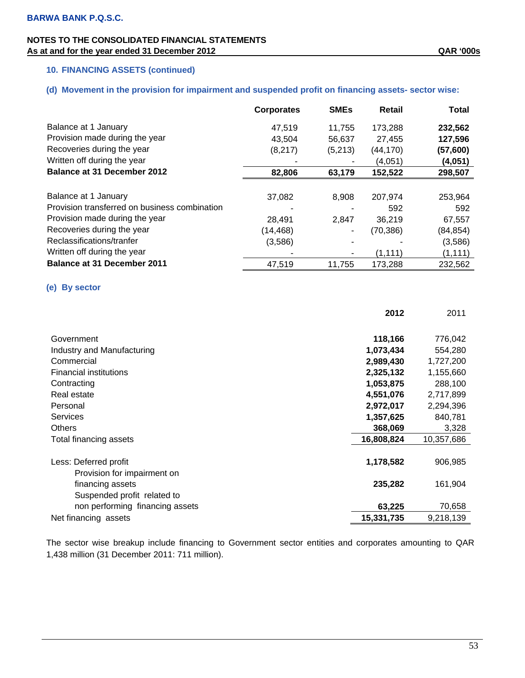# **10. FINANCING ASSETS (continued)**

# **(d) Movement in the provision for impairment and suspended profit on financing assets- sector wise:**

|                                               | <b>Corporates</b> | <b>SME<sub>s</sub></b> | Retail    | <b>Total</b> |
|-----------------------------------------------|-------------------|------------------------|-----------|--------------|
| Balance at 1 January                          | 47,519            | 11.755                 | 173.288   | 232,562      |
| Provision made during the year                | 43,504            | 56,637                 | 27,455    | 127,596      |
| Recoveries during the year                    | (8, 217)          | (5,213)                | (44, 170) | (57,600)     |
| Written off during the year                   |                   |                        | (4,051)   | (4,051)      |
| Balance at 31 December 2012                   | 82,806            | 63,179                 | 152,522   | 298,507      |
|                                               |                   |                        |           |              |
| Balance at 1 January                          | 37,082            | 8,908                  | 207,974   | 253,964      |
| Provision transferred on business combination |                   |                        | 592       | 592          |
| Provision made during the year                | 28,491            | 2.847                  | 36,219    | 67,557       |
| Recoveries during the year                    | (14, 468)         |                        | (70, 386) | (84, 854)    |
| Reclassifications/tranfer                     | (3,586)           |                        |           | (3,586)      |
| Written off during the year                   |                   |                        | (1, 111)  | (1, 111)     |
| <b>Balance at 31 December 2011</b>            | 47,519            | 11,755                 | 173,288   | 232,562      |

# **(e) By sector**

|                                 | 2012       | 2011       |
|---------------------------------|------------|------------|
|                                 |            |            |
| Government                      | 118,166    | 776,042    |
| Industry and Manufacturing      | 1,073,434  | 554,280    |
| Commercial                      | 2,989,430  | 1,727,200  |
| <b>Financial institutions</b>   | 2,325,132  | 1,155,660  |
| Contracting                     | 1,053,875  | 288,100    |
| Real estate                     | 4,551,076  | 2,717,899  |
| Personal                        | 2,972,017  | 2,294,396  |
| <b>Services</b>                 | 1,357,625  | 840,781    |
| <b>Others</b>                   | 368,069    | 3,328      |
| Total financing assets          | 16,808,824 | 10,357,686 |
|                                 |            |            |
| Less: Deferred profit           | 1,178,582  | 906,985    |
| Provision for impairment on     |            |            |
| financing assets                | 235,282    | 161,904    |
| Suspended profit related to     |            |            |
| non performing financing assets | 63,225     | 70,658     |
| Net financing assets            | 15,331,735 | 9,218,139  |

The sector wise breakup include financing to Government sector entities and corporates amounting to QAR 1,438 million (31 December 2011: 711 million).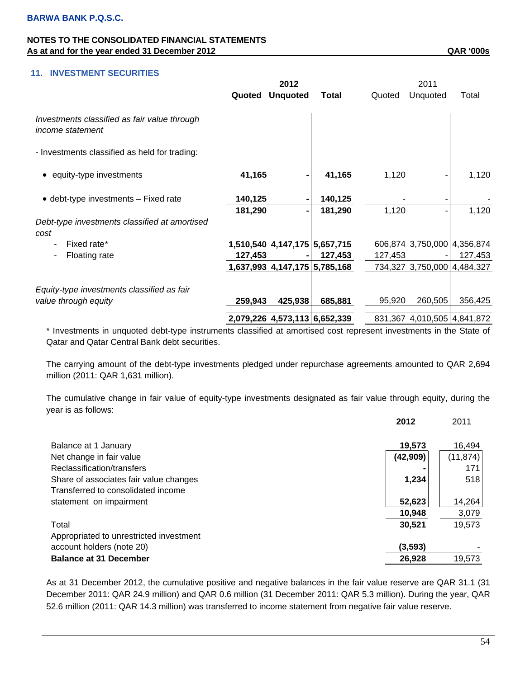|                                                                  | 2012    |                               |              | 2011    |                             |         |
|------------------------------------------------------------------|---------|-------------------------------|--------------|---------|-----------------------------|---------|
|                                                                  | Quoted  | <b>Unquoted</b>               | <b>Total</b> | Quoted  | Unquoted                    | Total   |
| Investments classified as fair value through<br>income statement |         |                               |              |         |                             |         |
| - Investments classified as held for trading:                    |         |                               |              |         |                             |         |
| • equity-type investments                                        | 41,165  | -                             | 41,165       | 1,120   |                             | 1,120   |
| • debt-type investments - Fixed rate                             | 140,125 | $\blacksquare$                | 140,125      |         |                             |         |
|                                                                  | 181,290 | -                             | 181,290      | 1,120   |                             | 1,120   |
| Debt-type investments classified at amortised                    |         |                               |              |         |                             |         |
| cost                                                             |         |                               |              |         |                             |         |
| Fixed rate*                                                      |         | 1,510,540 4,147,175 5,657,715 |              |         | 606,874 3,750,000 4,356,874 |         |
| Floating rate                                                    | 127,453 |                               | 127,453      | 127,453 |                             | 127,453 |
|                                                                  |         | 1,637,993 4,147,175 5,785,168 |              |         | 734,327 3,750,000 4,484,327 |         |
|                                                                  |         |                               |              |         |                             |         |
| Equity-type investments classified as fair                       |         |                               |              |         |                             |         |
| value through equity                                             | 259,943 | 425,938                       | 685,881      | 95,920  | 260,505                     | 356,425 |
|                                                                  |         | 2,079,226 4,573,113 6,652,339 |              |         | 831,367 4,010,505 4,841,872 |         |

\* Investments in unquoted debt-type instruments classified at amortised cost represent investments in the State of Qatar and Qatar Central Bank debt securities.

The carrying amount of the debt-type investments pledged under repurchase agreements amounted to QAR 2,694 million (2011: QAR 1,631 million).

The cumulative change in fair value of equity-type investments designated as fair value through equity, during the year is as follows:

|                                         | 2012     | 2011      |
|-----------------------------------------|----------|-----------|
| Balance at 1 January                    | 19,573   | 16,494    |
| Net change in fair value                | (42,909) | (11, 874) |
| Reclassification/transfers              |          | 171       |
| Share of associates fair value changes  | 1,234    | 518       |
| Transferred to consolidated income      |          |           |
| statement on impairment                 | 52,623   | 14,264    |
|                                         | 10,948   | 3,079     |
| Total                                   | 30,521   | 19,573    |
| Appropriated to unrestricted investment |          |           |
| account holders (note 20)               | (3, 593) |           |
| <b>Balance at 31 December</b>           | 26,928   | 19,573    |

As at 31 December 2012, the cumulative positive and negative balances in the fair value reserve are QAR 31.1 (31 December 2011: QAR 24.9 million) and QAR 0.6 million (31 December 2011: QAR 5.3 million). During the year, QAR 52.6 million (2011: QAR 14.3 million) was transferred to income statement from negative fair value reserve.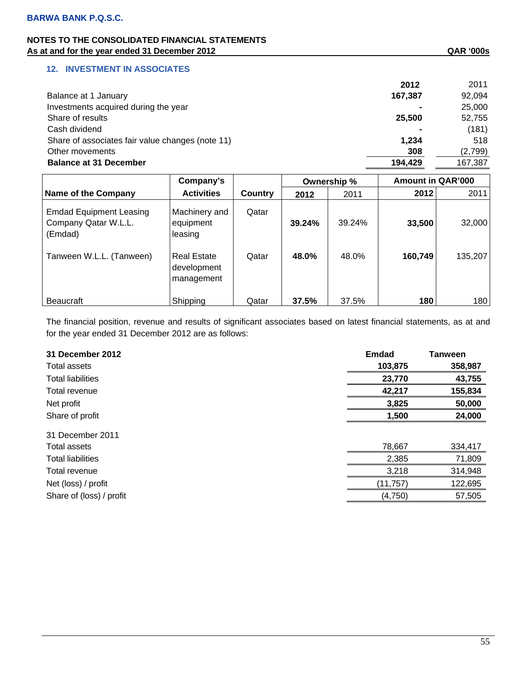# **NOTES TO THE CONSOLIDATED FINANCIAL STATEMENTS**  As at and for the year ended 31 December 2012 **As at and for the year ended 31 December 2012 QAR '000s**

### **12. INVESTMENT IN ASSOCIATES**

|                                                  | 2012    | 2011    |
|--------------------------------------------------|---------|---------|
| Balance at 1 January                             | 167,387 | 92,094  |
| Investments acquired during the year             |         | 25,000  |
| Share of results                                 | 25,500  | 52,755  |
| Cash dividend                                    |         | (181)   |
| Share of associates fair value changes (note 11) | 1.234   | 518     |
| Other movements                                  | 308     | (2,799) |
| <b>Balance at 31 December</b>                    | 194.429 | 167,387 |
|                                                  |         |         |

|                                                                   | Company's                                       |         |        | Ownership % | <b>Amount in QAR'000</b> |         |
|-------------------------------------------------------------------|-------------------------------------------------|---------|--------|-------------|--------------------------|---------|
| Name of the Company                                               | <b>Activities</b>                               | Country | 2012   | 2011        | 2012                     | 2011    |
| <b>Emdad Equipment Leasing</b><br>Company Qatar W.L.L.<br>(Emdad) | Machinery and<br>equipment<br>leasing           | Qatar   | 39.24% | 39.24%      | 33,500                   | 32,000  |
| Tanween W.L.L. (Tanween)                                          | <b>Real Estate</b><br>development<br>management | Qatar   | 48.0%  | 48.0%       | 160,749                  | 135,207 |
| <b>Beaucraft</b>                                                  | Shipping                                        | Qatar   | 37.5%  | 37.5%       | 180                      | 180     |

The financial position, revenue and results of significant associates based on latest financial statements, as at and for the year ended 31 December 2012 are as follows:

| Total assets<br>103,875<br><b>Total liabilities</b><br>23,770<br>42,217<br>Total revenue<br>Net profit<br>3,825<br>Share of profit<br>1,500<br>31 December 2011<br>78,667<br>334,417<br>Total assets<br>2,385<br><b>Total liabilities</b><br>3,218<br>Total revenue<br>Net (loss) / profit<br>(11, 757)<br>Share of (loss) / profit<br>(4, 750) | 31 December 2012 | <b>Emdad</b> | <b>Tanween</b> |
|-------------------------------------------------------------------------------------------------------------------------------------------------------------------------------------------------------------------------------------------------------------------------------------------------------------------------------------------------|------------------|--------------|----------------|
|                                                                                                                                                                                                                                                                                                                                                 |                  |              | 358,987        |
|                                                                                                                                                                                                                                                                                                                                                 |                  |              | 43,755         |
|                                                                                                                                                                                                                                                                                                                                                 |                  |              | 155,834        |
|                                                                                                                                                                                                                                                                                                                                                 |                  |              | 50,000         |
|                                                                                                                                                                                                                                                                                                                                                 |                  |              | 24,000         |
|                                                                                                                                                                                                                                                                                                                                                 |                  |              |                |
|                                                                                                                                                                                                                                                                                                                                                 |                  |              |                |
|                                                                                                                                                                                                                                                                                                                                                 |                  |              | 71,809         |
|                                                                                                                                                                                                                                                                                                                                                 |                  |              | 314,948        |
|                                                                                                                                                                                                                                                                                                                                                 |                  |              | 122,695        |
|                                                                                                                                                                                                                                                                                                                                                 |                  |              | 57,505         |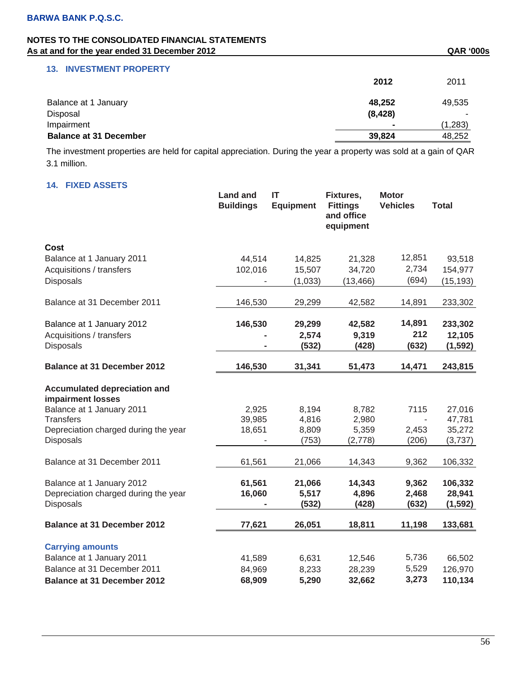| at and for the year chaca of December 2012 |          | יית אור  |
|--------------------------------------------|----------|----------|
| <b>13. INVESTMENT PROPERTY</b>             |          |          |
|                                            | 2012     | 2011     |
| Balance at 1 January                       | 48,252   | 49,535   |
| Disposal                                   | (8, 428) |          |
| Impairment                                 |          | (1, 283) |
| <b>Balance at 31 December</b>              | 39,824   | 48,252   |

The investment properties are held for capital appreciation. During the year a property was sold at a gain of QAR 3.1 million.

# **14. FIXED ASSETS**

| <b>I INLD MOOL I J</b>                                   | <b>Land and</b><br><b>Buildings</b> | IT<br><b>Equipment</b> | Fixtures,<br><b>Fittings</b><br>and office<br>equipment | <b>Motor</b><br><b>Vehicles</b> | <b>Total</b> |
|----------------------------------------------------------|-------------------------------------|------------------------|---------------------------------------------------------|---------------------------------|--------------|
| Cost                                                     |                                     |                        |                                                         |                                 |              |
| Balance at 1 January 2011                                | 44,514                              | 14,825                 | 21,328                                                  | 12,851                          | 93,518       |
| Acquisitions / transfers                                 | 102,016                             | 15,507                 | 34,720                                                  | 2,734                           | 154,977      |
| Disposals                                                |                                     | (1,033)                | (13, 466)                                               | (694)                           | (15, 193)    |
| Balance at 31 December 2011                              | 146,530                             | 29,299                 | 42,582                                                  | 14,891                          | 233,302      |
| Balance at 1 January 2012                                | 146,530                             | 29,299                 | 42,582                                                  | 14,891                          | 233,302      |
| Acquisitions / transfers                                 |                                     | 2,574                  | 9,319                                                   | 212                             | 12,105       |
| Disposals                                                |                                     | (532)                  | (428)                                                   | (632)                           | (1, 592)     |
| <b>Balance at 31 December 2012</b>                       | 146,530                             | 31,341                 | 51,473                                                  | 14,471                          | 243,815      |
| <b>Accumulated depreciation and</b><br>impairment losses |                                     |                        |                                                         |                                 |              |
| Balance at 1 January 2011                                | 2,925                               | 8,194                  | 8,782                                                   | 7115                            | 27,016       |
| <b>Transfers</b>                                         | 39,985                              | 4,816                  | 2,980                                                   |                                 | 47,781       |
| Depreciation charged during the year                     | 18,651                              | 8,809                  | 5,359                                                   | 2,453                           | 35,272       |
| Disposals                                                |                                     | (753)                  | (2,778)                                                 | (206)                           | (3,737)      |
| Balance at 31 December 2011                              | 61,561                              | 21,066                 | 14,343                                                  | 9,362                           | 106,332      |
| Balance at 1 January 2012                                | 61,561                              | 21,066                 | 14,343                                                  | 9,362                           | 106,332      |
| Depreciation charged during the year                     | 16,060                              | 5,517                  | 4,896                                                   | 2,468                           | 28,941       |
| Disposals                                                |                                     | (532)                  | (428)                                                   | (632)                           | (1, 592)     |
| <b>Balance at 31 December 2012</b>                       | 77,621                              | 26,051                 | 18,811                                                  | 11,198                          | 133,681      |
| <b>Carrying amounts</b>                                  |                                     |                        |                                                         |                                 |              |
| Balance at 1 January 2011                                | 41,589                              | 6,631                  | 12,546                                                  | 5,736                           | 66,502       |
| Balance at 31 December 2011                              | 84,969                              | 8,233                  | 28,239                                                  | 5,529                           | 126,970      |
| <b>Balance at 31 December 2012</b>                       | 68,909                              | 5,290                  | 32,662                                                  | 3,273                           | 110,134      |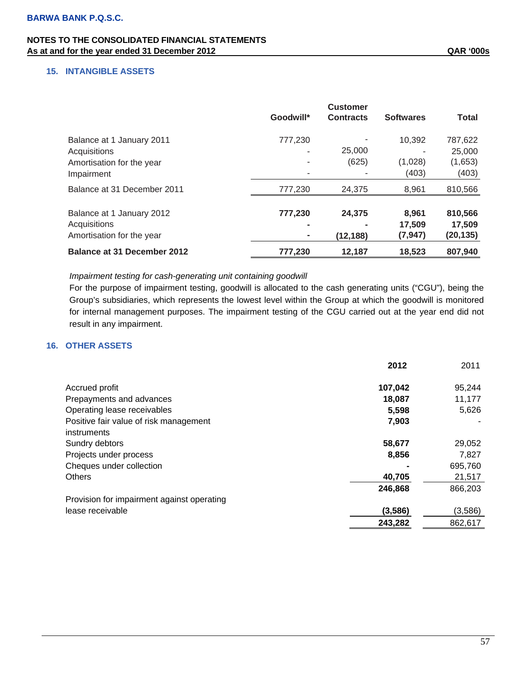# **NOTES TO THE CONSOLIDATED FINANCIAL STATEMENTS**  As at and for the year ended 31 December 2012 **As a state of the SAS COS QAR** '000s

# **15. INTANGIBLE ASSETS**

|                                    | Goodwill* | <b>Customer</b><br><b>Contracts</b> | <b>Softwares</b> | Total     |
|------------------------------------|-----------|-------------------------------------|------------------|-----------|
| Balance at 1 January 2011          | 777,230   |                                     | 10,392           | 787,622   |
| Acquisitions                       |           | 25,000                              |                  | 25,000    |
| Amortisation for the year          |           | (625)                               | (1,028)          | (1,653)   |
| Impairment                         | ٠         |                                     | (403)            | (403)     |
| Balance at 31 December 2011        | 777,230   | 24,375                              | 8,961            | 810,566   |
| Balance at 1 January 2012          | 777,230   | 24,375                              | 8,961            | 810,566   |
| Acquisitions                       |           |                                     | 17.509           | 17,509    |
| Amortisation for the year          |           | (12, 188)                           | (7, 947)         | (20, 135) |
| <b>Balance at 31 December 2012</b> | 777.230   | 12.187                              | 18.523           | 807,940   |

#### *Impairment testing for cash-generating unit containing goodwill*

For the purpose of impairment testing, goodwill is allocated to the cash generating units ("CGU"), being the Group's subsidiaries, which represents the lowest level within the Group at which the goodwill is monitored for internal management purposes. The impairment testing of the CGU carried out at the year end did not result in any impairment.

# **16. OTHER ASSETS**

|                                                       | 2012    | 2011    |
|-------------------------------------------------------|---------|---------|
| Accrued profit                                        | 107,042 | 95,244  |
| Prepayments and advances                              | 18,087  | 11,177  |
| Operating lease receivables                           | 5,598   | 5,626   |
| Positive fair value of risk management<br>instruments | 7,903   |         |
| Sundry debtors                                        | 58,677  | 29,052  |
| Projects under process                                | 8,856   | 7,827   |
| Cheques under collection                              |         | 695,760 |
| <b>Others</b>                                         | 40,705  | 21,517  |
|                                                       | 246,868 | 866,203 |
| Provision for impairment against operating            |         |         |
| lease receivable                                      | (3,586) | (3,586) |
|                                                       | 243,282 | 862,617 |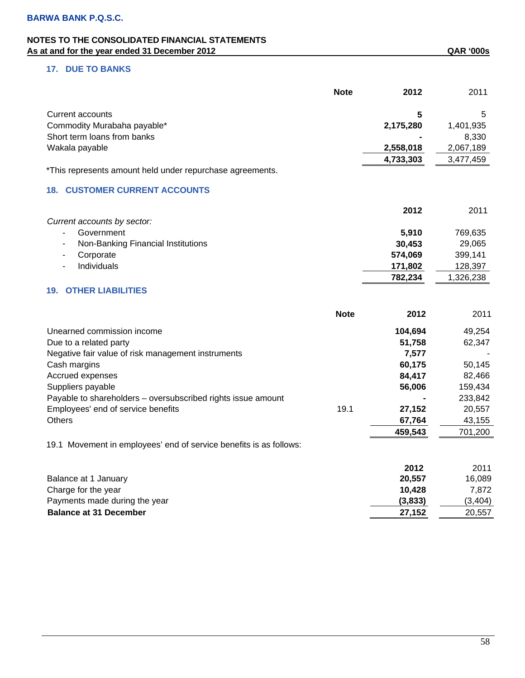# **17. DUE TO BANKS**

|                                                                    | <b>Note</b> | 2012      | 2011      |
|--------------------------------------------------------------------|-------------|-----------|-----------|
| Current accounts                                                   |             | 5         | 5         |
| Commodity Murabaha payable*                                        |             | 2,175,280 | 1,401,935 |
| Short term loans from banks                                        |             |           | 8,330     |
| Wakala payable                                                     |             | 2,558,018 | 2,067,189 |
|                                                                    |             | 4,733,303 | 3,477,459 |
| *This represents amount held under repurchase agreements.          |             |           |           |
| <b>18. CUSTOMER CURRENT ACCOUNTS</b>                               |             |           |           |
|                                                                    |             | 2012      | 2011      |
| Current accounts by sector:                                        |             |           |           |
| Government                                                         |             | 5,910     | 769,635   |
| Non-Banking Financial Institutions                                 |             | 30,453    | 29,065    |
| Corporate<br>-                                                     |             | 574,069   | 399,141   |
| Individuals<br>÷,                                                  |             | 171,802   | 128,397   |
|                                                                    |             | 782,234   | 1,326,238 |
| <b>OTHER LIABILITIES</b><br>19.                                    |             |           |           |
|                                                                    | <b>Note</b> | 2012      | 2011      |
| Unearned commission income                                         |             | 104,694   | 49,254    |
| Due to a related party                                             |             | 51,758    | 62,347    |
| Negative fair value of risk management instruments                 |             | 7,577     |           |
| Cash margins                                                       |             | 60,175    | 50,145    |
| Accrued expenses                                                   |             | 84,417    | 82,466    |
| Suppliers payable                                                  |             | 56,006    | 159,434   |
| Payable to shareholders - oversubscribed rights issue amount       |             |           | 233,842   |
| Employees' end of service benefits                                 | 19.1        | 27,152    | 20,557    |
| <b>Others</b>                                                      |             | 67,764    | 43,155    |
|                                                                    |             | 459,543   | 701,200   |
| 19.1 Movement in employees' end of service benefits is as follows: |             |           |           |
|                                                                    |             | 2012      | 2011      |
| Balance at 1 January                                               |             | 20,557    | 16,089    |
| Charge for the year                                                |             | 10,428    | 7,872     |
| Payments made during the year                                      |             | (3,833)   | (3, 404)  |
| <b>Balance at 31 December</b>                                      |             | 27,152    | 20,557    |
|                                                                    |             |           |           |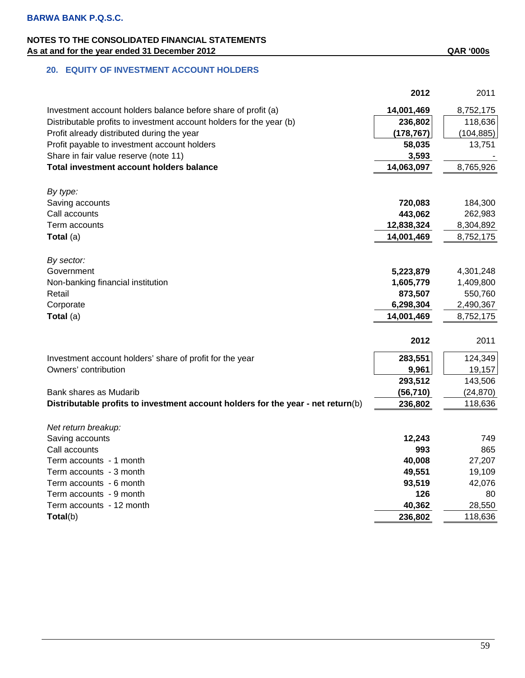|                                                                                  | 2012       | 2011       |
|----------------------------------------------------------------------------------|------------|------------|
| Investment account holders balance before share of profit (a)                    | 14,001,469 | 8,752,175  |
| Distributable profits to investment account holders for the year (b)             | 236,802    | 118,636    |
| Profit already distributed during the year                                       | (178, 767) | (104, 885) |
| Profit payable to investment account holders                                     | 58,035     | 13,751     |
| Share in fair value reserve (note 11)                                            | 3,593      |            |
| <b>Total investment account holders balance</b>                                  | 14,063,097 | 8,765,926  |
|                                                                                  |            |            |
| By type:                                                                         |            |            |
| Saving accounts                                                                  | 720,083    | 184,300    |
| Call accounts                                                                    | 443,062    | 262,983    |
| Term accounts                                                                    | 12,838,324 | 8,304,892  |
| Total (a)                                                                        | 14,001,469 | 8,752,175  |
|                                                                                  |            |            |
| By sector:                                                                       |            |            |
| Government                                                                       | 5,223,879  | 4,301,248  |
| Non-banking financial institution                                                | 1,605,779  | 1,409,800  |
| Retail                                                                           | 873,507    | 550,760    |
| Corporate                                                                        | 6,298,304  | 2,490,367  |
| Total $(a)$                                                                      | 14,001,469 | 8,752,175  |
|                                                                                  |            |            |
|                                                                                  | 2012       | 2011       |
| Investment account holders' share of profit for the year                         | 283,551    | 124,349    |
| Owners' contribution                                                             | 9,961      | 19,157     |
|                                                                                  | 293,512    | 143,506    |
| Bank shares as Mudarib                                                           | (56, 710)  | (24, 870)  |
| Distributable profits to investment account holders for the year - net return(b) | 236,802    | 118,636    |
|                                                                                  |            |            |
| Net return breakup:                                                              |            |            |
| Saving accounts                                                                  | 12,243     | 749        |
| Call accounts                                                                    | 993        | 865        |
| Term accounts - 1 month                                                          | 40,008     | 27,207     |
| Term accounts - 3 month                                                          | 49,551     | 19,109     |
| Term accounts - 6 month                                                          | 93,519     | 42,076     |
| Term accounts - 9 month                                                          | 126        | 80         |
| Term accounts - 12 month                                                         | 40,362     | 28,550     |
| Total(b)                                                                         | 236,802    | 118,636    |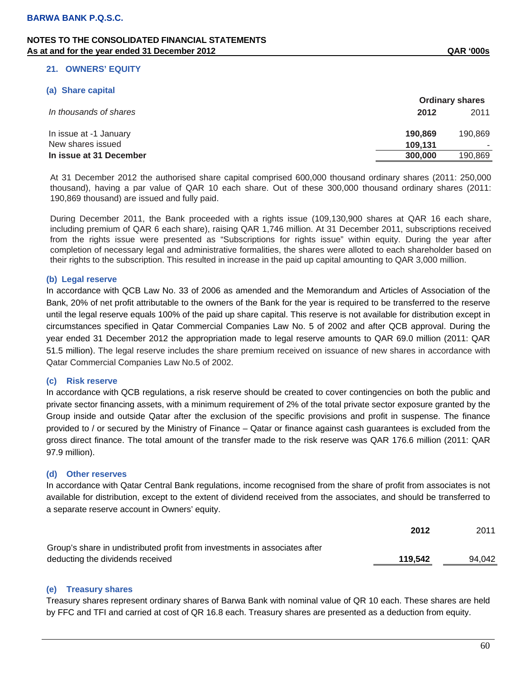#### **21. OWNERS' EQUITY**

#### **(a) Share capital**

|                         | <b>Ordinary shares</b> |         |  |
|-------------------------|------------------------|---------|--|
| In thousands of shares  | 2012                   | 2011    |  |
| In issue at -1 January  | 190.869                | 190,869 |  |
| New shares issued       | 109.131                |         |  |
| In issue at 31 December | 300,000                | 190,869 |  |

At 31 December 2012 the authorised share capital comprised 600,000 thousand ordinary shares (2011: 250,000 thousand), having a par value of QAR 10 each share. Out of these 300,000 thousand ordinary shares (2011: 190,869 thousand) are issued and fully paid.

During December 2011, the Bank proceeded with a rights issue (109,130,900 shares at QAR 16 each share, including premium of QAR 6 each share), raising QAR 1,746 million. At 31 December 2011, subscriptions received from the rights issue were presented as "Subscriptions for rights issue" within equity. During the year after completion of necessary legal and administrative formalities, the shares were alloted to each shareholder based on their rights to the subscription. This resulted in increase in the paid up capital amounting to QAR 3,000 million.

#### **(b) Legal reserve**

In accordance with QCB Law No. 33 of 2006 as amended and the Memorandum and Articles of Association of the Bank, 20% of net profit attributable to the owners of the Bank for the year is required to be transferred to the reserve until the legal reserve equals 100% of the paid up share capital. This reserve is not available for distribution except in circumstances specified in Qatar Commercial Companies Law No. 5 of 2002 and after QCB approval. During the year ended 31 December 2012 the appropriation made to legal reserve amounts to QAR 69.0 million (2011: QAR 51.5 million). The legal reserve includes the share premium received on issuance of new shares in accordance with Qatar Commercial Companies Law No.5 of 2002.

#### **(c) Risk reserve**

In accordance with QCB regulations, a risk reserve should be created to cover contingencies on both the public and private sector financing assets, with a minimum requirement of 2% of the total private sector exposure granted by the Group inside and outside Qatar after the exclusion of the specific provisions and profit in suspense. The finance provided to / or secured by the Ministry of Finance – Qatar or finance against cash guarantees is excluded from the gross direct finance. The total amount of the transfer made to the risk reserve was QAR 176.6 million (2011: QAR 97.9 million).

#### **(d) Other reserves**

In accordance with Qatar Central Bank regulations, income recognised from the share of profit from associates is not available for distribution, except to the extent of dividend received from the associates, and should be transferred to a separate reserve account in Owners' equity.

|                                                                            | 2012    | 2011   |
|----------------------------------------------------------------------------|---------|--------|
| Group's share in undistributed profit from investments in associates after |         |        |
| deducting the dividends received                                           | 119.542 | 94.042 |

#### **(e) Treasury shares**

Treasury shares represent ordinary shares of Barwa Bank with nominal value of QR 10 each. These shares are held by FFC and TFI and carried at cost of QR 16.8 each. Treasury shares are presented as a deduction from equity.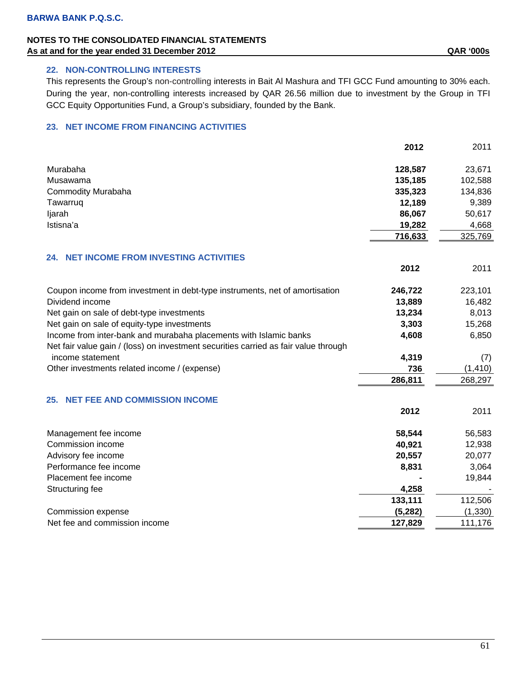# **NOTES TO THE CONSOLIDATED FINANCIAL STATEMENTS**  As at and for the year ended 31 December 2012 **As a state of the SAS COS QAR** '000s

# **22. NON-CONTROLLING INTERESTS**

This represents the Group's non-controlling interests in Bait Al Mashura and TFI GCC Fund amounting to 30% each. During the year, non-controlling interests increased by QAR 26.56 million due to investment by the Group in TFI GCC Equity Opportunities Fund, a Group's subsidiary, founded by the Bank.

# **23. NET INCOME FROM FINANCING ACTIVITIES**

|                                                                                     | 2012     | 2011     |
|-------------------------------------------------------------------------------------|----------|----------|
| Murabaha                                                                            | 128,587  | 23,671   |
| Musawama                                                                            | 135,185  | 102,588  |
| <b>Commodity Murabaha</b>                                                           | 335,323  | 134,836  |
| Tawarruq                                                                            | 12,189   | 9,389    |
| ljarah                                                                              | 86,067   | 50,617   |
| Istisna'a                                                                           | 19,282   | 4,668    |
|                                                                                     | 716,633  | 325,769  |
| <b>NET INCOME FROM INVESTING ACTIVITIES</b><br>24.                                  |          |          |
|                                                                                     | 2012     | 2011     |
| Coupon income from investment in debt-type instruments, net of amortisation         | 246,722  | 223,101  |
| Dividend income                                                                     | 13,889   | 16,482   |
| Net gain on sale of debt-type investments                                           | 13,234   | 8,013    |
| Net gain on sale of equity-type investments                                         | 3,303    | 15,268   |
| Income from inter-bank and murabaha placements with Islamic banks                   | 4,608    | 6,850    |
| Net fair value gain / (loss) on investment securities carried as fair value through |          |          |
| income statement                                                                    | 4,319    | (7)      |
| Other investments related income / (expense)                                        | 736      | (1, 410) |
|                                                                                     | 286,811  | 268,297  |
| <b>NET FEE AND COMMISSION INCOME</b><br>25.                                         |          |          |
|                                                                                     | 2012     | 2011     |
| Management fee income                                                               | 58,544   | 56,583   |
| Commission income                                                                   | 40,921   | 12,938   |
| Advisory fee income                                                                 | 20,557   | 20,077   |
| Performance fee income                                                              | 8,831    | 3,064    |
| Placement fee income                                                                |          | 19,844   |
| Structuring fee                                                                     | 4,258    |          |
|                                                                                     | 133,111  | 112,506  |
| Commission expense                                                                  | (5, 282) | (1, 330) |
| Net fee and commission income                                                       | 127,829  | 111,176  |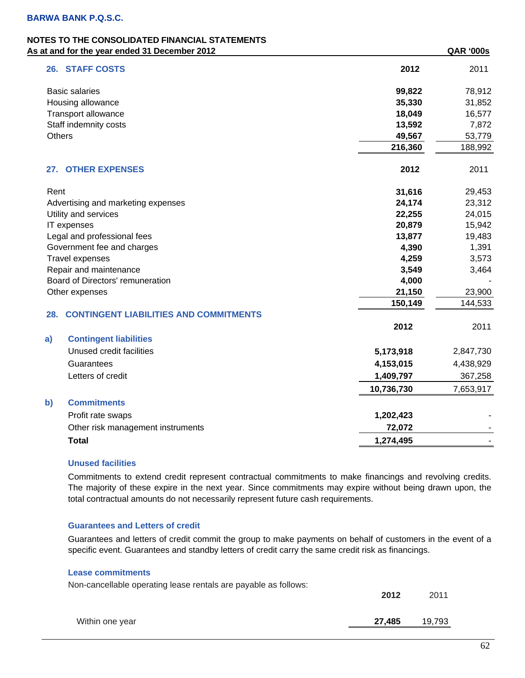### **NOTES TO THE CONSOLIDATED FINANCIAL STATEMENTS**  As at and for the year ended 31 December 2012 **As at and for the year ended 31 December 2012**

|               | ul unu ivi liiv<br>car chaca o r pocchiber zo iz |            | ייש<br>vvvJ |
|---------------|--------------------------------------------------|------------|-------------|
|               | 26. STAFF COSTS                                  | 2012       | 2011        |
|               | <b>Basic salaries</b>                            | 99,822     | 78,912      |
|               | Housing allowance                                | 35,330     | 31,852      |
|               | Transport allowance                              | 18,049     | 16,577      |
|               | Staff indemnity costs                            | 13,592     | 7,872       |
| <b>Others</b> |                                                  | 49,567     | 53,779      |
|               |                                                  | 216,360    | 188,992     |
|               | 27. OTHER EXPENSES                               | 2012       | 2011        |
| Rent          |                                                  | 31,616     | 29,453      |
|               | Advertising and marketing expenses               | 24,174     | 23,312      |
|               | Utility and services                             | 22,255     | 24,015      |
|               | IT expenses                                      | 20,879     | 15,942      |
|               | Legal and professional fees                      | 13,877     | 19,483      |
|               | Government fee and charges                       | 4,390      | 1,391       |
|               | <b>Travel expenses</b>                           | 4,259      | 3,573       |
|               | Repair and maintenance                           | 3,549      | 3,464       |
|               | Board of Directors' remuneration                 | 4,000      |             |
|               | Other expenses                                   | 21,150     | 23,900      |
|               |                                                  | 150,149    | 144,533     |
| 28.           | <b>CONTINGENT LIABILITIES AND COMMITMENTS</b>    |            |             |
|               |                                                  | 2012       | 2011        |
| a)            | <b>Contingent liabilities</b>                    |            |             |
|               | Unused credit facilities                         | 5,173,918  | 2,847,730   |
|               | Guarantees                                       | 4,153,015  | 4,438,929   |
|               | Letters of credit                                | 1,409,797  | 367,258     |
|               |                                                  | 10,736,730 | 7,653,917   |
| b)            | <b>Commitments</b>                               |            |             |
|               | Profit rate swaps                                | 1,202,423  |             |
|               | Other risk management instruments                | 72,072     |             |
|               | <b>Total</b>                                     | 1,274,495  |             |
|               |                                                  |            |             |

#### **Unused facilities**

Commitments to extend credit represent contractual commitments to make financings and revolving credits. The majority of these expire in the next year. Since commitments may expire without being drawn upon, the total contractual amounts do not necessarily represent future cash requirements.

#### **Guarantees and Letters of credit**

Guarantees and letters of credit commit the group to make payments on behalf of customers in the event of a specific event. Guarantees and standby letters of credit carry the same credit risk as financings.

# **Lease commitments**

| Non-cancellable operating lease rentals are payable as follows: | 2012   | 2011   |
|-----------------------------------------------------------------|--------|--------|
| Within one year                                                 | 27.485 | 19,793 |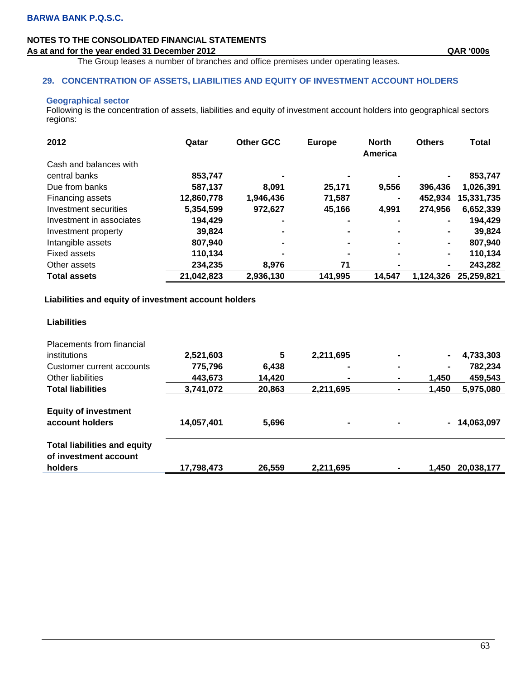# **NOTES TO THE CONSOLIDATED FINANCIAL STATEMENTS**  As at and for the year ended 31 December 2012 **As a state of the SAS COS QAR** '000s

The Group leases a number of branches and office premises under operating leases.

#### **29. CONCENTRATION OF ASSETS, LIABILITIES AND EQUITY OF INVESTMENT ACCOUNT HOLDERS**

#### **Geographical sector**

Following is the concentration of assets, liabilities and equity of investment account holders into geographical sectors regions:

| 2012                     | Qatar      | <b>Other GCC</b> | <b>Europe</b>  | <b>North</b><br>America | <b>Others</b>  | <b>Total</b> |
|--------------------------|------------|------------------|----------------|-------------------------|----------------|--------------|
| Cash and balances with   |            |                  |                |                         |                |              |
| central banks            | 853,747    |                  |                | -                       | $\blacksquare$ | 853,747      |
| Due from banks           | 587,137    | 8.091            | 25,171         | 9,556                   | 396,436        | 1,026,391    |
| Financing assets         | 12,860,778 | 1,946,436        | 71,587         | $\blacksquare$          | 452,934        | 15,331,735   |
| Investment securities    | 5,354,599  | 972,627          | 45,166         | 4,991                   | 274,956        | 6,652,339    |
| Investment in associates | 194,429    |                  | $\blacksquare$ | $\blacksquare$          | $\blacksquare$ | 194,429      |
| Investment property      | 39,824     |                  | $\blacksquare$ | -                       | ۰.             | 39,824       |
| Intangible assets        | 807,940    | $\blacksquare$   | $\blacksquare$ | $\blacksquare$          | $\blacksquare$ | 807,940      |
| Fixed assets             | 110,134    |                  | $\blacksquare$ | $\blacksquare$          | $\blacksquare$ | 110,134      |
| Other assets             | 234,235    | 8,976            | 71             | $\blacksquare$          | ٠              | 243,282      |
| <b>Total assets</b>      | 21,042,823 | 2,936,130        | 141,995        | 14,547                  | 1.124.326      | 25,259,821   |

# **Liabilities and equity of investment account holders**

| <b>Placements from financial</b>                             |            |        |                |                |                |               |
|--------------------------------------------------------------|------------|--------|----------------|----------------|----------------|---------------|
| institutions                                                 | 2,521,603  | 5      | 2,211,695      | $\blacksquare$ | $\blacksquare$ | 4,733,303     |
| Customer current accounts                                    | 775,796    | 6,438  | $\blacksquare$ | $\blacksquare$ | $\blacksquare$ | 782,234       |
| Other liabilities                                            | 443,673    | 14,420 | $\blacksquare$ | ۰              | 1,450          | 459,543       |
| <b>Total liabilities</b>                                     | 3,741,072  | 20,863 | 2,211,695      | -              | 1,450          | 5,975,080     |
| <b>Equity of investment</b><br>account holders               | 14,057,401 | 5,696  | $\blacksquare$ | $\blacksquare$ |                | $-14,063,097$ |
| <b>Total liabilities and equity</b><br>of investment account |            |        |                |                |                |               |
| holders                                                      | 17,798,473 | 26,559 | 2,211,695      |                | 1.450          | 20,038,177    |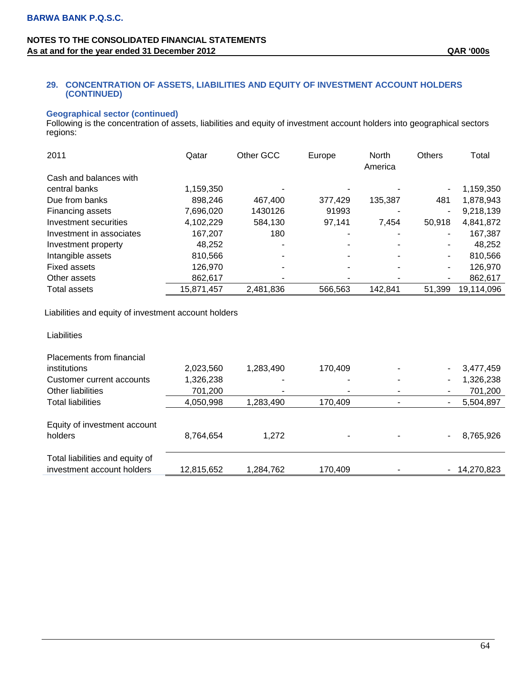### **29. CONCENTRATION OF ASSETS, LIABILITIES AND EQUITY OF INVESTMENT ACCOUNT HOLDERS (CONTINUED)**

# **Geographical sector (continued)**

Following is the concentration of assets, liabilities and equity of investment account holders into geographical sectors regions:

| 2011                     | Qatar      | Other GCC | Europe         | <b>North</b><br>America | <b>Others</b> | Total      |
|--------------------------|------------|-----------|----------------|-------------------------|---------------|------------|
| Cash and balances with   |            |           |                |                         |               |            |
| central banks            | 1,159,350  |           |                |                         |               | 1,159,350  |
| Due from banks           | 898.246    | 467,400   | 377.429        | 135,387                 | 481           | 1,878,943  |
| Financing assets         | 7,696,020  | 1430126   | 91993          |                         |               | 9,218,139  |
| Investment securities    | 4,102,229  | 584,130   | 97,141         | 7,454                   | 50,918        | 4,841,872  |
| Investment in associates | 167,207    | 180       |                |                         | ۰             | 167,387    |
| Investment property      | 48,252     |           |                |                         |               | 48,252     |
| Intangible assets        | 810.566    |           | $\blacksquare$ |                         | ۰.            | 810,566    |
| <b>Fixed assets</b>      | 126,970    |           | -              |                         | ۰.            | 126,970    |
| Other assets             | 862,617    |           |                |                         | ۰.            | 862,617    |
| Total assets             | 15,871,457 | 2,481,836 | 566,563        | 142,841                 | 51,399        | 19,114,096 |

Liabilities and equity of investment account holders

| Placements from financial                                     |            |           |                          |   |                |
|---------------------------------------------------------------|------------|-----------|--------------------------|---|----------------|
| institutions                                                  | 2,023,560  | 1,283,490 | 170.409                  |   | 3,477,459      |
| Customer current accounts                                     | 1,326,238  |           |                          |   | 1,326,238<br>۰ |
| Other liabilities                                             | 701,200    |           | $\overline{\phantom{0}}$ | ۰ | 701,200<br>۰   |
| <b>Total liabilities</b>                                      | 4,050,998  | 1,283,490 | 170,409                  |   | 5,504,897<br>- |
| Equity of investment account<br>holders                       | 8,764,654  | 1,272     |                          |   | 8,765,926<br>۰ |
| Total liabilities and equity of<br>investment account holders | 12,815,652 | 1,284,762 | 170.409                  |   | $-14,270,823$  |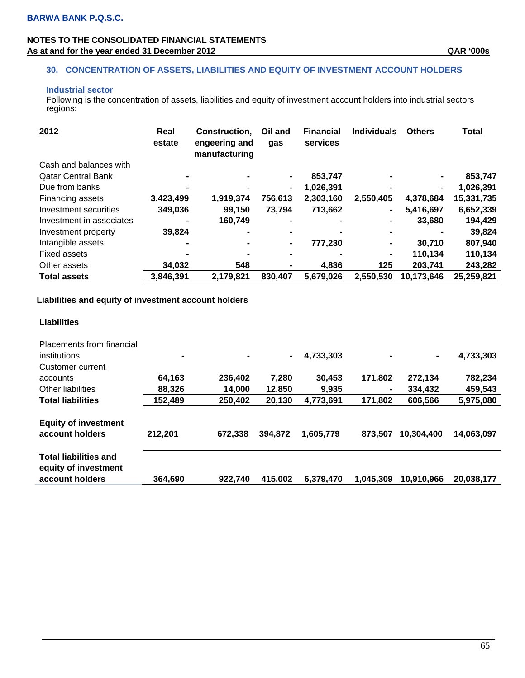# **NOTES TO THE CONSOLIDATED FINANCIAL STATEMENTS**  As at and for the year ended 31 December 2012 **As a state of the SAS COS QAR '000s**

# **30. CONCENTRATION OF ASSETS, LIABILITIES AND EQUITY OF INVESTMENT ACCOUNT HOLDERS**

# **Industrial sector**

Following is the concentration of assets, liabilities and equity of investment account holders into industrial sectors regions:

| 2012                      | Real<br>estate | Construction.<br>engeering and<br>manufacturing | Oil and<br>gas | <b>Financial</b><br>services | <b>Individuals</b> | <b>Others</b>  | <b>Total</b> |
|---------------------------|----------------|-------------------------------------------------|----------------|------------------------------|--------------------|----------------|--------------|
| Cash and balances with    |                |                                                 |                |                              |                    |                |              |
| <b>Qatar Central Bank</b> |                |                                                 |                | 853,747                      | $\blacksquare$     | $\blacksquare$ | 853,747      |
| Due from banks            |                |                                                 | ۰              | 1,026,391                    |                    | $\blacksquare$ | 1,026,391    |
| <b>Financing assets</b>   | 3,423,499      | 1,919,374                                       | 756,613        | 2,303,160                    | 2,550,405          | 4,378,684      | 15,331,735   |
| Investment securities     | 349,036        | 99,150                                          | 73,794         | 713,662                      | $\blacksquare$     | 5,416,697      | 6,652,339    |
| Investment in associates  |                | 160,749                                         |                |                              |                    | 33,680         | 194,429      |
| Investment property       | 39,824         |                                                 |                |                              | $\blacksquare$     |                | 39,824       |
| Intangible assets         | -              |                                                 | $\blacksquare$ | 777,230                      | ٠                  | 30.710         | 807,940      |
| <b>Fixed assets</b>       |                |                                                 |                |                              | $\blacksquare$     | 110,134        | 110,134      |
| Other assets              | 34,032         | 548                                             |                | 4,836                        | 125                | 203,741        | 243,282      |
| <b>Total assets</b>       | 3,846,391      | 2,179,821                                       | 830.407        | 5.679.026                    | 2,550,530          | 10,173,646     | 25,259,821   |

### **Liabilities and equity of investment account holders**

| <b>Placements from financial</b><br>institutions<br>Customer current    | $\blacksquare$ |         | $\blacksquare$ | 4,733,303 |           | $\blacksquare$ | 4,733,303  |
|-------------------------------------------------------------------------|----------------|---------|----------------|-----------|-----------|----------------|------------|
| accounts                                                                | 64,163         | 236,402 | 7,280          | 30.453    | 171,802   | 272,134        | 782,234    |
| Other liabilities                                                       | 88.326         | 14.000  | 12,850         | 9,935     |           | 334.432        | 459,543    |
| <b>Total liabilities</b>                                                | 152,489        | 250,402 | 20,130         | 4,773,691 | 171,802   | 606,566        | 5,975,080  |
| <b>Equity of investment</b><br>account holders                          | 212,201        | 672,338 | 394,872        | 1,605,779 | 873.507   | 10,304,400     | 14,063,097 |
| <b>Total liabilities and</b><br>equity of investment<br>account holders | 364.690        | 922,740 | 415,002        | 6,379,470 | 1,045,309 | 10,910,966     | 20.038,177 |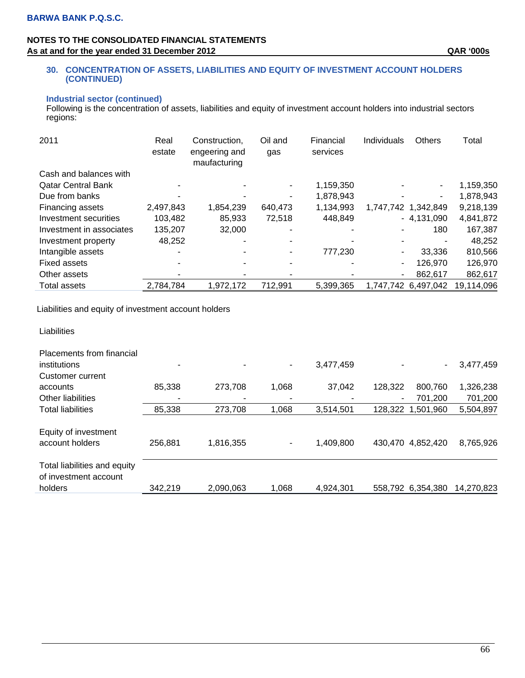# **NOTES TO THE CONSOLIDATED FINANCIAL STATEMENTS**  As at and for the year ended 31 December 2012 **As a state of the SAS COS QAR** '000s

### **30. CONCENTRATION OF ASSETS, LIABILITIES AND EQUITY OF INVESTMENT ACCOUNT HOLDERS (CONTINUED)**

### **Industrial sector (continued)**

Following is the concentration of assets, liabilities and equity of investment account holders into industrial sectors regions:

| 2011                      | Real<br>estate | Construction,<br>engeering and<br>maufacturing | Oil and<br>gas | Financial<br>services | Individuals | Others              | Total      |
|---------------------------|----------------|------------------------------------------------|----------------|-----------------------|-------------|---------------------|------------|
| Cash and balances with    |                |                                                |                |                       |             |                     |            |
| <b>Qatar Central Bank</b> |                |                                                |                | 1,159,350             |             | $\blacksquare$      | 1,159,350  |
| Due from banks            |                |                                                |                | 1,878,943             |             | ۰                   | 1,878,943  |
| Financing assets          | 2,497,843      | 1,854,239                                      | 640,473        | 1,134,993             |             | 1,747,742 1,342,849 | 9,218,139  |
| Investment securities     | 103,482        | 85,933                                         | 72,518         | 448,849               |             | $-4,131,090$        | 4,841,872  |
| Investment in associates  | 135,207        | 32,000                                         |                |                       |             | 180                 | 167,387    |
| Investment property       | 48.252         |                                                |                |                       |             |                     | 48,252     |
| Intangible assets         |                |                                                |                | 777,230               | ۰           | 33,336              | 810,566    |
| Fixed assets              |                |                                                |                |                       | ۰.          | 126,970             | 126,970    |
| Other assets              |                |                                                |                |                       | ۰           | 862,617             | 862,617    |
| Total assets              | 2,784,784      | 1,972,172                                      | 712,991        | 5,399,365             | 1.747.742   | 6,497,042           | 19,114,096 |

Liabilities and equity of investment account holders

| Liabilities                                                      |         |           |       |           |                   |           |            |
|------------------------------------------------------------------|---------|-----------|-------|-----------|-------------------|-----------|------------|
| Placements from financial<br>institutions<br>Customer current    |         | ۰         | ۰     | 3,477,459 |                   |           | 3,477,459  |
| accounts                                                         | 85,338  | 273,708   | 1,068 | 37,042    | 128,322           | 800,760   | 1,326,238  |
| Other liabilities                                                |         |           |       |           |                   | 701,200   | 701,200    |
| <b>Total liabilities</b>                                         | 85,338  | 273,708   | 1,068 | 3,514,501 | 128,322           | 1,501,960 | 5,504,897  |
| Equity of investment<br>account holders                          | 256,881 | 1,816,355 | ۰     | 1,409,800 | 430,470 4,852,420 |           | 8,765,926  |
| Total liabilities and equity<br>of investment account<br>holders | 342,219 | 2,090,063 | 1,068 | 4,924,301 | 558,792 6,354,380 |           | 14,270,823 |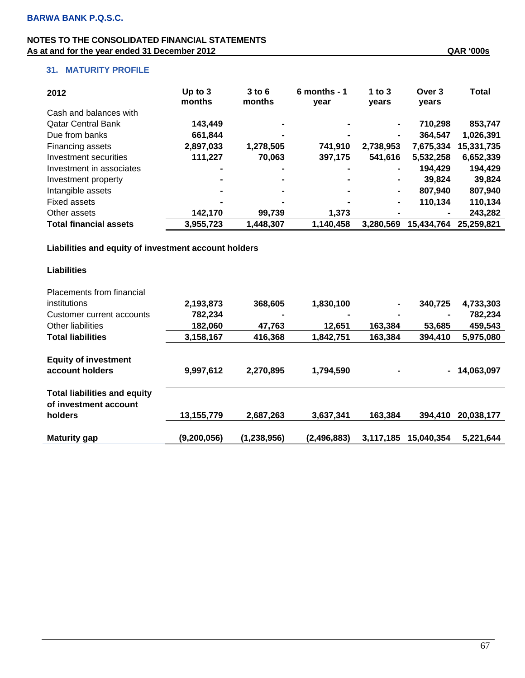| 2012                          | Up to $3$<br>months | $3$ to $6$<br>months | $6$ months - 1<br>year | 1 to $3$<br>years | Over <sub>3</sub><br>years | <b>Total</b> |
|-------------------------------|---------------------|----------------------|------------------------|-------------------|----------------------------|--------------|
| Cash and balances with        |                     |                      |                        |                   |                            |              |
| <b>Qatar Central Bank</b>     | 143,449             |                      |                        | $\blacksquare$    | 710.298                    | 853,747      |
| Due from banks                | 661,844             |                      |                        | $\blacksquare$    | 364.547                    | 1,026,391    |
| Financing assets              | 2,897,033           | 1,278,505            | 741,910                | 2,738,953         | 7,675,334                  | 15,331,735   |
| Investment securities         | 111,227             | 70,063               | 397,175                | 541,616           | 5,532,258                  | 6,652,339    |
| Investment in associates      | $\blacksquare$      | -                    |                        | $\blacksquare$    | 194,429                    | 194,429      |
| Investment property           | $\blacksquare$      | -                    | $\blacksquare$         | $\blacksquare$    | 39.824                     | 39.824       |
| Intangible assets             | $\blacksquare$      | -                    | $\blacksquare$         | $\blacksquare$    | 807.940                    | 807,940      |
| <b>Fixed assets</b>           | -                   | -                    |                        | $\blacksquare$    | 110.134                    | 110,134      |
| Other assets                  | 142,170             | 99,739               | 1.373                  | $\blacksquare$    |                            | 243,282      |
| <b>Total financial assets</b> | 3,955,723           | 1,448,307            | 1,140,458              | 3,280,569         | 15,434,764                 | 25,259,821   |

### **Liabilities and equity of investment account holders**

| <b>Placements from financial</b>                             |             |               |               |           |                |            |
|--------------------------------------------------------------|-------------|---------------|---------------|-----------|----------------|------------|
| institutions                                                 | 2,193,873   | 368,605       | 1,830,100     | ۰         | 340,725        | 4,733,303  |
| Customer current accounts                                    | 782,234     | -             |               |           |                | 782,234    |
| Other liabilities                                            | 182,060     | 47,763        | 12,651        | 163,384   | 53,685         | 459,543    |
| <b>Total liabilities</b>                                     | 3,158,167   | 416,368       | 1,842,751     | 163,384   | 394,410        | 5,975,080  |
| <b>Equity of investment</b>                                  |             |               |               |           |                |            |
| account holders                                              | 9,997,612   | 2,270,895     | 1,794,590     |           | $\blacksquare$ | 14,063,097 |
| <b>Total liabilities and equity</b><br>of investment account |             |               |               |           |                |            |
| holders                                                      | 13,155,779  | 2,687,263     | 3,637,341     | 163,384   | 394,410        | 20,038,177 |
|                                                              |             |               |               |           |                |            |
| <b>Maturity gap</b>                                          | (9,200,056) | (1, 238, 956) | (2, 496, 883) | 3,117,185 | 15,040,354     | 5,221,644  |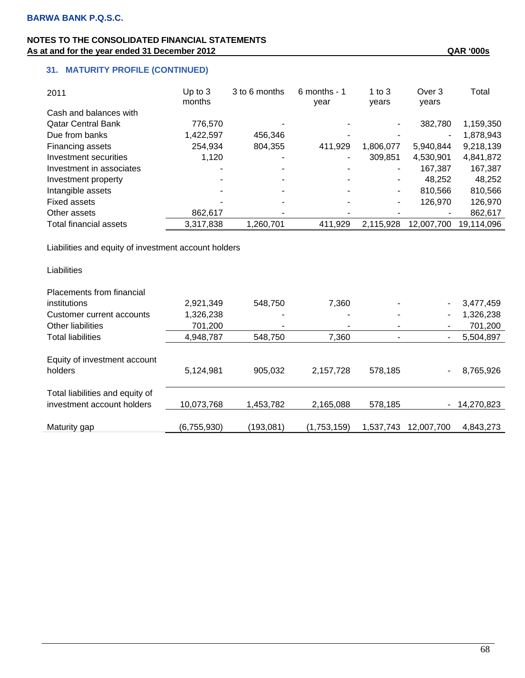# **31. MATURITY PROFILE (CONTINUED)**

| 2011                          | Up to $3$<br>months | 3 to 6 months | $6$ months - 1<br>year   | 1 to $3$<br>years | Over 3<br>years | Total      |
|-------------------------------|---------------------|---------------|--------------------------|-------------------|-----------------|------------|
| Cash and balances with        |                     |               |                          |                   |                 |            |
| <b>Qatar Central Bank</b>     | 776.570             |               |                          | -                 | 382.780         | 1,159,350  |
| Due from banks                | 1,422,597           | 456,346       |                          |                   |                 | 1,878,943  |
| Financing assets              | 254,934             | 804,355       | 411,929                  | 1,806,077         | 5,940,844       | 9,218,139  |
| Investment securities         | 1,120               |               |                          | 309.851           | 4,530,901       | 4,841,872  |
| Investment in associates      |                     |               |                          | -                 | 167,387         | 167,387    |
| Investment property           |                     |               |                          | -                 | 48.252          | 48,252     |
| Intangible assets             |                     |               |                          | ٠                 | 810.566         | 810,566    |
| <b>Fixed assets</b>           |                     |               |                          | ٠                 | 126.970         | 126,970    |
| Other assets                  | 862,617             |               | $\overline{\phantom{0}}$ |                   |                 | 862,617    |
| <b>Total financial assets</b> | 3,317,838           | 1,260,701     | 411,929                  | 2.115.928         | 12.007.700      | 19.114.096 |

Liabilities and equity of investment account holders

| Placements from financial                                     |             |           |             |                          |                |            |
|---------------------------------------------------------------|-------------|-----------|-------------|--------------------------|----------------|------------|
| institutions                                                  | 2,921,349   | 548,750   | 7,360       | $\overline{\phantom{0}}$ | -              | 3,477,459  |
| Customer current accounts                                     | 1,326,238   | ٠         |             |                          | ۰              | 1,326,238  |
| Other liabilities                                             | 701,200     |           | -           |                          | $\blacksquare$ | 701,200    |
| <b>Total liabilities</b>                                      | 4,948,787   | 548.750   | 7.360       |                          | $\blacksquare$ | 5,504,897  |
| Equity of investment account<br>holders                       | 5,124,981   | 905,032   | 2,157,728   | 578,185                  | $\blacksquare$ | 8,765,926  |
| Total liabilities and equity of<br>investment account holders | 10,073,768  | 1,453,782 | 2,165,088   | 578,185                  | $\blacksquare$ | 14,270,823 |
| Maturity gap                                                  | (6,755,930) | (193,081) | (1,753,159) | 1,537,743                | 12.007.700     | 4,843,273  |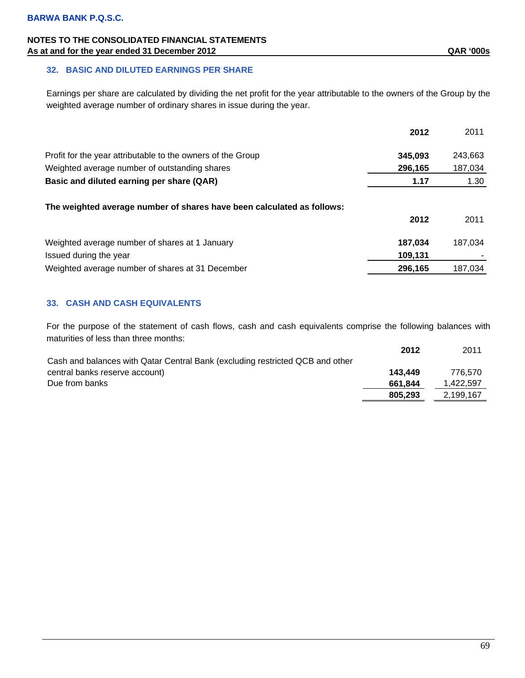# **NOTES TO THE CONSOLIDATED FINANCIAL STATEMENTS**  As at and for the year ended 31 December 2012 **As a state of the U.S. S. A. S. A. S. A. S. A. S. A. S. A. S. A. S. A. S. A. S. A. S. A. S. A. S. A. S. A. S. A. S. A. S. A. S. A. S. A. S. A. S. A. S. A. S. A. S. A. S. A. S.**

Earnings per share are calculated by dividing the net profit for the year attributable to the owners of the Group by the weighted average number of ordinary shares in issue during the year.

|                                                                        | 2012    | 2011    |
|------------------------------------------------------------------------|---------|---------|
| Profit for the year attributable to the owners of the Group            | 345,093 | 243,663 |
| Weighted average number of outstanding shares                          | 296,165 | 187,034 |
| Basic and diluted earning per share (QAR)                              | 1.17    | 1.30    |
| The weighted average number of shares have been calculated as follows: | 2012    | 2011    |
| Weighted average number of shares at 1 January                         | 187,034 | 187.034 |
| Issued during the year                                                 | 109,131 |         |
| Weighted average number of shares at 31 December                       | 296,165 | 187.034 |

# **33. CASH AND CASH EQUIVALENTS**

For the purpose of the statement of cash flows, cash and cash equivalents comprise the following balances with maturities of less than three months:

|                                                                               | 2012    | 2011      |
|-------------------------------------------------------------------------------|---------|-----------|
| Cash and balances with Qatar Central Bank (excluding restricted QCB and other |         |           |
| central banks reserve account)                                                | 143.449 | 776.570   |
| Due from banks                                                                | 661.844 | 1,422,597 |
|                                                                               | 805.293 | 2,199,167 |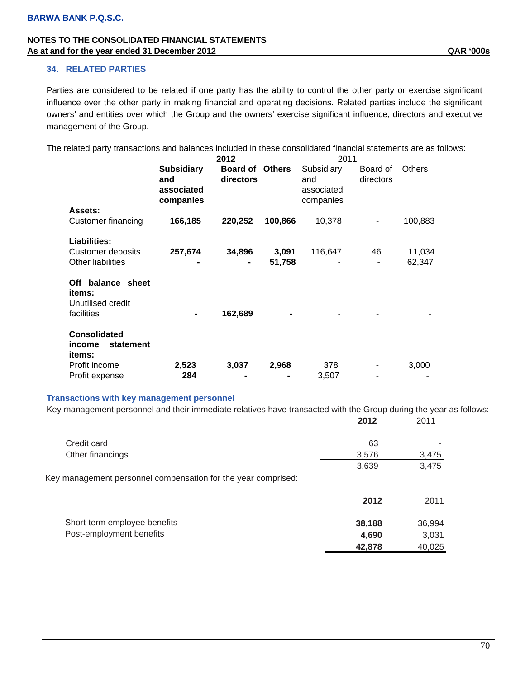### **34. RELATED PARTIES**

Parties are considered to be related if one party has the ability to control the other party or exercise significant influence over the other party in making financial and operating decisions. Related parties include the significant owners' and entities over which the Group and the owners' exercise significant influence, directors and executive management of the Group.

The related party transactions and balances included in these consolidated financial statements are as follows:

|                                                                |                                                     | 2012                         |                 | 2011                                         |                       |                  |
|----------------------------------------------------------------|-----------------------------------------------------|------------------------------|-----------------|----------------------------------------------|-----------------------|------------------|
|                                                                | <b>Subsidiary</b><br>and<br>associated<br>companies | <b>Board of</b><br>directors | Others          | Subsidiary<br>and<br>associated<br>companies | Board of<br>directors | <b>Others</b>    |
| Assets:<br>Customer financing                                  | 166,185                                             | 220,252                      | 100,866         | 10,378                                       |                       | 100,883          |
| Liabilities:<br>Customer deposits<br>Other liabilities         | 257,674                                             | 34,896                       | 3,091<br>51,758 | 116,647                                      | 46                    | 11,034<br>62,347 |
| Off balance sheet<br>items:<br>Unutilised credit<br>facilities |                                                     | 162,689                      |                 |                                              |                       |                  |
| <b>Consolidated</b><br>statement<br><i>income</i><br>items:    |                                                     |                              |                 |                                              |                       |                  |
| Profit income                                                  | 2,523                                               | 3,037                        | 2,968           | 378                                          |                       | 3,000            |
| Profit expense                                                 | 284                                                 |                              |                 | 3,507                                        |                       |                  |

#### **Transactions with key management personnel**

|                                                               | 2012   | 2011   |
|---------------------------------------------------------------|--------|--------|
| Credit card                                                   | 63     |        |
| Other financings                                              | 3,576  | 3,475  |
|                                                               | 3,639  | 3,475  |
| Key management personnel compensation for the year comprised: |        |        |
|                                                               | 2012   | 2011   |
| Short-term employee benefits                                  | 38,188 | 36,994 |
| Post-employment benefits                                      | 4,690  | 3,031  |
|                                                               | 42,878 | 40,025 |

Key management personnel and their immediate relatives have transacted with the Group during the year as follows:

70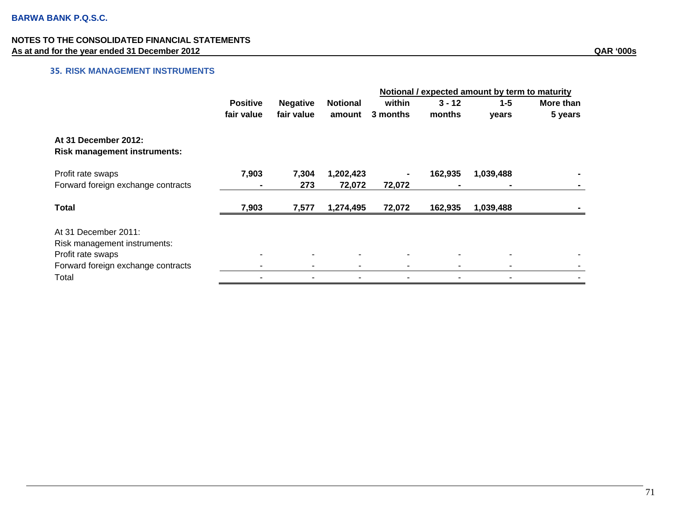# **35. RISK MANAGEMENT INSTRUMENTS**

|                                                             |                 |                 |                 | Notional / expected amount by term to maturity |          |           |           |
|-------------------------------------------------------------|-----------------|-----------------|-----------------|------------------------------------------------|----------|-----------|-----------|
|                                                             | <b>Positive</b> | <b>Negative</b> | <b>Notional</b> | within                                         | $3 - 12$ | $1 - 5$   | More than |
|                                                             | fair value      | fair value      | amount          | 3 months                                       | months   | years     | 5 years   |
| At 31 December 2012:<br><b>Risk management instruments:</b> |                 |                 |                 |                                                |          |           |           |
| Profit rate swaps                                           | 7,903           | 7,304           | 1,202,423       |                                                | 162,935  | 1,039,488 |           |
| Forward foreign exchange contracts                          |                 | 273             | 72,072          | 72,072                                         |          |           |           |
| <b>Total</b>                                                | 7,903           | 7,577           | 1,274,495       | 72,072                                         | 162,935  | 1,039,488 |           |
| At 31 December 2011:                                        |                 |                 |                 |                                                |          |           |           |
| Risk management instruments:                                |                 |                 |                 |                                                |          |           |           |
| Profit rate swaps                                           |                 | ٠               |                 |                                                |          |           |           |
| Forward foreign exchange contracts                          |                 | ٠               |                 |                                                |          |           |           |
| Total                                                       |                 | ۰               |                 |                                                |          |           |           |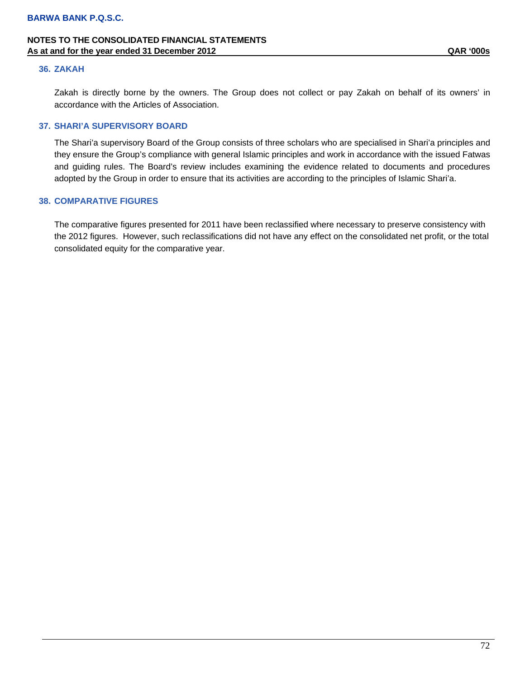## **NOTES TO THE CONSOLIDATED FINANCIAL STATEMENTS As at and for the year ended 31 December 2012 QAR '000s**

#### **36. ZAKAH**

Zakah is directly borne by the owners. The Group does not collect or pay Zakah on behalf of its owners' in accordance with the Articles of Association.

### **37. SHARI'A SUPERVISORY BOARD**

The Shari'a supervisory Board of the Group consists of three scholars who are specialised in Shari'a principles and they ensure the Group's compliance with general Islamic principles and work in accordance with the issued Fatwas and guiding rules. The Board's review includes examining the evidence related to documents and procedures adopted by the Group in order to ensure that its activities are according to the principles of Islamic Shari'a.

### **38. COMPARATIVE FIGURES**

The comparative figures presented for 2011 have been reclassified where necessary to preserve consistency with the 2012 figures. However, such reclassifications did not have any effect on the consolidated net profit, or the total consolidated equity for the comparative year.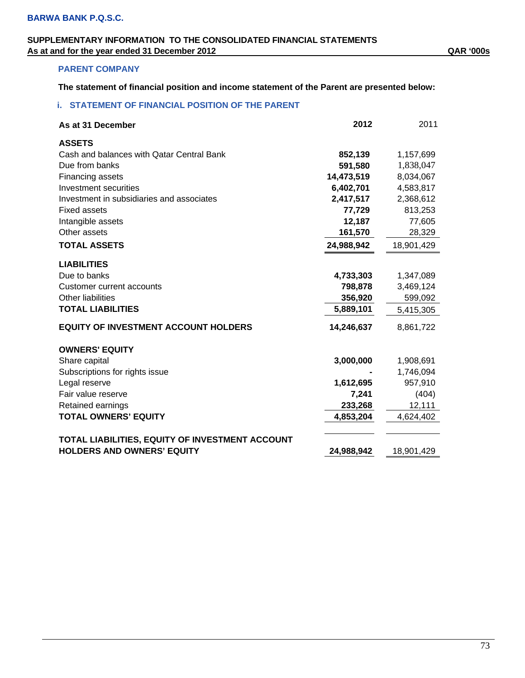## **SUPPLEMENTARY INFORMATION TO THE CONSOLIDATED FINANCIAL STATEMENTS As at and for the year ended 31 December 2012 QAR '000s**

## **PARENT COMPANY**

**The statement of financial position and income statement of the Parent are presented below:** 

## **i. STATEMENT OF FINANCIAL POSITION OF THE PARENT**

| As at 31 December                                                                    | 2012       | 2011       |
|--------------------------------------------------------------------------------------|------------|------------|
| <b>ASSETS</b>                                                                        |            |            |
| Cash and balances with Qatar Central Bank                                            | 852,139    | 1,157,699  |
| Due from banks                                                                       | 591,580    | 1,838,047  |
| Financing assets                                                                     | 14,473,519 | 8,034,067  |
| Investment securities                                                                | 6,402,701  | 4,583,817  |
| Investment in subsidiaries and associates                                            | 2,417,517  | 2,368,612  |
| <b>Fixed assets</b>                                                                  | 77,729     | 813,253    |
| Intangible assets                                                                    | 12,187     | 77,605     |
| Other assets                                                                         | 161,570    | 28,329     |
| <b>TOTAL ASSETS</b>                                                                  | 24,988,942 | 18,901,429 |
| <b>LIABILITIES</b>                                                                   |            |            |
| Due to banks                                                                         | 4,733,303  | 1,347,089  |
| <b>Customer current accounts</b>                                                     | 798,878    | 3,469,124  |
| <b>Other liabilities</b>                                                             | 356,920    | 599,092    |
| <b>TOTAL LIABILITIES</b>                                                             | 5,889,101  | 5,415,305  |
| <b>EQUITY OF INVESTMENT ACCOUNT HOLDERS</b>                                          | 14,246,637 | 8,861,722  |
| <b>OWNERS' EQUITY</b>                                                                |            |            |
| Share capital                                                                        | 3,000,000  | 1,908,691  |
| Subscriptions for rights issue                                                       |            | 1,746,094  |
| Legal reserve                                                                        | 1,612,695  | 957,910    |
| Fair value reserve                                                                   | 7,241      | (404)      |
| Retained earnings                                                                    | 233,268    | 12,111     |
| <b>TOTAL OWNERS' EQUITY</b>                                                          | 4,853,204  | 4,624,402  |
|                                                                                      |            |            |
| TOTAL LIABILITIES, EQUITY OF INVESTMENT ACCOUNT<br><b>HOLDERS AND OWNERS' EQUITY</b> | 24,988,942 | 18,901,429 |